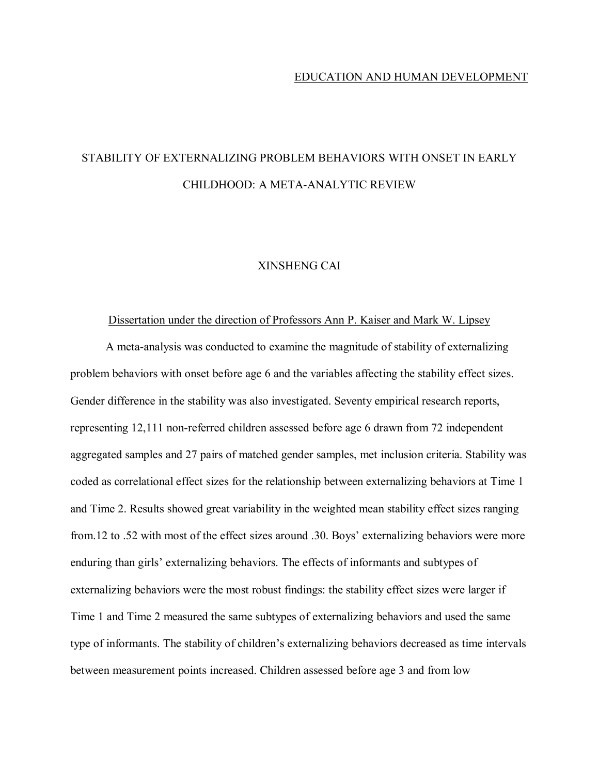#### EDUCATION AND HUMAN DEVELOPMENT

## STABILITY OF EXTERNALIZING PROBLEM BEHAVIORS WITH ONSET IN EARLY CHILDHOOD: A META-ANALYTIC REVIEW

#### XINSHENG CAI

#### Dissertation under the direction of Professors Ann P. Kaiser and Mark W. Lipsey

A meta-analysis was conducted to examine the magnitude of stability of externalizing problem behaviors with onset before age 6 and the variables affecting the stability effect sizes. Gender difference in the stability was also investigated. Seventy empirical research reports, representing 12,111 non-referred children assessed before age 6 drawn from 72 independent aggregated samples and 27 pairs of matched gender samples, met inclusion criteria. Stability was coded as correlational effect sizes for the relationship between externalizing behaviors at Time 1 and Time 2. Results showed great variability in the weighted mean stability effect sizes ranging from.12 to .52 with most of the effect sizes around .30. Boys' externalizing behaviors were more enduring than girls' externalizing behaviors. The effects of informants and subtypes of externalizing behaviors were the most robust findings: the stability effect sizes were larger if Time 1 and Time 2 measured the same subtypes of externalizing behaviors and used the same type of informants. The stability of children's externalizing behaviors decreased as time intervals between measurement points increased. Children assessed before age 3 and from low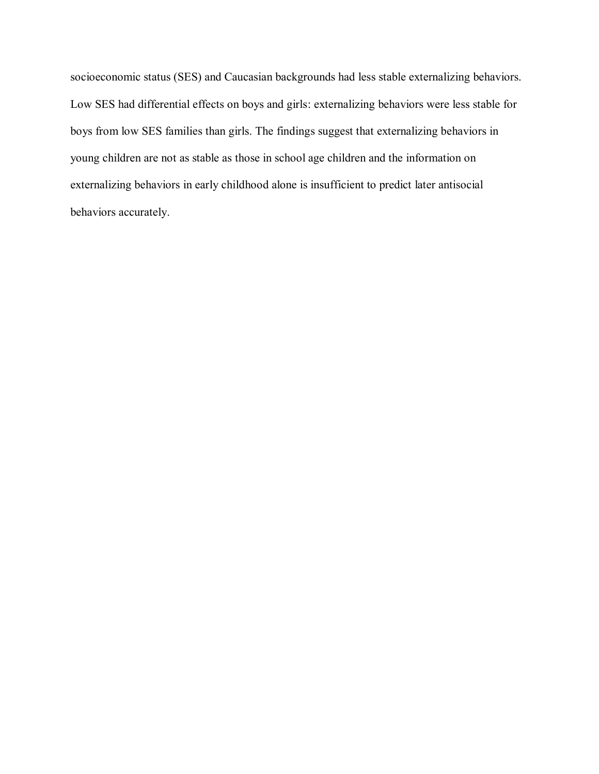socioeconomic status (SES) and Caucasian backgrounds had less stable externalizing behaviors. Low SES had differential effects on boys and girls: externalizing behaviors were less stable for boys from low SES families than girls. The findings suggest that externalizing behaviors in young children are not as stable as those in school age children and the information on externalizing behaviors in early childhood alone is insufficient to predict later antisocial behaviors accurately.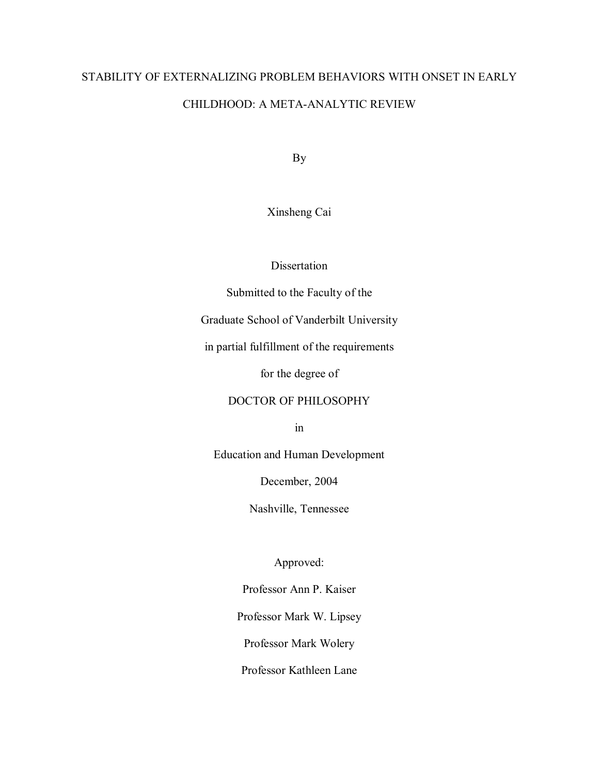# STABILITY OF EXTERNALIZING PROBLEM BEHAVIORS WITH ONSET IN EARLY CHILDHOOD: A META-ANALYTIC REVIEW

By

Xinsheng Cai

Dissertation

Submitted to the Faculty of the

Graduate School of Vanderbilt University

in partial fulfillment of the requirements

for the degree of

### DOCTOR OF PHILOSOPHY

in

Education and Human Development

December, 2004

Nashville, Tennessee

Approved:

Professor Ann P. Kaiser

Professor Mark W. Lipsey

Professor Mark Wolery

Professor Kathleen Lane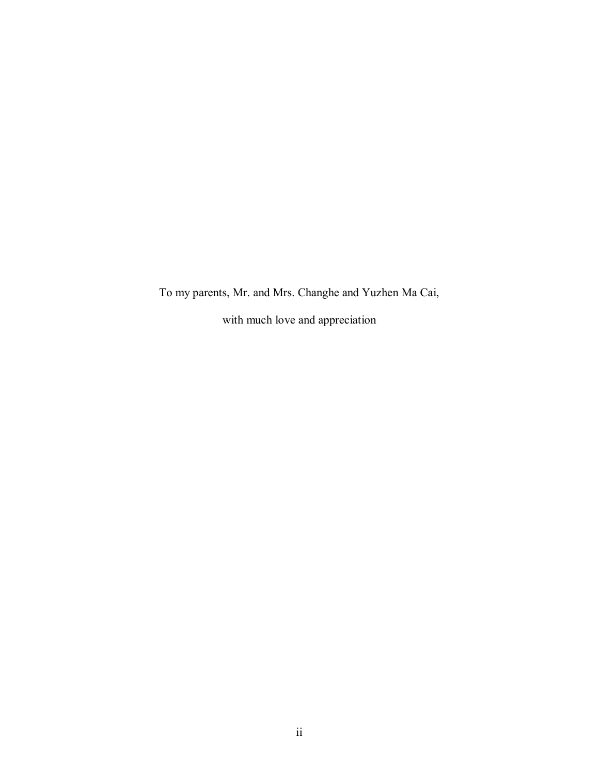To my parents, Mr. and Mrs. Changhe and Yuzhen Ma Cai, with much love and appreciation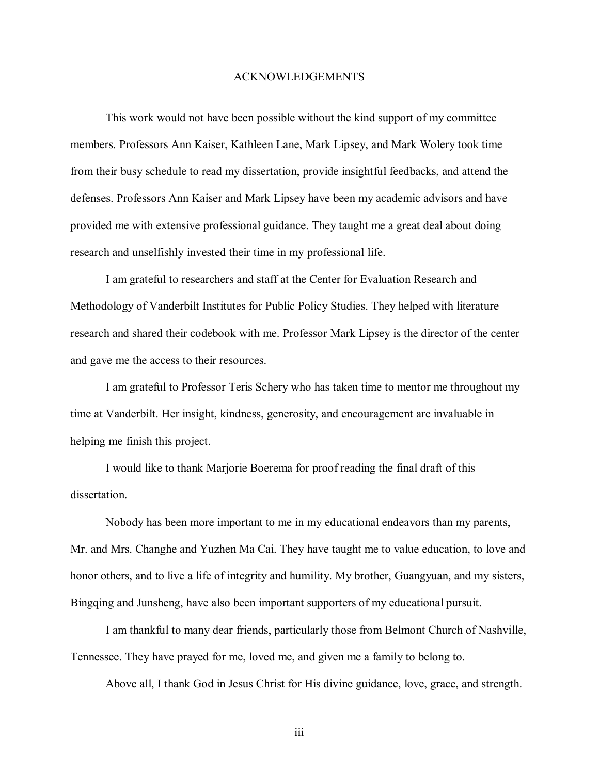#### ACKNOWLEDGEMENTS

 This work would not have been possible without the kind support of my committee members. Professors Ann Kaiser, Kathleen Lane, Mark Lipsey, and Mark Wolery took time from their busy schedule to read my dissertation, provide insightful feedbacks, and attend the defenses. Professors Ann Kaiser and Mark Lipsey have been my academic advisors and have provided me with extensive professional guidance. They taught me a great deal about doing research and unselfishly invested their time in my professional life.

 I am grateful to researchers and staff at the Center for Evaluation Research and Methodology of Vanderbilt Institutes for Public Policy Studies. They helped with literature research and shared their codebook with me. Professor Mark Lipsey is the director of the center and gave me the access to their resources.

 I am grateful to Professor Teris Schery who has taken time to mentor me throughout my time at Vanderbilt. Her insight, kindness, generosity, and encouragement are invaluable in helping me finish this project.

 I would like to thank Marjorie Boerema for proof reading the final draft of this dissertation.

 Nobody has been more important to me in my educational endeavors than my parents, Mr. and Mrs. Changhe and Yuzhen Ma Cai. They have taught me to value education, to love and honor others, and to live a life of integrity and humility. My brother, Guangyuan, and my sisters, Bingqing and Junsheng, have also been important supporters of my educational pursuit.

 I am thankful to many dear friends, particularly those from Belmont Church of Nashville, Tennessee. They have prayed for me, loved me, and given me a family to belong to.

Above all, I thank God in Jesus Christ for His divine guidance, love, grace, and strength.

iii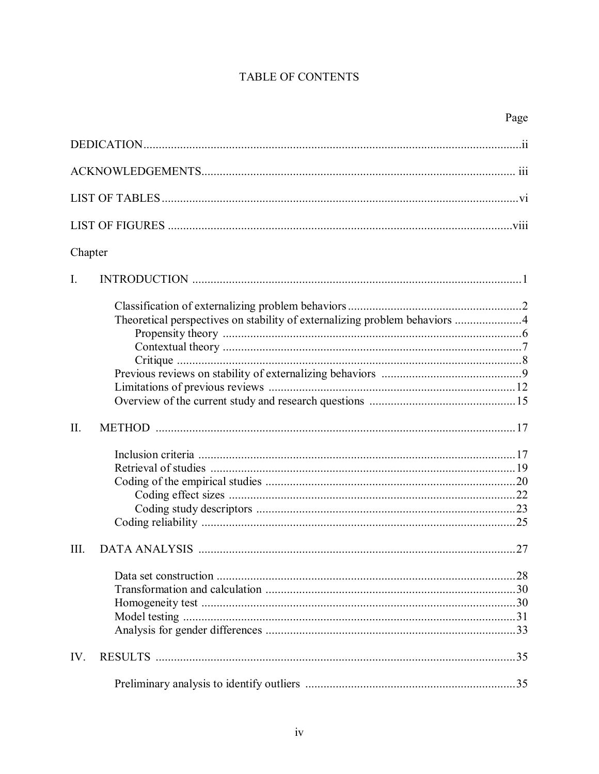## TABLE OF CONTENTS

| Chapter        |                                                                            |    |
|----------------|----------------------------------------------------------------------------|----|
| $\mathbf{I}$ . |                                                                            |    |
|                | Theoretical perspectives on stability of externalizing problem behaviors 4 |    |
| II.            |                                                                            |    |
|                |                                                                            |    |
| III.           |                                                                            | 27 |
|                |                                                                            |    |
| IV.            |                                                                            |    |
|                |                                                                            |    |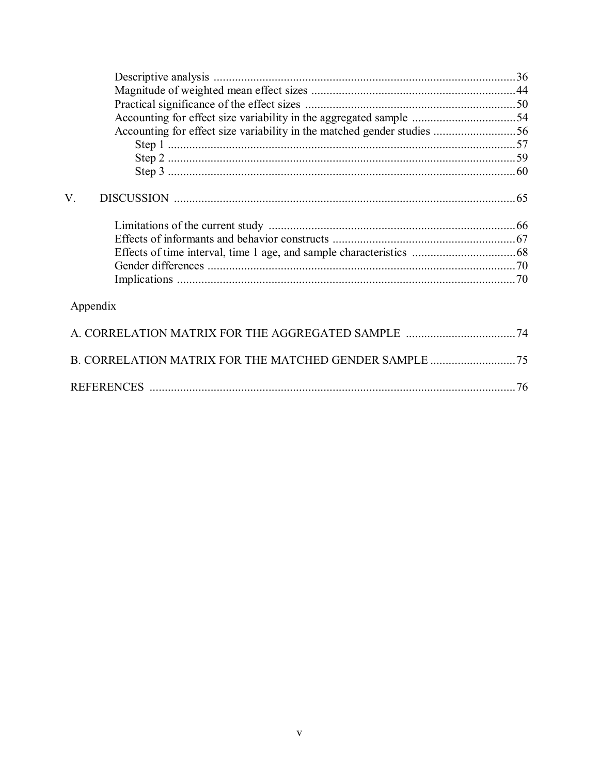| V.       |  |
|----------|--|
|          |  |
|          |  |
|          |  |
|          |  |
|          |  |
| Appendix |  |
|          |  |
|          |  |
|          |  |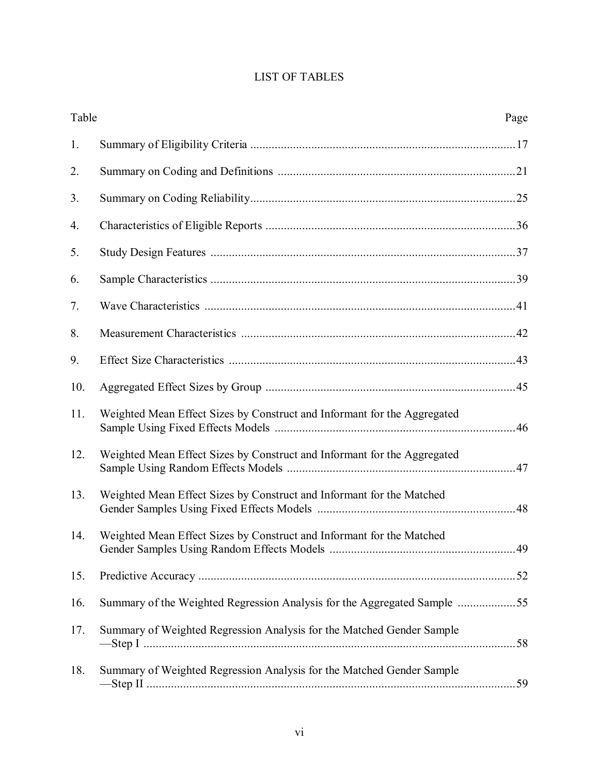## LIST OF TABLES

| Table |                                                                          | Page |
|-------|--------------------------------------------------------------------------|------|
| 1.    |                                                                          |      |
| 2.    |                                                                          |      |
| 3.    |                                                                          |      |
| 4.    |                                                                          |      |
| 5.    |                                                                          |      |
| 6.    |                                                                          |      |
| 7.    |                                                                          |      |
| 8.    |                                                                          |      |
| 9.    |                                                                          |      |
| 10.   |                                                                          |      |
| 11.   | Weighted Mean Effect Sizes by Construct and Informant for the Aggregated |      |
| 12.   | Weighted Mean Effect Sizes by Construct and Informant for the Aggregated |      |
| 13.   | Weighted Mean Effect Sizes by Construct and Informant for the Matched    |      |
| 14.   | Weighted Mean Effect Sizes by Construct and Informant for the Matched    |      |
| 15.   |                                                                          |      |
| 16.   | Summary of the Weighted Regression Analysis for the Aggregated Sample    |      |
| 17.   | Summary of Weighted Regression Analysis for the Matched Gender Sample    |      |
| 18.   | Summary of Weighted Regression Analysis for the Matched Gender Sample    |      |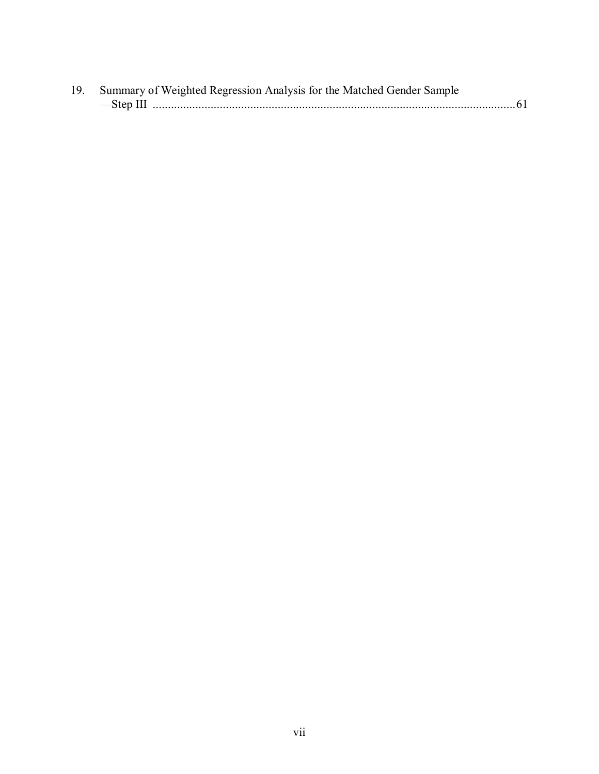| 19. Summary of Weighted Regression Analysis for the Matched Gender Sample |  |
|---------------------------------------------------------------------------|--|
|                                                                           |  |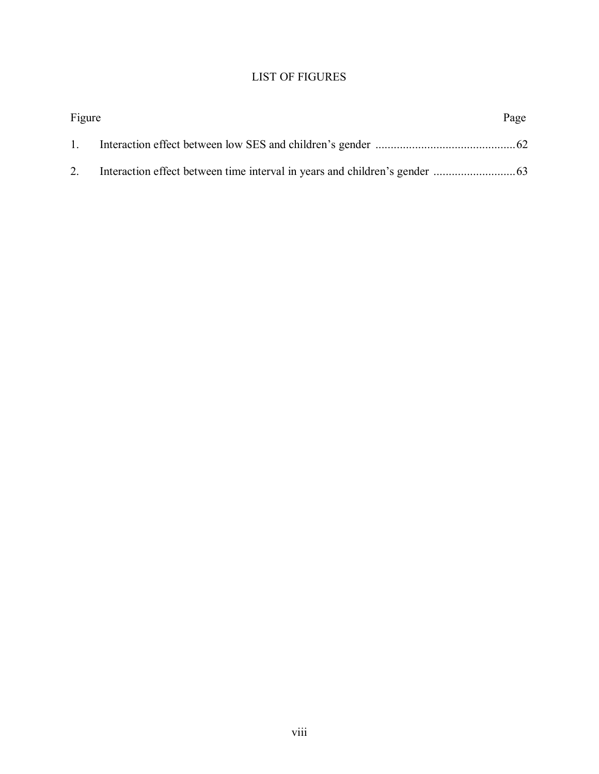### LIST OF FIGURES

| Figure       | Page |
|--------------|------|
| $\mathbf{1}$ |      |
| 2.           |      |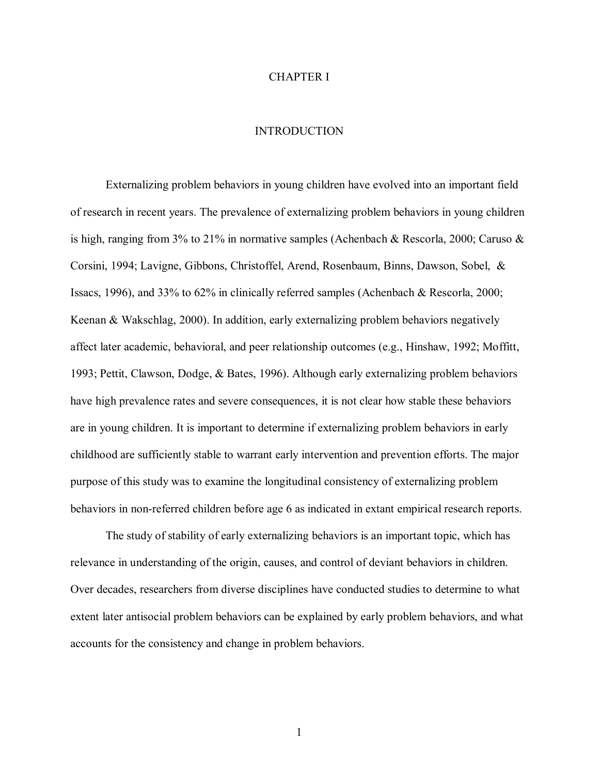#### CHAPTER I

#### **INTRODUCTION**

 Externalizing problem behaviors in young children have evolved into an important field of research in recent years. The prevalence of externalizing problem behaviors in young children is high, ranging from 3% to 21% in normative samples (Achenbach & Rescorla, 2000; Caruso & Corsini, 1994; Lavigne, Gibbons, Christoffel, Arend, Rosenbaum, Binns, Dawson, Sobel, & Issacs, 1996), and 33% to 62% in clinically referred samples (Achenbach & Rescorla, 2000; Keenan & Wakschlag, 2000). In addition, early externalizing problem behaviors negatively affect later academic, behavioral, and peer relationship outcomes (e.g., Hinshaw, 1992; Moffitt, 1993; Pettit, Clawson, Dodge, & Bates, 1996). Although early externalizing problem behaviors have high prevalence rates and severe consequences, it is not clear how stable these behaviors are in young children. It is important to determine if externalizing problem behaviors in early childhood are sufficiently stable to warrant early intervention and prevention efforts. The major purpose of this study was to examine the longitudinal consistency of externalizing problem behaviors in non-referred children before age 6 as indicated in extant empirical research reports.

 The study of stability of early externalizing behaviors is an important topic, which has relevance in understanding of the origin, causes, and control of deviant behaviors in children. Over decades, researchers from diverse disciplines have conducted studies to determine to what extent later antisocial problem behaviors can be explained by early problem behaviors, and what accounts for the consistency and change in problem behaviors.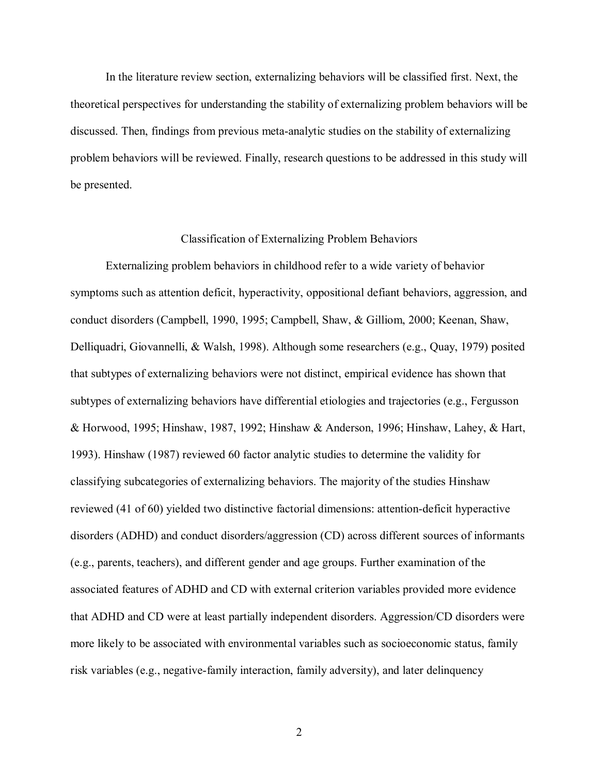In the literature review section, externalizing behaviors will be classified first. Next, the theoretical perspectives for understanding the stability of externalizing problem behaviors will be discussed. Then, findings from previous meta-analytic studies on the stability of externalizing problem behaviors will be reviewed. Finally, research questions to be addressed in this study will be presented.

#### Classification of Externalizing Problem Behaviors

Externalizing problem behaviors in childhood refer to a wide variety of behavior symptoms such as attention deficit, hyperactivity, oppositional defiant behaviors, aggression, and conduct disorders (Campbell, 1990, 1995; Campbell, Shaw, & Gilliom, 2000; Keenan, Shaw, Delliquadri, Giovannelli, & Walsh, 1998). Although some researchers (e.g., Quay, 1979) posited that subtypes of externalizing behaviors were not distinct, empirical evidence has shown that subtypes of externalizing behaviors have differential etiologies and trajectories (e.g., Fergusson & Horwood, 1995; Hinshaw, 1987, 1992; Hinshaw & Anderson, 1996; Hinshaw, Lahey, & Hart, 1993). Hinshaw (1987) reviewed 60 factor analytic studies to determine the validity for classifying subcategories of externalizing behaviors. The majority of the studies Hinshaw reviewed (41 of 60) yielded two distinctive factorial dimensions: attention-deficit hyperactive disorders (ADHD) and conduct disorders/aggression (CD) across different sources of informants (e.g., parents, teachers), and different gender and age groups. Further examination of the associated features of ADHD and CD with external criterion variables provided more evidence that ADHD and CD were at least partially independent disorders. Aggression/CD disorders were more likely to be associated with environmental variables such as socioeconomic status, family risk variables (e.g., negative-family interaction, family adversity), and later delinquency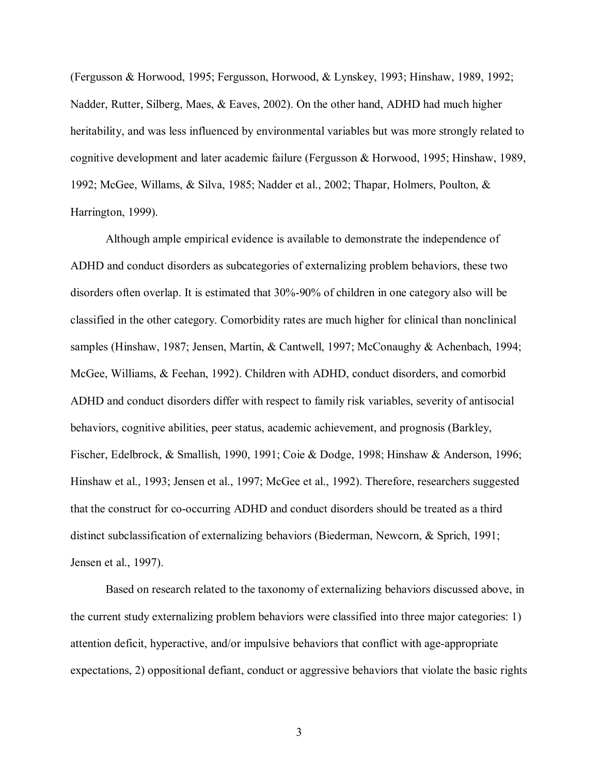(Fergusson & Horwood, 1995; Fergusson, Horwood, & Lynskey, 1993; Hinshaw, 1989, 1992; Nadder, Rutter, Silberg, Maes, & Eaves, 2002). On the other hand, ADHD had much higher heritability, and was less influenced by environmental variables but was more strongly related to cognitive development and later academic failure (Fergusson & Horwood, 1995; Hinshaw, 1989, 1992; McGee, Willams, & Silva, 1985; Nadder et al., 2002; Thapar, Holmers, Poulton, & Harrington, 1999).

Although ample empirical evidence is available to demonstrate the independence of ADHD and conduct disorders as subcategories of externalizing problem behaviors, these two disorders often overlap. It is estimated that 30%-90% of children in one category also will be classified in the other category. Comorbidity rates are much higher for clinical than nonclinical samples (Hinshaw, 1987; Jensen, Martin, & Cantwell, 1997; McConaughy & Achenbach, 1994; McGee, Williams, & Feehan, 1992). Children with ADHD, conduct disorders, and comorbid ADHD and conduct disorders differ with respect to family risk variables, severity of antisocial behaviors, cognitive abilities, peer status, academic achievement, and prognosis (Barkley, Fischer, Edelbrock, & Smallish, 1990, 1991; Coie & Dodge, 1998; Hinshaw & Anderson, 1996; Hinshaw et al., 1993; Jensen et al., 1997; McGee et al., 1992). Therefore, researchers suggested that the construct for co-occurring ADHD and conduct disorders should be treated as a third distinct subclassification of externalizing behaviors (Biederman, Newcorn, & Sprich, 1991; Jensen et al., 1997).

Based on research related to the taxonomy of externalizing behaviors discussed above, in the current study externalizing problem behaviors were classified into three major categories: 1) attention deficit, hyperactive, and/or impulsive behaviors that conflict with age-appropriate expectations, 2) oppositional defiant, conduct or aggressive behaviors that violate the basic rights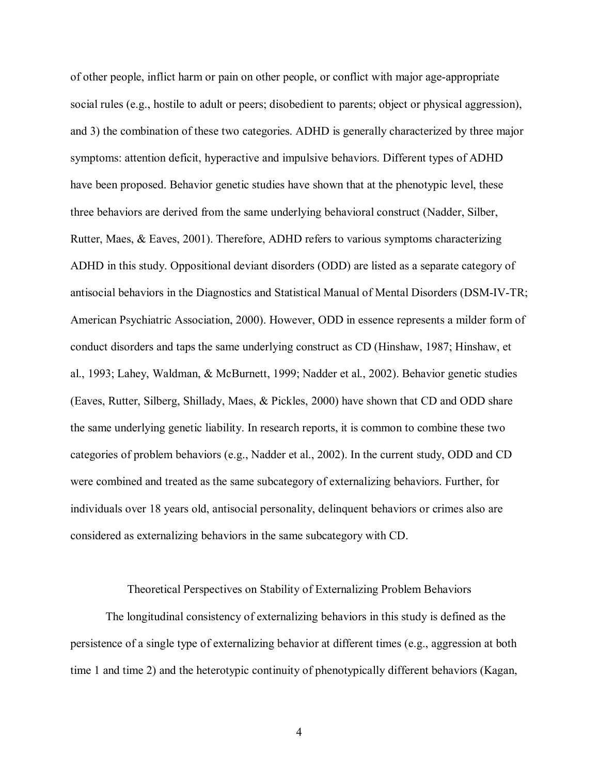of other people, inflict harm or pain on other people, or conflict with major age-appropriate social rules (e.g., hostile to adult or peers; disobedient to parents; object or physical aggression), and 3) the combination of these two categories. ADHD is generally characterized by three major symptoms: attention deficit, hyperactive and impulsive behaviors. Different types of ADHD have been proposed. Behavior genetic studies have shown that at the phenotypic level, these three behaviors are derived from the same underlying behavioral construct (Nadder, Silber, Rutter, Maes, & Eaves, 2001). Therefore, ADHD refers to various symptoms characterizing ADHD in this study. Oppositional deviant disorders (ODD) are listed as a separate category of antisocial behaviors in the Diagnostics and Statistical Manual of Mental Disorders (DSM-IV-TR; American Psychiatric Association, 2000). However, ODD in essence represents a milder form of conduct disorders and taps the same underlying construct as CD (Hinshaw, 1987; Hinshaw, et al., 1993; Lahey, Waldman, & McBurnett, 1999; Nadder et al., 2002). Behavior genetic studies (Eaves, Rutter, Silberg, Shillady, Maes, & Pickles, 2000) have shown that CD and ODD share the same underlying genetic liability. In research reports, it is common to combine these two categories of problem behaviors (e.g., Nadder et al., 2002). In the current study, ODD and CD were combined and treated as the same subcategory of externalizing behaviors. Further, for individuals over 18 years old, antisocial personality, delinquent behaviors or crimes also are considered as externalizing behaviors in the same subcategory with CD.

#### Theoretical Perspectives on Stability of Externalizing Problem Behaviors

 The longitudinal consistency of externalizing behaviors in this study is defined as the persistence of a single type of externalizing behavior at different times (e.g., aggression at both time 1 and time 2) and the heterotypic continuity of phenotypically different behaviors (Kagan,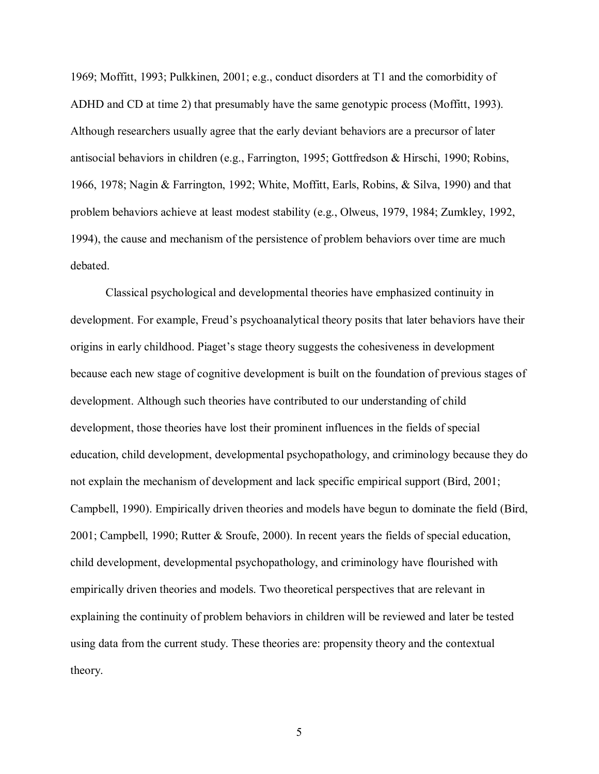1969; Moffitt, 1993; Pulkkinen, 2001; e.g., conduct disorders at T1 and the comorbidity of ADHD and CD at time 2) that presumably have the same genotypic process (Moffitt, 1993). Although researchers usually agree that the early deviant behaviors are a precursor of later antisocial behaviors in children (e.g., Farrington, 1995; Gottfredson & Hirschi, 1990; Robins, 1966, 1978; Nagin & Farrington, 1992; White, Moffitt, Earls, Robins, & Silva, 1990) and that problem behaviors achieve at least modest stability (e.g., Olweus, 1979, 1984; Zumkley, 1992, 1994), the cause and mechanism of the persistence of problem behaviors over time are much debated.

Classical psychological and developmental theories have emphasized continuity in development. For example, Freud's psychoanalytical theory posits that later behaviors have their origins in early childhood. Piaget's stage theory suggests the cohesiveness in development because each new stage of cognitive development is built on the foundation of previous stages of development. Although such theories have contributed to our understanding of child development, those theories have lost their prominent influences in the fields of special education, child development, developmental psychopathology, and criminology because they do not explain the mechanism of development and lack specific empirical support (Bird, 2001; Campbell, 1990). Empirically driven theories and models have begun to dominate the field (Bird, 2001; Campbell, 1990; Rutter & Sroufe, 2000). In recent years the fields of special education, child development, developmental psychopathology, and criminology have flourished with empirically driven theories and models. Two theoretical perspectives that are relevant in explaining the continuity of problem behaviors in children will be reviewed and later be tested using data from the current study. These theories are: propensity theory and the contextual theory.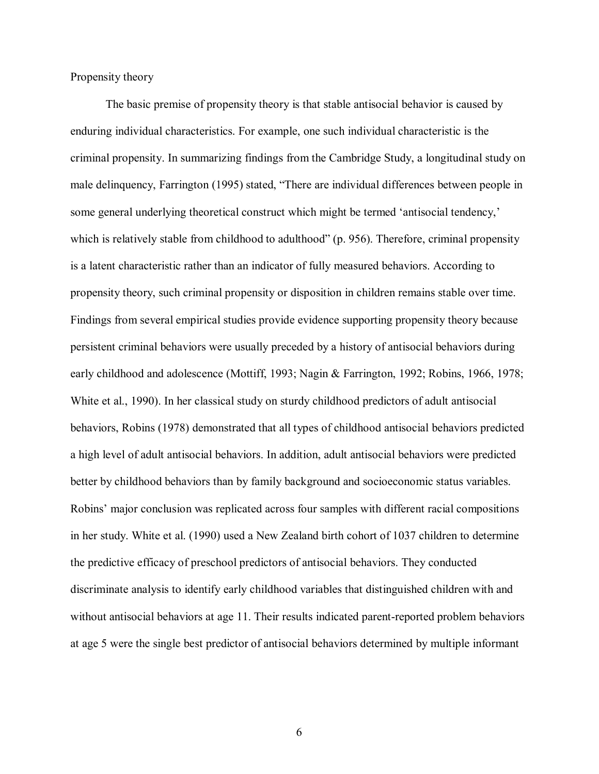Propensity theory

The basic premise of propensity theory is that stable antisocial behavior is caused by enduring individual characteristics. For example, one such individual characteristic is the criminal propensity. In summarizing findings from the Cambridge Study, a longitudinal study on male delinquency, Farrington (1995) stated, "There are individual differences between people in some general underlying theoretical construct which might be termed 'antisocial tendency,' which is relatively stable from childhood to adulthood" (p. 956). Therefore, criminal propensity is a latent characteristic rather than an indicator of fully measured behaviors. According to propensity theory, such criminal propensity or disposition in children remains stable over time. Findings from several empirical studies provide evidence supporting propensity theory because persistent criminal behaviors were usually preceded by a history of antisocial behaviors during early childhood and adolescence (Mottiff, 1993; Nagin & Farrington, 1992; Robins, 1966, 1978; White et al., 1990). In her classical study on sturdy childhood predictors of adult antisocial behaviors, Robins (1978) demonstrated that all types of childhood antisocial behaviors predicted a high level of adult antisocial behaviors. In addition, adult antisocial behaviors were predicted better by childhood behaviors than by family background and socioeconomic status variables. Robins' major conclusion was replicated across four samples with different racial compositions in her study. White et al. (1990) used a New Zealand birth cohort of 1037 children to determine the predictive efficacy of preschool predictors of antisocial behaviors. They conducted discriminate analysis to identify early childhood variables that distinguished children with and without antisocial behaviors at age 11. Their results indicated parent-reported problem behaviors at age 5 were the single best predictor of antisocial behaviors determined by multiple informant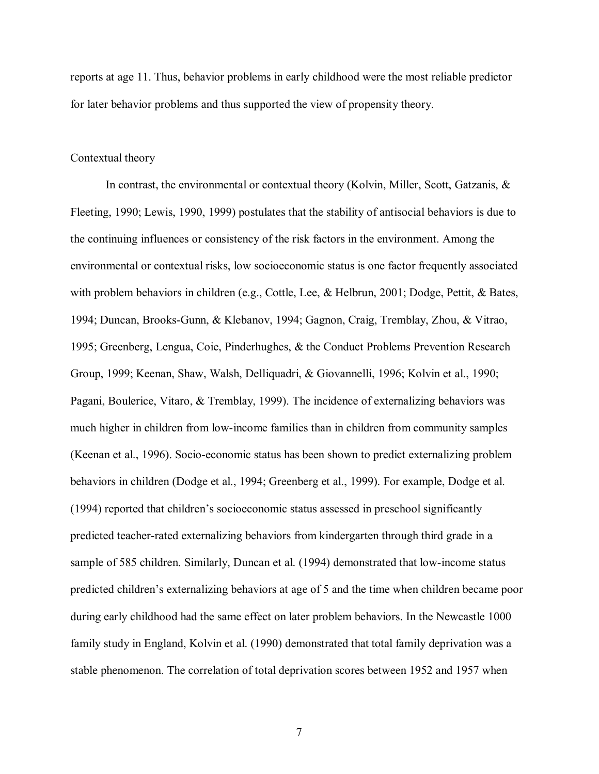reports at age 11. Thus, behavior problems in early childhood were the most reliable predictor for later behavior problems and thus supported the view of propensity theory.

#### Contextual theory

In contrast, the environmental or contextual theory (Kolvin, Miller, Scott, Gatzanis, & Fleeting, 1990; Lewis, 1990, 1999) postulates that the stability of antisocial behaviors is due to the continuing influences or consistency of the risk factors in the environment. Among the environmental or contextual risks, low socioeconomic status is one factor frequently associated with problem behaviors in children (e.g., Cottle, Lee, & Helbrun, 2001; Dodge, Pettit, & Bates, 1994; Duncan, Brooks-Gunn, & Klebanov, 1994; Gagnon, Craig, Tremblay, Zhou, & Vitrao, 1995; Greenberg, Lengua, Coie, Pinderhughes, & the Conduct Problems Prevention Research Group, 1999; Keenan, Shaw, Walsh, Delliquadri, & Giovannelli, 1996; Kolvin et al., 1990; Pagani, Boulerice, Vitaro, & Tremblay, 1999). The incidence of externalizing behaviors was much higher in children from low-income families than in children from community samples (Keenan et al., 1996). Socio-economic status has been shown to predict externalizing problem behaviors in children (Dodge et al., 1994; Greenberg et al., 1999). For example, Dodge et al. (1994) reported that children's socioeconomic status assessed in preschool significantly predicted teacher-rated externalizing behaviors from kindergarten through third grade in a sample of 585 children. Similarly, Duncan et al. (1994) demonstrated that low-income status predicted children's externalizing behaviors at age of 5 and the time when children became poor during early childhood had the same effect on later problem behaviors. In the Newcastle 1000 family study in England, Kolvin et al. (1990) demonstrated that total family deprivation was a stable phenomenon. The correlation of total deprivation scores between 1952 and 1957 when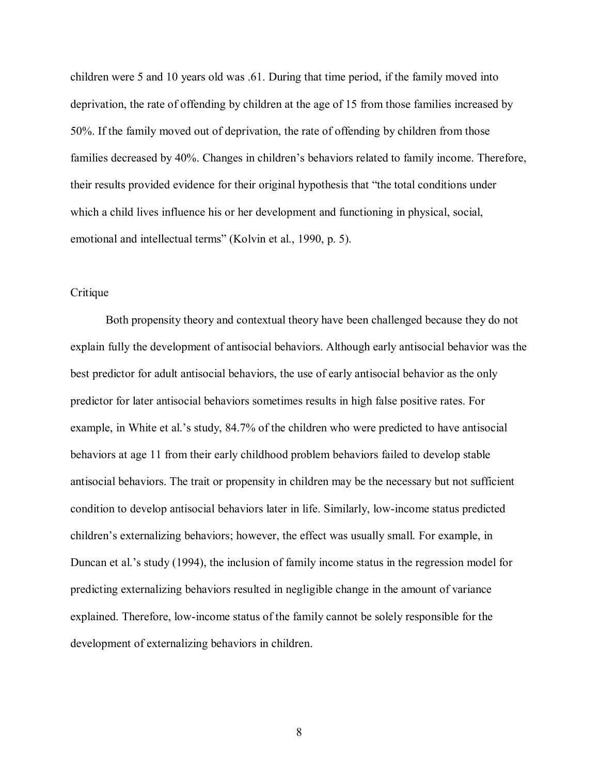children were 5 and 10 years old was .61. During that time period, if the family moved into deprivation, the rate of offending by children at the age of 15 from those families increased by 50%. If the family moved out of deprivation, the rate of offending by children from those families decreased by 40%. Changes in children's behaviors related to family income. Therefore, their results provided evidence for their original hypothesis that "the total conditions under which a child lives influence his or her development and functioning in physical, social, emotional and intellectual terms" (Kolvin et al., 1990, p. 5).

#### **Critique**

Both propensity theory and contextual theory have been challenged because they do not explain fully the development of antisocial behaviors. Although early antisocial behavior was the best predictor for adult antisocial behaviors, the use of early antisocial behavior as the only predictor for later antisocial behaviors sometimes results in high false positive rates. For example, in White et al.'s study, 84.7% of the children who were predicted to have antisocial behaviors at age 11 from their early childhood problem behaviors failed to develop stable antisocial behaviors. The trait or propensity in children may be the necessary but not sufficient condition to develop antisocial behaviors later in life. Similarly, low-income status predicted children's externalizing behaviors; however, the effect was usually small. For example, in Duncan et al.'s study (1994), the inclusion of family income status in the regression model for predicting externalizing behaviors resulted in negligible change in the amount of variance explained. Therefore, low-income status of the family cannot be solely responsible for the development of externalizing behaviors in children.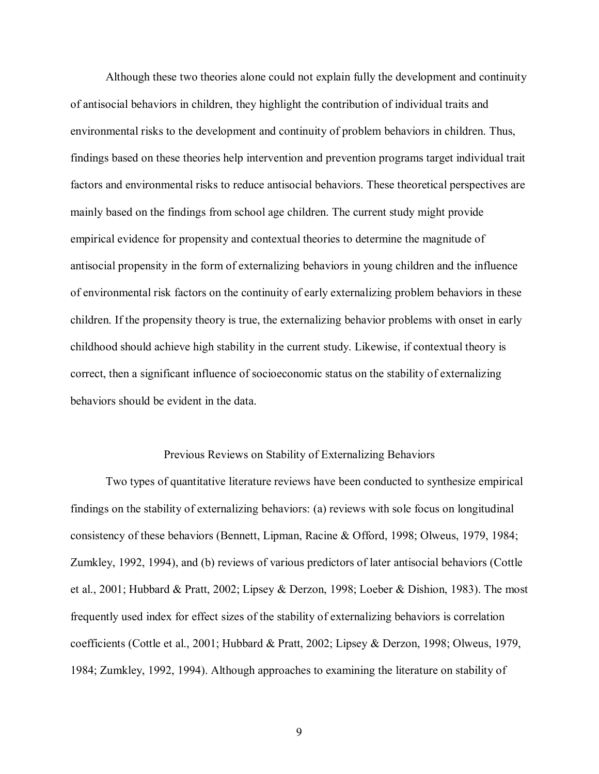Although these two theories alone could not explain fully the development and continuity of antisocial behaviors in children, they highlight the contribution of individual traits and environmental risks to the development and continuity of problem behaviors in children. Thus, findings based on these theories help intervention and prevention programs target individual trait factors and environmental risks to reduce antisocial behaviors. These theoretical perspectives are mainly based on the findings from school age children. The current study might provide empirical evidence for propensity and contextual theories to determine the magnitude of antisocial propensity in the form of externalizing behaviors in young children and the influence of environmental risk factors on the continuity of early externalizing problem behaviors in these children. If the propensity theory is true, the externalizing behavior problems with onset in early childhood should achieve high stability in the current study. Likewise, if contextual theory is correct, then a significant influence of socioeconomic status on the stability of externalizing behaviors should be evident in the data.

#### Previous Reviews on Stability of Externalizing Behaviors

Two types of quantitative literature reviews have been conducted to synthesize empirical findings on the stability of externalizing behaviors: (a) reviews with sole focus on longitudinal consistency of these behaviors (Bennett, Lipman, Racine & Offord, 1998; Olweus, 1979, 1984; Zumkley, 1992, 1994), and (b) reviews of various predictors of later antisocial behaviors (Cottle et al., 2001; Hubbard & Pratt, 2002; Lipsey & Derzon, 1998; Loeber & Dishion, 1983). The most frequently used index for effect sizes of the stability of externalizing behaviors is correlation coefficients (Cottle et al., 2001; Hubbard & Pratt, 2002; Lipsey & Derzon, 1998; Olweus, 1979, 1984; Zumkley, 1992, 1994). Although approaches to examining the literature on stability of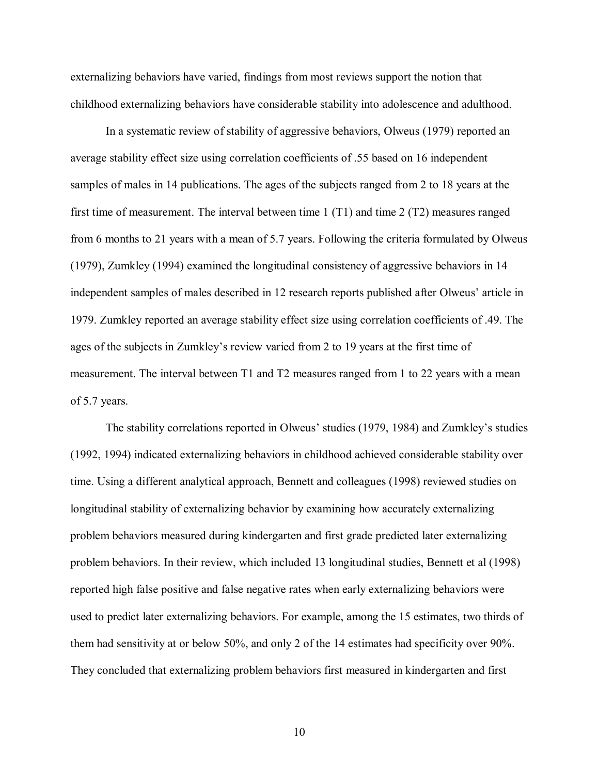externalizing behaviors have varied, findings from most reviews support the notion that childhood externalizing behaviors have considerable stability into adolescence and adulthood.

In a systematic review of stability of aggressive behaviors, Olweus (1979) reported an average stability effect size using correlation coefficients of .55 based on 16 independent samples of males in 14 publications. The ages of the subjects ranged from 2 to 18 years at the first time of measurement. The interval between time 1 (T1) and time 2 (T2) measures ranged from 6 months to 21 years with a mean of 5.7 years. Following the criteria formulated by Olweus (1979), Zumkley (1994) examined the longitudinal consistency of aggressive behaviors in 14 independent samples of males described in 12 research reports published after Olweus' article in 1979. Zumkley reported an average stability effect size using correlation coefficients of .49. The ages of the subjects in Zumkley's review varied from 2 to 19 years at the first time of measurement. The interval between T1 and T2 measures ranged from 1 to 22 years with a mean of 5.7 years.

The stability correlations reported in Olweus' studies (1979, 1984) and Zumkley's studies (1992, 1994) indicated externalizing behaviors in childhood achieved considerable stability over time. Using a different analytical approach, Bennett and colleagues (1998) reviewed studies on longitudinal stability of externalizing behavior by examining how accurately externalizing problem behaviors measured during kindergarten and first grade predicted later externalizing problem behaviors. In their review, which included 13 longitudinal studies, Bennett et al (1998) reported high false positive and false negative rates when early externalizing behaviors were used to predict later externalizing behaviors. For example, among the 15 estimates, two thirds of them had sensitivity at or below 50%, and only 2 of the 14 estimates had specificity over 90%. They concluded that externalizing problem behaviors first measured in kindergarten and first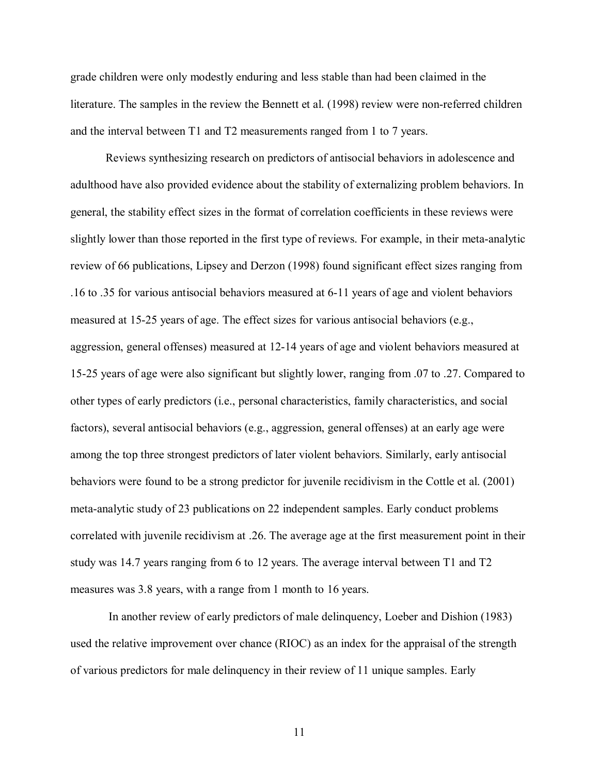grade children were only modestly enduring and less stable than had been claimed in the literature. The samples in the review the Bennett et al. (1998) review were non-referred children and the interval between T1 and T2 measurements ranged from 1 to 7 years.

Reviews synthesizing research on predictors of antisocial behaviors in adolescence and adulthood have also provided evidence about the stability of externalizing problem behaviors. In general, the stability effect sizes in the format of correlation coefficients in these reviews were slightly lower than those reported in the first type of reviews. For example, in their meta-analytic review of 66 publications, Lipsey and Derzon (1998) found significant effect sizes ranging from .16 to .35 for various antisocial behaviors measured at 6-11 years of age and violent behaviors measured at 15-25 years of age. The effect sizes for various antisocial behaviors (e.g., aggression, general offenses) measured at 12-14 years of age and violent behaviors measured at 15-25 years of age were also significant but slightly lower, ranging from .07 to .27. Compared to other types of early predictors (i.e., personal characteristics, family characteristics, and social factors), several antisocial behaviors (e.g., aggression, general offenses) at an early age were among the top three strongest predictors of later violent behaviors. Similarly, early antisocial behaviors were found to be a strong predictor for juvenile recidivism in the Cottle et al. (2001) meta-analytic study of 23 publications on 22 independent samples. Early conduct problems correlated with juvenile recidivism at .26. The average age at the first measurement point in their study was 14.7 years ranging from 6 to 12 years. The average interval between T1 and T2 measures was 3.8 years, with a range from 1 month to 16 years.

 In another review of early predictors of male delinquency, Loeber and Dishion (1983) used the relative improvement over chance (RIOC) as an index for the appraisal of the strength of various predictors for male delinquency in their review of 11 unique samples. Early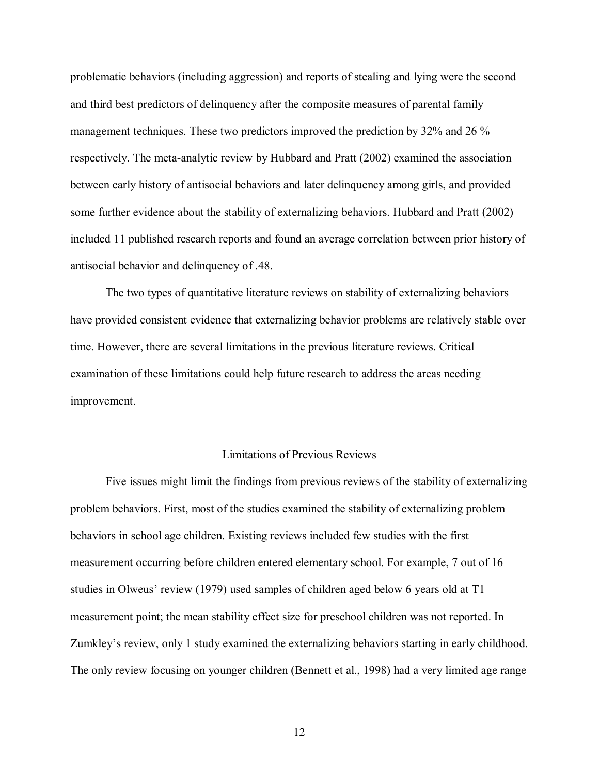problematic behaviors (including aggression) and reports of stealing and lying were the second and third best predictors of delinquency after the composite measures of parental family management techniques. These two predictors improved the prediction by 32% and 26 % respectively. The meta-analytic review by Hubbard and Pratt (2002) examined the association between early history of antisocial behaviors and later delinquency among girls, and provided some further evidence about the stability of externalizing behaviors. Hubbard and Pratt (2002) included 11 published research reports and found an average correlation between prior history of antisocial behavior and delinquency of .48.

The two types of quantitative literature reviews on stability of externalizing behaviors have provided consistent evidence that externalizing behavior problems are relatively stable over time. However, there are several limitations in the previous literature reviews. Critical examination of these limitations could help future research to address the areas needing improvement.

#### Limitations of Previous Reviews

Five issues might limit the findings from previous reviews of the stability of externalizing problem behaviors. First, most of the studies examined the stability of externalizing problem behaviors in school age children. Existing reviews included few studies with the first measurement occurring before children entered elementary school. For example, 7 out of 16 studies in Olweus' review (1979) used samples of children aged below 6 years old at T1 measurement point; the mean stability effect size for preschool children was not reported. In Zumkley's review, only 1 study examined the externalizing behaviors starting in early childhood. The only review focusing on younger children (Bennett et al., 1998) had a very limited age range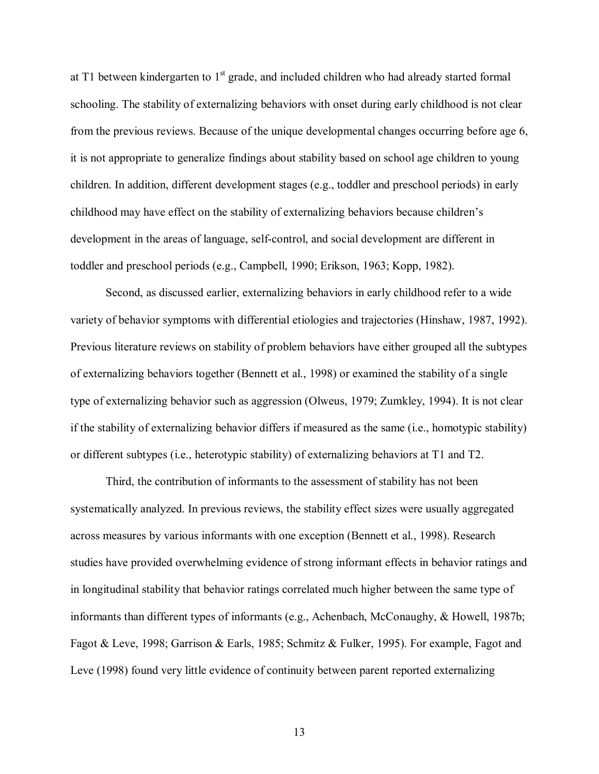at T1 between kindergarten to  $1<sup>st</sup>$  grade, and included children who had already started formal schooling. The stability of externalizing behaviors with onset during early childhood is not clear from the previous reviews. Because of the unique developmental changes occurring before age 6, it is not appropriate to generalize findings about stability based on school age children to young children. In addition, different development stages (e.g., toddler and preschool periods) in early childhood may have effect on the stability of externalizing behaviors because children's development in the areas of language, self-control, and social development are different in toddler and preschool periods (e.g., Campbell, 1990; Erikson, 1963; Kopp, 1982).

 Second, as discussed earlier, externalizing behaviors in early childhood refer to a wide variety of behavior symptoms with differential etiologies and trajectories (Hinshaw, 1987, 1992). Previous literature reviews on stability of problem behaviors have either grouped all the subtypes of externalizing behaviors together (Bennett et al., 1998) or examined the stability of a single type of externalizing behavior such as aggression (Olweus, 1979; Zumkley, 1994). It is not clear if the stability of externalizing behavior differs if measured as the same (i.e., homotypic stability) or different subtypes (i.e., heterotypic stability) of externalizing behaviors at T1 and T2.

Third, the contribution of informants to the assessment of stability has not been systematically analyzed. In previous reviews, the stability effect sizes were usually aggregated across measures by various informants with one exception (Bennett et al., 1998). Research studies have provided overwhelming evidence of strong informant effects in behavior ratings and in longitudinal stability that behavior ratings correlated much higher between the same type of informants than different types of informants (e.g., Achenbach, McConaughy, & Howell, 1987b; Fagot & Leve, 1998; Garrison & Earls, 1985; Schmitz & Fulker, 1995). For example, Fagot and Leve (1998) found very little evidence of continuity between parent reported externalizing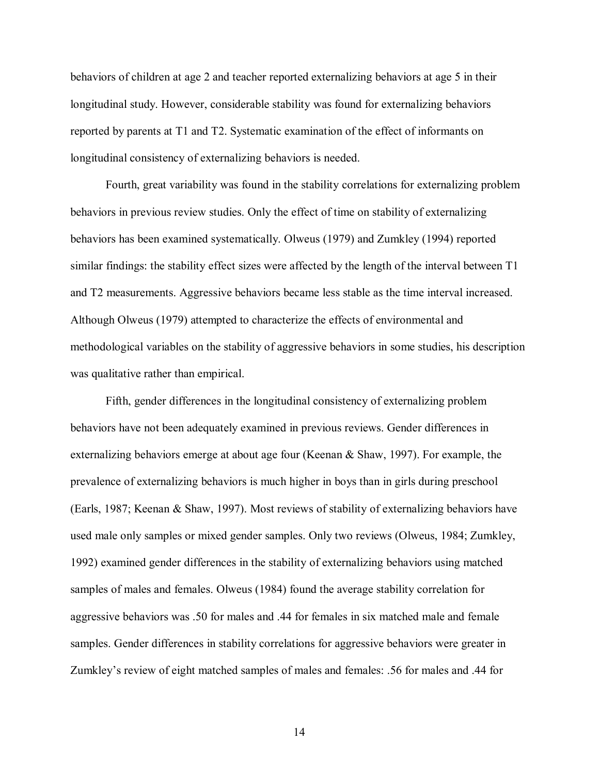behaviors of children at age 2 and teacher reported externalizing behaviors at age 5 in their longitudinal study. However, considerable stability was found for externalizing behaviors reported by parents at T1 and T2. Systematic examination of the effect of informants on longitudinal consistency of externalizing behaviors is needed.

Fourth, great variability was found in the stability correlations for externalizing problem behaviors in previous review studies. Only the effect of time on stability of externalizing behaviors has been examined systematically. Olweus (1979) and Zumkley (1994) reported similar findings: the stability effect sizes were affected by the length of the interval between T1 and T2 measurements. Aggressive behaviors became less stable as the time interval increased. Although Olweus (1979) attempted to characterize the effects of environmental and methodological variables on the stability of aggressive behaviors in some studies, his description was qualitative rather than empirical.

Fifth, gender differences in the longitudinal consistency of externalizing problem behaviors have not been adequately examined in previous reviews. Gender differences in externalizing behaviors emerge at about age four (Keenan & Shaw, 1997). For example, the prevalence of externalizing behaviors is much higher in boys than in girls during preschool (Earls, 1987; Keenan & Shaw, 1997). Most reviews of stability of externalizing behaviors have used male only samples or mixed gender samples. Only two reviews (Olweus, 1984; Zumkley, 1992) examined gender differences in the stability of externalizing behaviors using matched samples of males and females. Olweus (1984) found the average stability correlation for aggressive behaviors was .50 for males and .44 for females in six matched male and female samples. Gender differences in stability correlations for aggressive behaviors were greater in Zumkley's review of eight matched samples of males and females: .56 for males and .44 for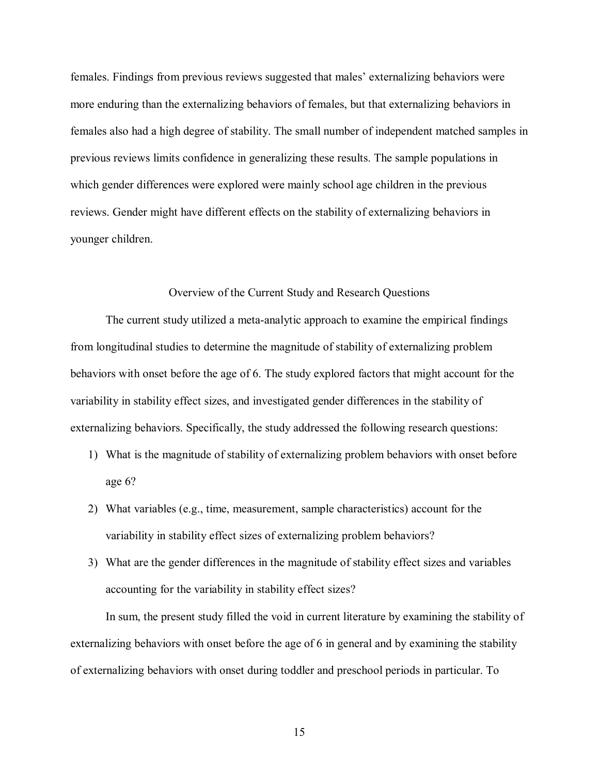females. Findings from previous reviews suggested that males' externalizing behaviors were more enduring than the externalizing behaviors of females, but that externalizing behaviors in females also had a high degree of stability. The small number of independent matched samples in previous reviews limits confidence in generalizing these results. The sample populations in which gender differences were explored were mainly school age children in the previous reviews. Gender might have different effects on the stability of externalizing behaviors in younger children.

#### Overview of the Current Study and Research Questions

The current study utilized a meta-analytic approach to examine the empirical findings from longitudinal studies to determine the magnitude of stability of externalizing problem behaviors with onset before the age of 6. The study explored factors that might account for the variability in stability effect sizes, and investigated gender differences in the stability of externalizing behaviors. Specifically, the study addressed the following research questions:

- 1) What is the magnitude of stability of externalizing problem behaviors with onset before age 6?
- 2) What variables (e.g., time, measurement, sample characteristics) account for the variability in stability effect sizes of externalizing problem behaviors?
- 3) What are the gender differences in the magnitude of stability effect sizes and variables accounting for the variability in stability effect sizes?

In sum, the present study filled the void in current literature by examining the stability of externalizing behaviors with onset before the age of 6 in general and by examining the stability of externalizing behaviors with onset during toddler and preschool periods in particular. To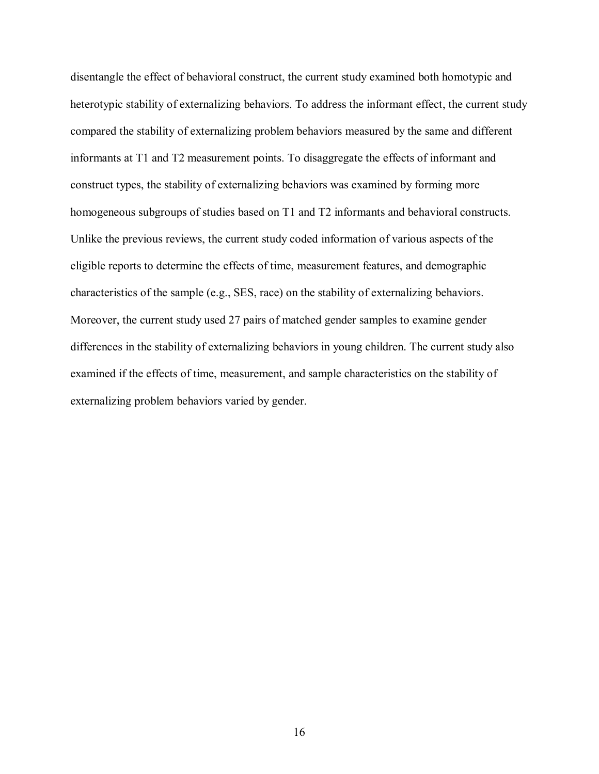disentangle the effect of behavioral construct, the current study examined both homotypic and heterotypic stability of externalizing behaviors. To address the informant effect, the current study compared the stability of externalizing problem behaviors measured by the same and different informants at T1 and T2 measurement points. To disaggregate the effects of informant and construct types, the stability of externalizing behaviors was examined by forming more homogeneous subgroups of studies based on T1 and T2 informants and behavioral constructs. Unlike the previous reviews, the current study coded information of various aspects of the eligible reports to determine the effects of time, measurement features, and demographic characteristics of the sample (e.g., SES, race) on the stability of externalizing behaviors. Moreover, the current study used 27 pairs of matched gender samples to examine gender differences in the stability of externalizing behaviors in young children. The current study also examined if the effects of time, measurement, and sample characteristics on the stability of externalizing problem behaviors varied by gender.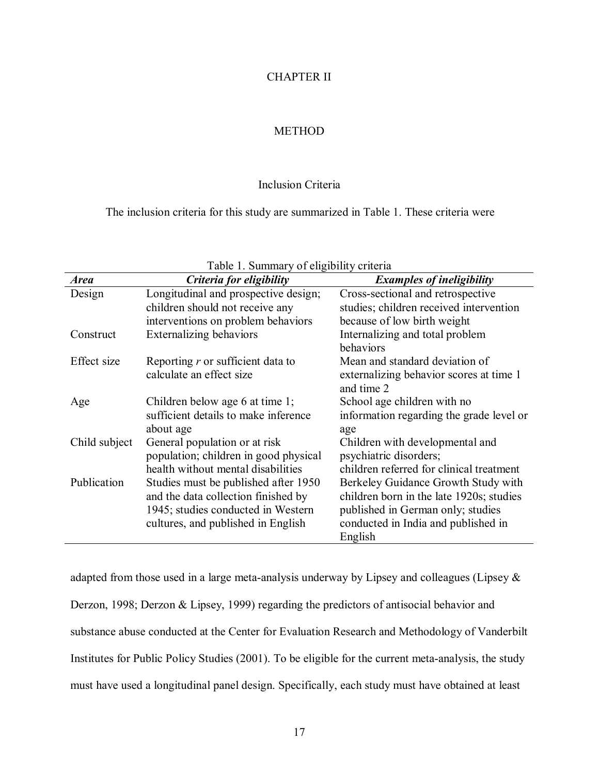#### CHAPTER II

#### **METHOD**

#### Inclusion Criteria

The inclusion criteria for this study are summarized in Table 1. These criteria were

| <b>Area</b>   | Criteria for eligibility              | <b>Examples of ineligibility</b>         |
|---------------|---------------------------------------|------------------------------------------|
| Design        | Longitudinal and prospective design;  | Cross-sectional and retrospective        |
|               | children should not receive any       | studies; children received intervention  |
|               | interventions on problem behaviors    | because of low birth weight              |
| Construct     | <b>Externalizing behaviors</b>        | Internalizing and total problem          |
|               |                                       | behaviors                                |
| Effect size   | Reporting $r$ or sufficient data to   | Mean and standard deviation of           |
|               | calculate an effect size              | externalizing behavior scores at time 1  |
|               |                                       | and time 2                               |
| Age           | Children below age 6 at time 1;       | School age children with no              |
|               | sufficient details to make inference  | information regarding the grade level or |
|               | about age                             | age                                      |
| Child subject | General population or at risk         | Children with developmental and          |
|               | population; children in good physical | psychiatric disorders;                   |
|               | health without mental disabilities    | children referred for clinical treatment |
| Publication   | Studies must be published after 1950  | Berkeley Guidance Growth Study with      |
|               | and the data collection finished by   | children born in the late 1920s; studies |
|               | 1945; studies conducted in Western    | published in German only; studies        |
|               | cultures, and published in English    | conducted in India and published in      |
|               |                                       | English                                  |

#### Table 1. Summary of eligibility criteria

adapted from those used in a large meta-analysis underway by Lipsey and colleagues (Lipsey & Derzon, 1998; Derzon & Lipsey, 1999) regarding the predictors of antisocial behavior and substance abuse conducted at the Center for Evaluation Research and Methodology of Vanderbilt Institutes for Public Policy Studies (2001). To be eligible for the current meta-analysis, the study must have used a longitudinal panel design. Specifically, each study must have obtained at least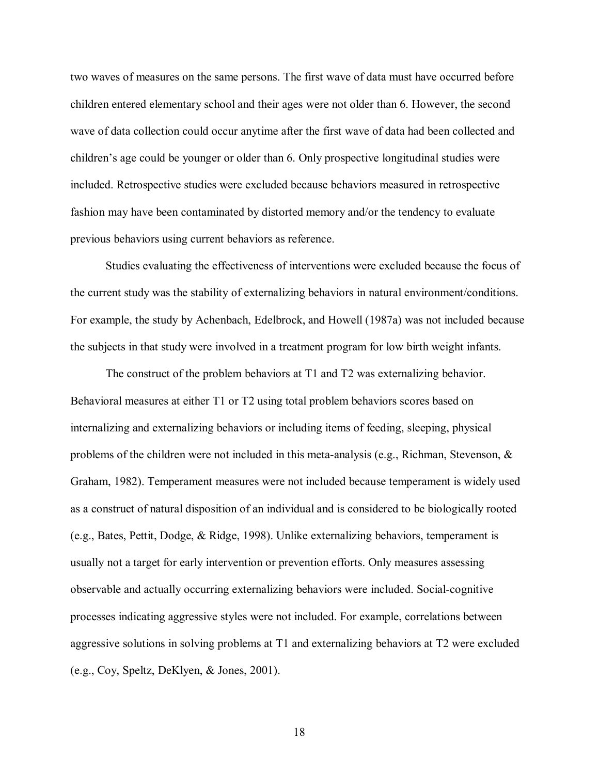two waves of measures on the same persons. The first wave of data must have occurred before children entered elementary school and their ages were not older than 6. However, the second wave of data collection could occur anytime after the first wave of data had been collected and children's age could be younger or older than 6. Only prospective longitudinal studies were included. Retrospective studies were excluded because behaviors measured in retrospective fashion may have been contaminated by distorted memory and/or the tendency to evaluate previous behaviors using current behaviors as reference.

Studies evaluating the effectiveness of interventions were excluded because the focus of the current study was the stability of externalizing behaviors in natural environment/conditions. For example, the study by Achenbach, Edelbrock, and Howell (1987a) was not included because the subjects in that study were involved in a treatment program for low birth weight infants.

The construct of the problem behaviors at T1 and T2 was externalizing behavior. Behavioral measures at either T1 or T2 using total problem behaviors scores based on internalizing and externalizing behaviors or including items of feeding, sleeping, physical problems of the children were not included in this meta-analysis (e.g., Richman, Stevenson,  $\&$ Graham, 1982). Temperament measures were not included because temperament is widely used as a construct of natural disposition of an individual and is considered to be biologically rooted (e.g., Bates, Pettit, Dodge, & Ridge, 1998). Unlike externalizing behaviors, temperament is usually not a target for early intervention or prevention efforts. Only measures assessing observable and actually occurring externalizing behaviors were included. Social-cognitive processes indicating aggressive styles were not included. For example, correlations between aggressive solutions in solving problems at T1 and externalizing behaviors at T2 were excluded (e.g., Coy, Speltz, DeKlyen, & Jones, 2001).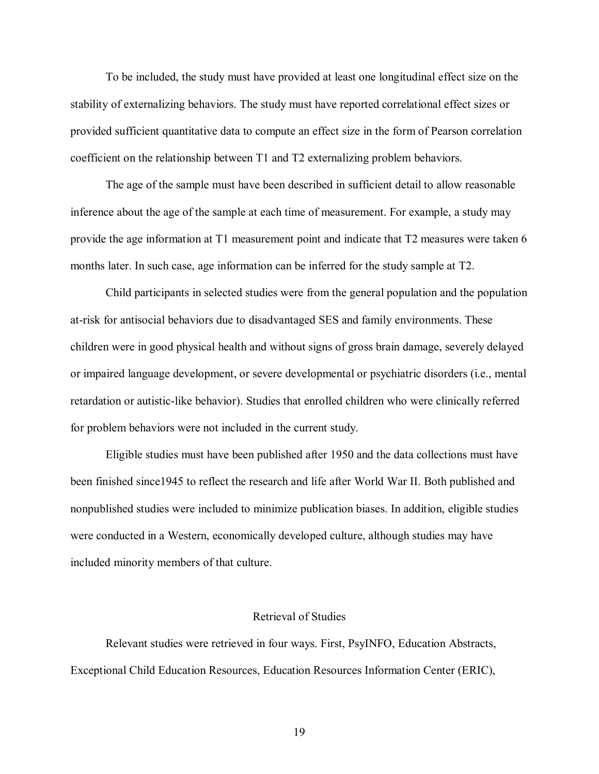To be included, the study must have provided at least one longitudinal effect size on the stability of externalizing behaviors. The study must have reported correlational effect sizes or provided sufficient quantitative data to compute an effect size in the form of Pearson correlation coefficient on the relationship between T1 and T2 externalizing problem behaviors.

 The age of the sample must have been described in sufficient detail to allow reasonable inference about the age of the sample at each time of measurement. For example, a study may provide the age information at T1 measurement point and indicate that T2 measures were taken 6 months later. In such case, age information can be inferred for the study sample at T2.

 Child participants in selected studies were from the general population and the population at-risk for antisocial behaviors due to disadvantaged SES and family environments. These children were in good physical health and without signs of gross brain damage, severely delayed or impaired language development, or severe developmental or psychiatric disorders (i.e., mental retardation or autistic-like behavior). Studies that enrolled children who were clinically referred for problem behaviors were not included in the current study.

 Eligible studies must have been published after 1950 and the data collections must have been finished since1945 to reflect the research and life after World War II. Both published and nonpublished studies were included to minimize publication biases. In addition, eligible studies were conducted in a Western, economically developed culture, although studies may have included minority members of that culture.

#### Retrieval of Studies

 Relevant studies were retrieved in four ways. First, PsyINFO, Education Abstracts, Exceptional Child Education Resources, Education Resources Information Center (ERIC),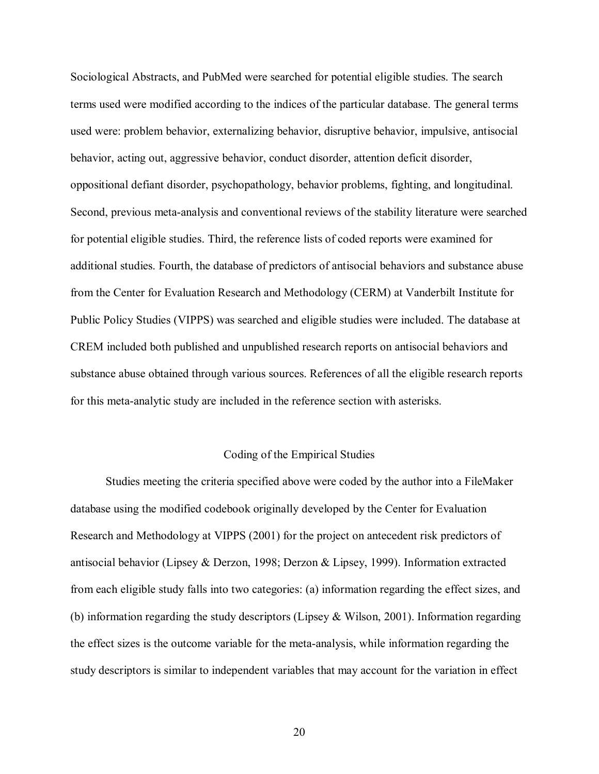Sociological Abstracts, and PubMed were searched for potential eligible studies. The search terms used were modified according to the indices of the particular database. The general terms used were: problem behavior, externalizing behavior, disruptive behavior, impulsive, antisocial behavior, acting out, aggressive behavior, conduct disorder, attention deficit disorder, oppositional defiant disorder, psychopathology, behavior problems, fighting, and longitudinal. Second, previous meta-analysis and conventional reviews of the stability literature were searched for potential eligible studies. Third, the reference lists of coded reports were examined for additional studies. Fourth, the database of predictors of antisocial behaviors and substance abuse from the Center for Evaluation Research and Methodology (CERM) at Vanderbilt Institute for Public Policy Studies (VIPPS) was searched and eligible studies were included. The database at CREM included both published and unpublished research reports on antisocial behaviors and substance abuse obtained through various sources. References of all the eligible research reports for this meta-analytic study are included in the reference section with asterisks.

#### Coding of the Empirical Studies

 Studies meeting the criteria specified above were coded by the author into a FileMaker database using the modified codebook originally developed by the Center for Evaluation Research and Methodology at VIPPS (2001) for the project on antecedent risk predictors of antisocial behavior (Lipsey & Derzon, 1998; Derzon & Lipsey, 1999). Information extracted from each eligible study falls into two categories: (a) information regarding the effect sizes, and (b) information regarding the study descriptors (Lipsey & Wilson, 2001). Information regarding the effect sizes is the outcome variable for the meta-analysis, while information regarding the study descriptors is similar to independent variables that may account for the variation in effect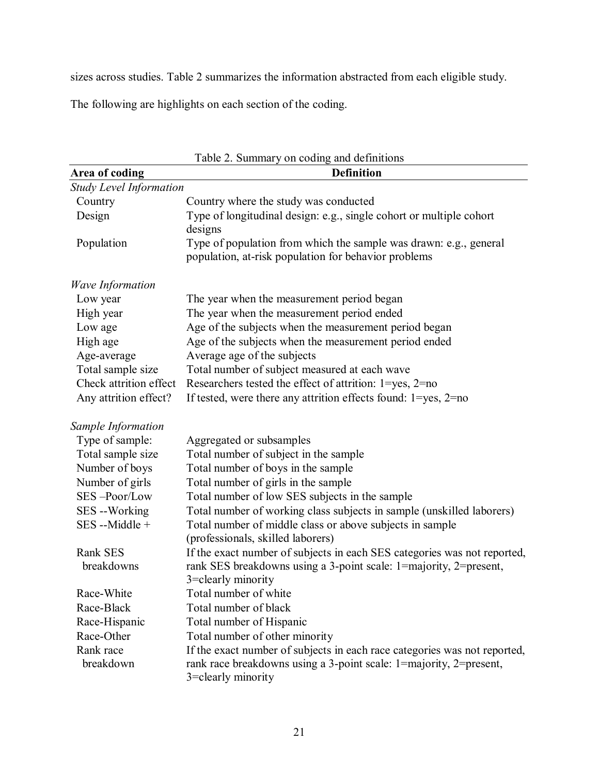sizes across studies. Table 2 summarizes the information abstracted from each eligible study.

The following are highlights on each section of the coding.

| Table 2. Summary on coding and definitions |                                                                           |  |  |  |
|--------------------------------------------|---------------------------------------------------------------------------|--|--|--|
| Area of coding                             | <b>Definition</b>                                                         |  |  |  |
| <b>Study Level Information</b>             |                                                                           |  |  |  |
| Country                                    | Country where the study was conducted                                     |  |  |  |
| Design                                     | Type of longitudinal design: e.g., single cohort or multiple cohort       |  |  |  |
|                                            | designs                                                                   |  |  |  |
| Population                                 | Type of population from which the sample was drawn: e.g., general         |  |  |  |
|                                            | population, at-risk population for behavior problems                      |  |  |  |
| <b>Wave Information</b>                    |                                                                           |  |  |  |
| Low year                                   | The year when the measurement period began                                |  |  |  |
| High year                                  | The year when the measurement period ended                                |  |  |  |
| Low age                                    | Age of the subjects when the measurement period began                     |  |  |  |
| High age                                   | Age of the subjects when the measurement period ended                     |  |  |  |
| Age-average                                | Average age of the subjects                                               |  |  |  |
| Total sample size                          | Total number of subject measured at each wave                             |  |  |  |
| Check attrition effect                     | Researchers tested the effect of attrition: 1=yes, 2=no                   |  |  |  |
| Any attrition effect?                      | If tested, were there any attrition effects found: $1 = yes$ , $2 = no$   |  |  |  |
| Sample Information                         |                                                                           |  |  |  |
| Type of sample:                            | Aggregated or subsamples                                                  |  |  |  |
| Total sample size                          | Total number of subject in the sample                                     |  |  |  |
| Number of boys                             | Total number of boys in the sample                                        |  |  |  |
| Number of girls                            | Total number of girls in the sample                                       |  |  |  |
| SES-Poor/Low                               | Total number of low SES subjects in the sample                            |  |  |  |
| SES --Working                              | Total number of working class subjects in sample (unskilled laborers)     |  |  |  |
| SES --Middle +                             | Total number of middle class or above subjects in sample                  |  |  |  |
|                                            | (professionals, skilled laborers)                                         |  |  |  |
| Rank SES                                   | If the exact number of subjects in each SES categories was not reported,  |  |  |  |
| breakdowns                                 | rank SES breakdowns using a 3-point scale: 1=majority, 2=present,         |  |  |  |
|                                            | 3=clearly minority                                                        |  |  |  |
| Race-White                                 | Total number of white                                                     |  |  |  |
| Race-Black                                 | Total number of black                                                     |  |  |  |
| Race-Hispanic                              | Total number of Hispanic                                                  |  |  |  |
| Race-Other                                 | Total number of other minority                                            |  |  |  |
| Rank race                                  | If the exact number of subjects in each race categories was not reported, |  |  |  |
| breakdown                                  | rank race breakdowns using a 3-point scale: 1=majority, 2=present,        |  |  |  |
|                                            | 3=clearly minority                                                        |  |  |  |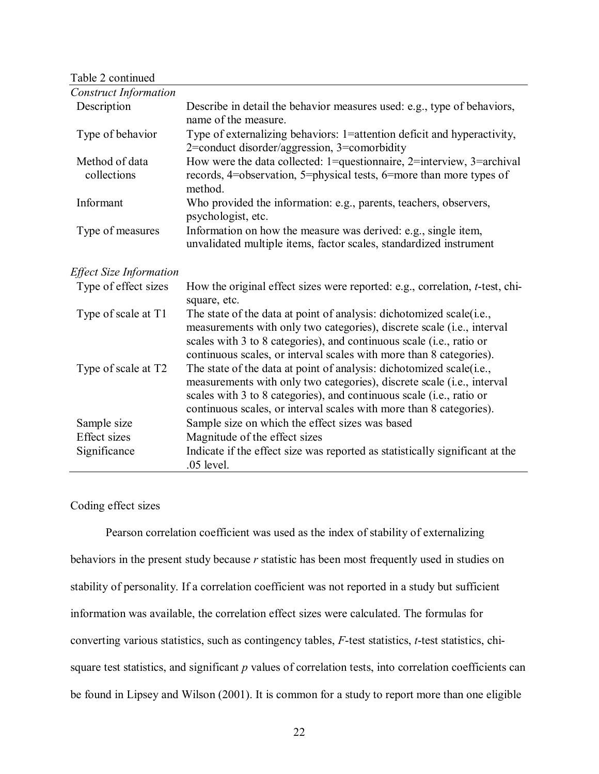Table 2 continued

| <b>Construct Information</b>   |                                                                                                                                                                                                                                                                                               |
|--------------------------------|-----------------------------------------------------------------------------------------------------------------------------------------------------------------------------------------------------------------------------------------------------------------------------------------------|
| Description                    | Describe in detail the behavior measures used: e.g., type of behaviors,<br>name of the measure.                                                                                                                                                                                               |
| Type of behavior               | Type of externalizing behaviors: 1=attention deficit and hyperactivity,<br>2=conduct disorder/aggression, 3=comorbidity                                                                                                                                                                       |
| Method of data<br>collections  | How were the data collected: 1=questionnaire, $2$ =interview, $3$ =archival<br>records, 4=observation, 5=physical tests, 6=more than more types of<br>method.                                                                                                                                 |
| Informant                      | Who provided the information: e.g., parents, teachers, observers,<br>psychologist, etc.                                                                                                                                                                                                       |
| Type of measures               | Information on how the measure was derived: e.g., single item,<br>unvalidated multiple items, factor scales, standardized instrument                                                                                                                                                          |
| <b>Effect Size Information</b> |                                                                                                                                                                                                                                                                                               |
| Type of effect sizes           | How the original effect sizes were reported: e.g., correlation, t-test, chi-<br>square, etc.                                                                                                                                                                                                  |
| Type of scale at T1            | The state of the data at point of analysis: dichotomized scale(i.e.,<br>measurements with only two categories), discrete scale (i.e., interval<br>scales with 3 to 8 categories), and continuous scale (i.e., ratio or<br>continuous scales, or interval scales with more than 8 categories). |
| Type of scale at T2            | The state of the data at point of analysis: dichotomized scale(i.e.,<br>measurements with only two categories), discrete scale (i.e., interval<br>scales with 3 to 8 categories), and continuous scale (i.e., ratio or<br>continuous scales, or interval scales with more than 8 categories). |
| Sample size                    | Sample size on which the effect sizes was based                                                                                                                                                                                                                                               |
| <b>Effect</b> sizes            | Magnitude of the effect sizes                                                                                                                                                                                                                                                                 |
| Significance                   | Indicate if the effect size was reported as statistically significant at the<br>$.05$ level.                                                                                                                                                                                                  |

#### Coding effect sizes

Pearson correlation coefficient was used as the index of stability of externalizing behaviors in the present study because *r* statistic has been most frequently used in studies on stability of personality. If a correlation coefficient was not reported in a study but sufficient information was available, the correlation effect sizes were calculated. The formulas for converting various statistics, such as contingency tables, *F*-test statistics, *t*-test statistics, chisquare test statistics, and significant *p* values of correlation tests, into correlation coefficients can be found in Lipsey and Wilson (2001). It is common for a study to report more than one eligible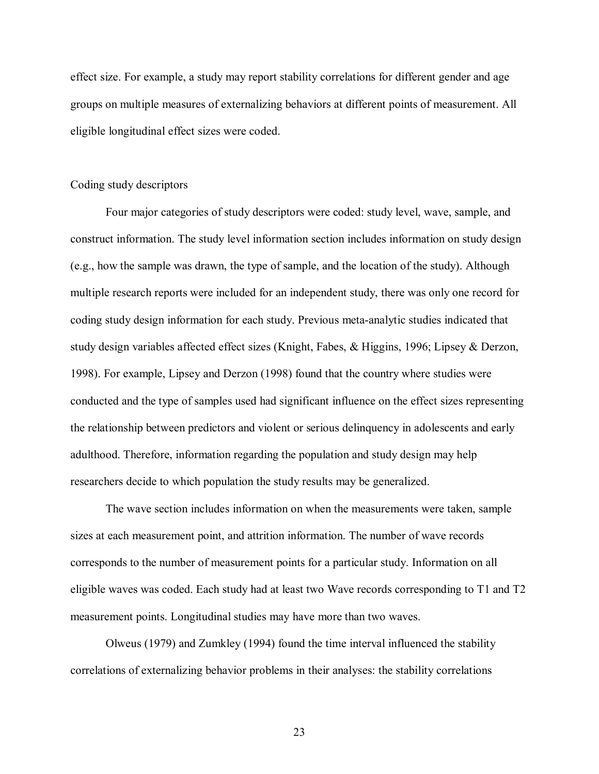effect size. For example, a study may report stability correlations for different gender and age groups on multiple measures of externalizing behaviors at different points of measurement. All eligible longitudinal effect sizes were coded.

#### Coding study descriptors

Four major categories of study descriptors were coded: study level, wave, sample, and construct information. The study level information section includes information on study design (e.g., how the sample was drawn, the type of sample, and the location of the study). Although multiple research reports were included for an independent study, there was only one record for coding study design information for each study. Previous meta-analytic studies indicated that study design variables affected effect sizes (Knight, Fabes, & Higgins, 1996; Lipsey & Derzon, 1998). For example, Lipsey and Derzon (1998) found that the country where studies were conducted and the type of samples used had significant influence on the effect sizes representing the relationship between predictors and violent or serious delinquency in adolescents and early adulthood. Therefore, information regarding the population and study design may help researchers decide to which population the study results may be generalized.

The wave section includes information on when the measurements were taken, sample sizes at each measurement point, and attrition information. The number of wave records corresponds to the number of measurement points for a particular study. Information on all eligible waves was coded. Each study had at least two Wave records corresponding to T1 and T2 measurement points. Longitudinal studies may have more than two waves.

Olweus (1979) and Zumkley (1994) found the time interval influenced the stability correlations of externalizing behavior problems in their analyses: the stability correlations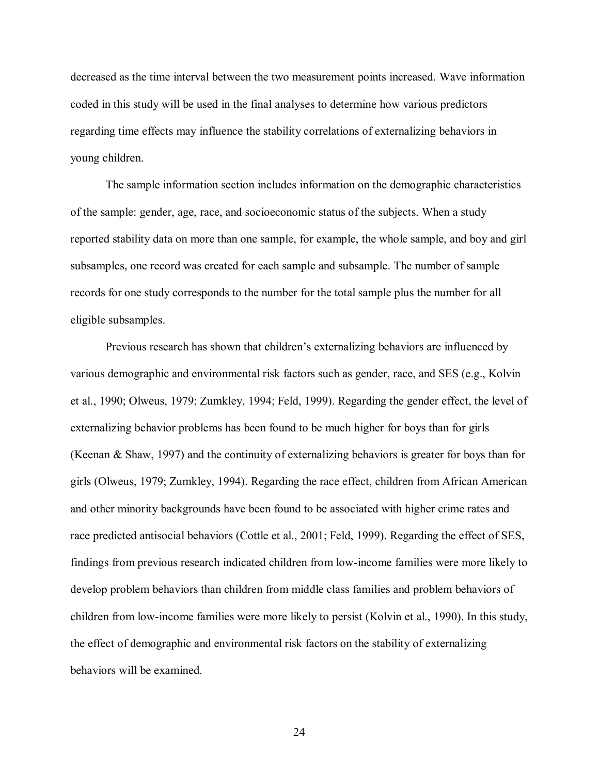decreased as the time interval between the two measurement points increased. Wave information coded in this study will be used in the final analyses to determine how various predictors regarding time effects may influence the stability correlations of externalizing behaviors in young children.

The sample information section includes information on the demographic characteristics of the sample: gender, age, race, and socioeconomic status of the subjects. When a study reported stability data on more than one sample, for example, the whole sample, and boy and girl subsamples, one record was created for each sample and subsample. The number of sample records for one study corresponds to the number for the total sample plus the number for all eligible subsamples.

Previous research has shown that children's externalizing behaviors are influenced by various demographic and environmental risk factors such as gender, race, and SES (e.g., Kolvin et al., 1990; Olweus, 1979; Zumkley, 1994; Feld, 1999). Regarding the gender effect, the level of externalizing behavior problems has been found to be much higher for boys than for girls (Keenan & Shaw, 1997) and the continuity of externalizing behaviors is greater for boys than for girls (Olweus, 1979; Zumkley, 1994). Regarding the race effect, children from African American and other minority backgrounds have been found to be associated with higher crime rates and race predicted antisocial behaviors (Cottle et al., 2001; Feld, 1999). Regarding the effect of SES, findings from previous research indicated children from low-income families were more likely to develop problem behaviors than children from middle class families and problem behaviors of children from low-income families were more likely to persist (Kolvin et al., 1990). In this study, the effect of demographic and environmental risk factors on the stability of externalizing behaviors will be examined.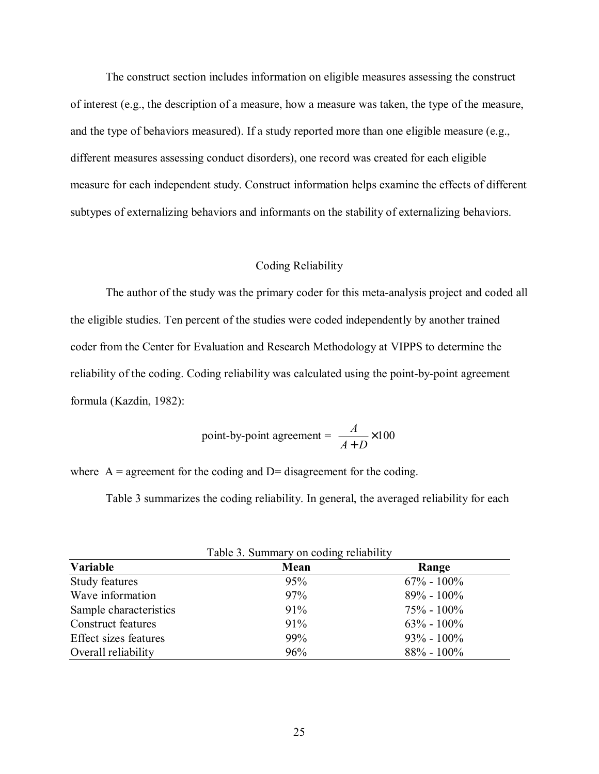The construct section includes information on eligible measures assessing the construct of interest (e.g., the description of a measure, how a measure was taken, the type of the measure, and the type of behaviors measured). If a study reported more than one eligible measure (e.g., different measures assessing conduct disorders), one record was created for each eligible measure for each independent study. Construct information helps examine the effects of different subtypes of externalizing behaviors and informants on the stability of externalizing behaviors.

#### Coding Reliability

The author of the study was the primary coder for this meta-analysis project and coded all the eligible studies. Ten percent of the studies were coded independently by another trained coder from the Center for Evaluation and Research Methodology at VIPPS to determine the reliability of the coding. Coding reliability was calculated using the point-by-point agreement formula (Kazdin, 1982):

point-by-point agreement = 
$$
\frac{A}{A+D} \times 100
$$

where  $A =$  agreement for the coding and  $D =$  disagreement for the coding.

Table 3 summarizes the coding reliability. In general, the averaged reliability for each

| Variable                  | Mean | Range          |
|---------------------------|------|----------------|
| Study features            | 95%  | $67\% - 100\%$ |
| Wave information          | 97%  | $89\% - 100\%$ |
| Sample characteristics    | 91%  | $75\% - 100\%$ |
| <b>Construct features</b> | 91%  | $63\% - 100\%$ |
| Effect sizes features     | 99%  | $93\% - 100\%$ |
| Overall reliability       | 96%  | $88\% - 100\%$ |

|  | Table 3. Summary on coding reliability |  |  |
|--|----------------------------------------|--|--|
|  |                                        |  |  |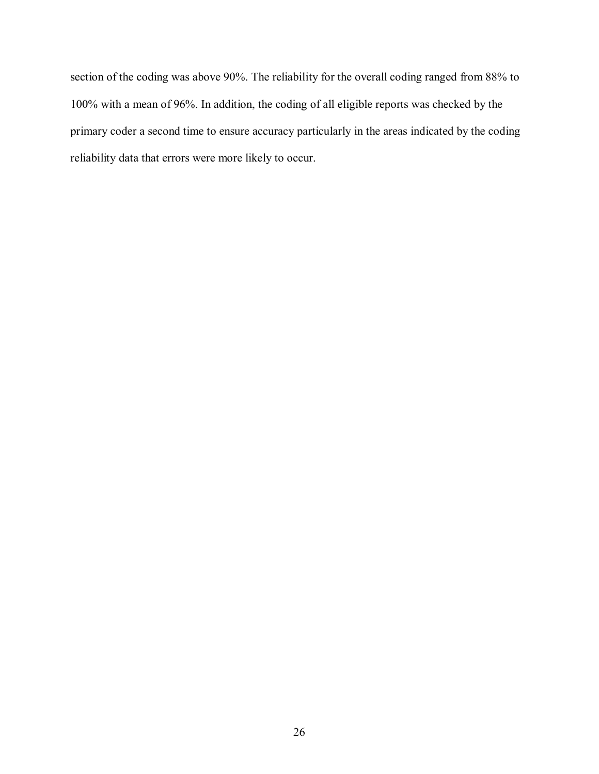section of the coding was above 90%. The reliability for the overall coding ranged from 88% to 100% with a mean of 96%. In addition, the coding of all eligible reports was checked by the primary coder a second time to ensure accuracy particularly in the areas indicated by the coding reliability data that errors were more likely to occur.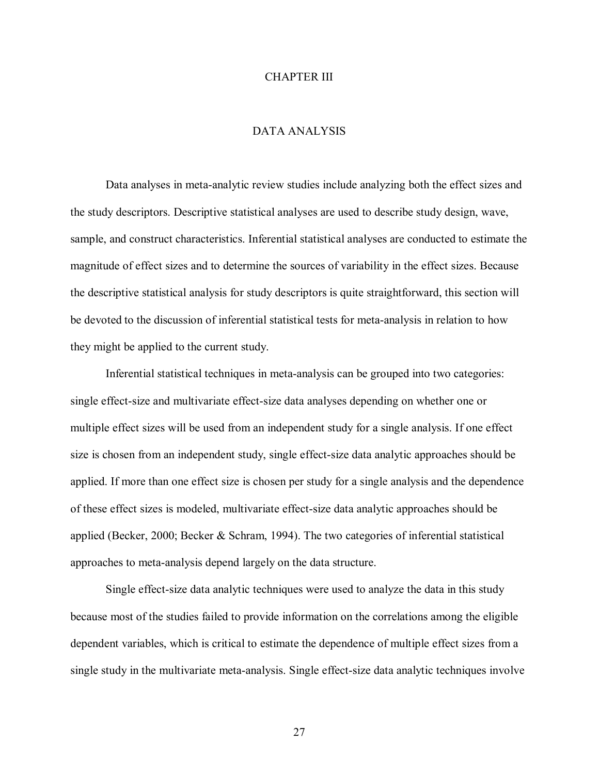### CHAPTER III

# DATA ANALYSIS

 Data analyses in meta-analytic review studies include analyzing both the effect sizes and the study descriptors. Descriptive statistical analyses are used to describe study design, wave, sample, and construct characteristics. Inferential statistical analyses are conducted to estimate the magnitude of effect sizes and to determine the sources of variability in the effect sizes. Because the descriptive statistical analysis for study descriptors is quite straightforward, this section will be devoted to the discussion of inferential statistical tests for meta-analysis in relation to how they might be applied to the current study.

Inferential statistical techniques in meta-analysis can be grouped into two categories: single effect-size and multivariate effect-size data analyses depending on whether one or multiple effect sizes will be used from an independent study for a single analysis. If one effect size is chosen from an independent study, single effect-size data analytic approaches should be applied. If more than one effect size is chosen per study for a single analysis and the dependence of these effect sizes is modeled, multivariate effect-size data analytic approaches should be applied (Becker, 2000; Becker & Schram, 1994). The two categories of inferential statistical approaches to meta-analysis depend largely on the data structure.

 Single effect-size data analytic techniques were used to analyze the data in this study because most of the studies failed to provide information on the correlations among the eligible dependent variables, which is critical to estimate the dependence of multiple effect sizes from a single study in the multivariate meta-analysis. Single effect-size data analytic techniques involve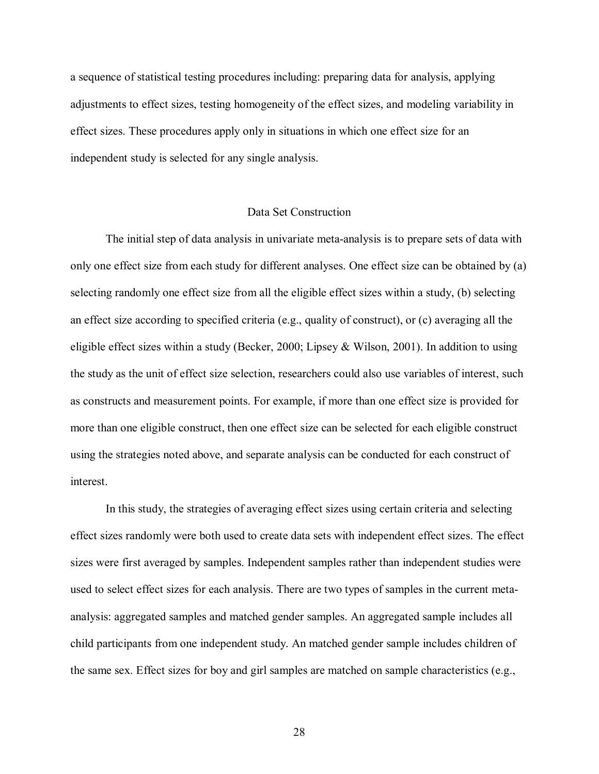a sequence of statistical testing procedures including: preparing data for analysis, applying adjustments to effect sizes, testing homogeneity of the effect sizes, and modeling variability in effect sizes. These procedures apply only in situations in which one effect size for an independent study is selected for any single analysis.

# Data Set Construction

The initial step of data analysis in univariate meta-analysis is to prepare sets of data with only one effect size from each study for different analyses. One effect size can be obtained by (a) selecting randomly one effect size from all the eligible effect sizes within a study, (b) selecting an effect size according to specified criteria (e.g., quality of construct), or (c) averaging all the eligible effect sizes within a study (Becker, 2000; Lipsey & Wilson, 2001). In addition to using the study as the unit of effect size selection, researchers could also use variables of interest, such as constructs and measurement points. For example, if more than one effect size is provided for more than one eligible construct, then one effect size can be selected for each eligible construct using the strategies noted above, and separate analysis can be conducted for each construct of interest.

In this study, the strategies of averaging effect sizes using certain criteria and selecting effect sizes randomly were both used to create data sets with independent effect sizes. The effect sizes were first averaged by samples. Independent samples rather than independent studies were used to select effect sizes for each analysis. There are two types of samples in the current metaanalysis: aggregated samples and matched gender samples. An aggregated sample includes all child participants from one independent study. An matched gender sample includes children of the same sex. Effect sizes for boy and girl samples are matched on sample characteristics (e.g.,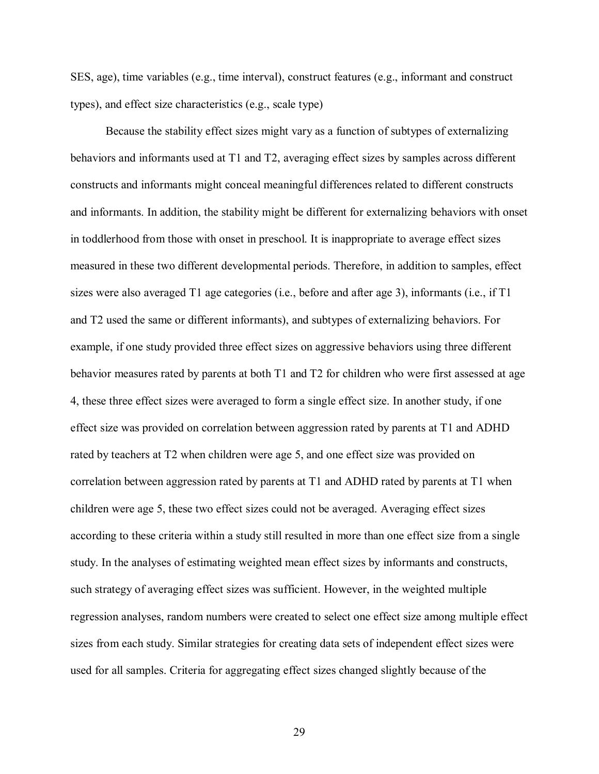SES, age), time variables (e.g., time interval), construct features (e.g., informant and construct types), and effect size characteristics (e.g., scale type)

Because the stability effect sizes might vary as a function of subtypes of externalizing behaviors and informants used at T1 and T2, averaging effect sizes by samples across different constructs and informants might conceal meaningful differences related to different constructs and informants. In addition, the stability might be different for externalizing behaviors with onset in toddlerhood from those with onset in preschool. It is inappropriate to average effect sizes measured in these two different developmental periods. Therefore, in addition to samples, effect sizes were also averaged T1 age categories (i.e., before and after age 3), informants (i.e., if T1 and T2 used the same or different informants), and subtypes of externalizing behaviors. For example, if one study provided three effect sizes on aggressive behaviors using three different behavior measures rated by parents at both T1 and T2 for children who were first assessed at age 4, these three effect sizes were averaged to form a single effect size. In another study, if one effect size was provided on correlation between aggression rated by parents at T1 and ADHD rated by teachers at T2 when children were age 5, and one effect size was provided on correlation between aggression rated by parents at T1 and ADHD rated by parents at T1 when children were age 5, these two effect sizes could not be averaged. Averaging effect sizes according to these criteria within a study still resulted in more than one effect size from a single study. In the analyses of estimating weighted mean effect sizes by informants and constructs, such strategy of averaging effect sizes was sufficient. However, in the weighted multiple regression analyses, random numbers were created to select one effect size among multiple effect sizes from each study. Similar strategies for creating data sets of independent effect sizes were used for all samples. Criteria for aggregating effect sizes changed slightly because of the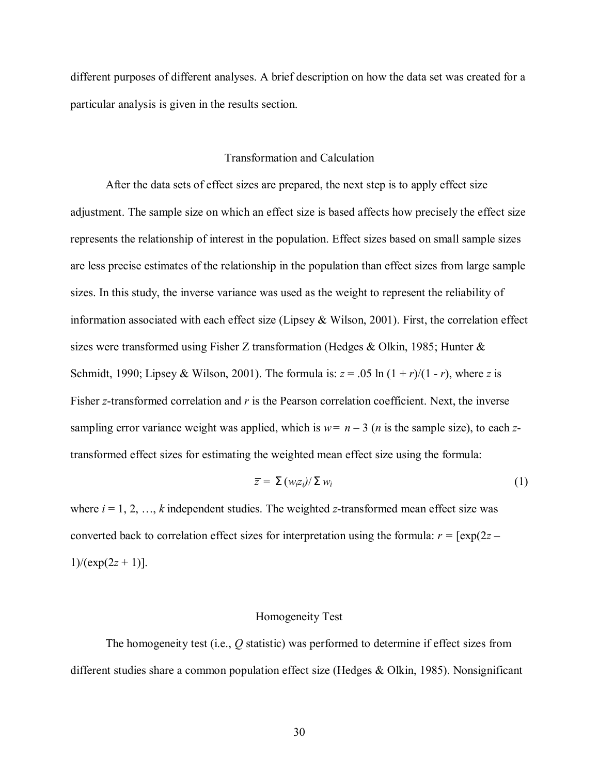different purposes of different analyses. A brief description on how the data set was created for a particular analysis is given in the results section.

### Transformation and Calculation

After the data sets of effect sizes are prepared, the next step is to apply effect size adjustment. The sample size on which an effect size is based affects how precisely the effect size represents the relationship of interest in the population. Effect sizes based on small sample sizes are less precise estimates of the relationship in the population than effect sizes from large sample sizes. In this study, the inverse variance was used as the weight to represent the reliability of information associated with each effect size (Lipsey & Wilson, 2001). First, the correlation effect sizes were transformed using Fisher Z transformation (Hedges & Olkin, 1985; Hunter & Schmidt, 1990; Lipsey & Wilson, 2001). The formula is:  $z = .05 \ln(1 + r)/(1 - r)$ , where *z* is Fisher *z*-transformed correlation and *r* is the Pearson correlation coefficient. Next, the inverse sampling error variance weight was applied, which is  $w = n - 3$  (*n* is the sample size), to each *z*transformed effect sizes for estimating the weighted mean effect size using the formula:

$$
\overline{z} = \sum (w_i z_i) / \sum w_i \tag{1}
$$

where  $i = 1, 2, \ldots, k$  independent studies. The weighted *z*-transformed mean effect size was converted back to correlation effect sizes for interpretation using the formula:  $r = \frac{\exp(2z - \mu)}{2a}$  $1)/(exp(2z + 1))$ .

#### Homogeneity Test

The homogeneity test (i.e., *Q* statistic) was performed to determine if effect sizes from different studies share a common population effect size (Hedges & Olkin, 1985). Nonsignificant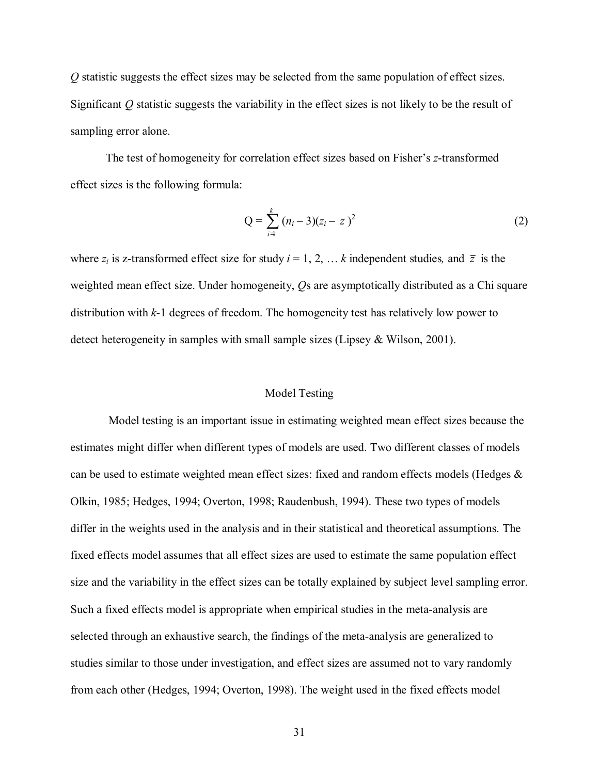*Q* statistic suggests the effect sizes may be selected from the same population of effect sizes. Significant *Q* statistic suggests the variability in the effect sizes is not likely to be the result of sampling error alone.

The test of homogeneity for correlation effect sizes based on Fisher's *z*-transformed effect sizes is the following formula:

$$
Q = \sum_{i=1}^{k} (n_i - 3)(z_i - \bar{z})^2
$$
 (2)

where  $z_i$  is z-transformed effect size for study  $i = 1, 2, \ldots k$  independent studies, and  $\bar{z}$  is the weighted mean effect size. Under homogeneity, *Q*s are asymptotically distributed as a Chi square distribution with *k*-1 degrees of freedom. The homogeneity test has relatively low power to detect heterogeneity in samples with small sample sizes (Lipsey & Wilson, 2001).

# Model Testing

 Model testing is an important issue in estimating weighted mean effect sizes because the estimates might differ when different types of models are used. Two different classes of models can be used to estimate weighted mean effect sizes: fixed and random effects models (Hedges & Olkin, 1985; Hedges, 1994; Overton, 1998; Raudenbush, 1994). These two types of models differ in the weights used in the analysis and in their statistical and theoretical assumptions. The fixed effects model assumes that all effect sizes are used to estimate the same population effect size and the variability in the effect sizes can be totally explained by subject level sampling error. Such a fixed effects model is appropriate when empirical studies in the meta-analysis are selected through an exhaustive search, the findings of the meta-analysis are generalized to studies similar to those under investigation, and effect sizes are assumed not to vary randomly from each other (Hedges, 1994; Overton, 1998). The weight used in the fixed effects model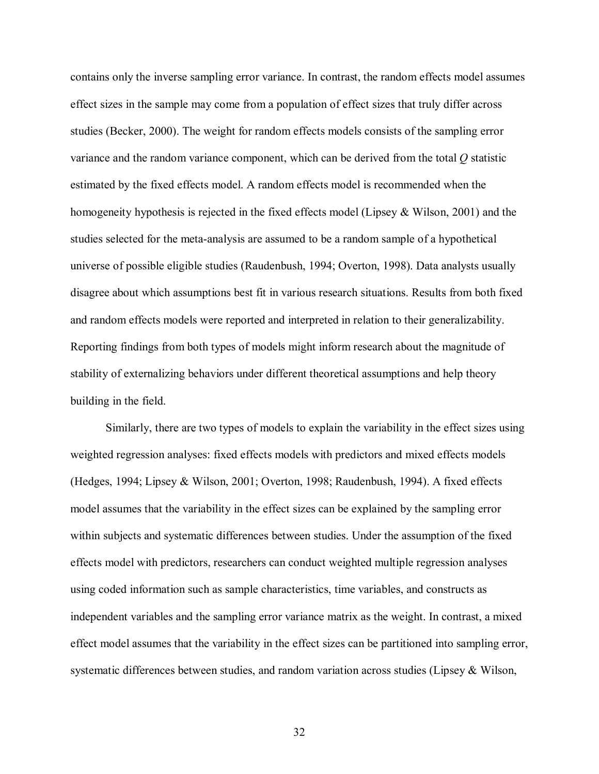contains only the inverse sampling error variance. In contrast, the random effects model assumes effect sizes in the sample may come from a population of effect sizes that truly differ across studies (Becker, 2000). The weight for random effects models consists of the sampling error variance and the random variance component, which can be derived from the total *Q* statistic estimated by the fixed effects model. A random effects model is recommended when the homogeneity hypothesis is rejected in the fixed effects model (Lipsey & Wilson, 2001) and the studies selected for the meta-analysis are assumed to be a random sample of a hypothetical universe of possible eligible studies (Raudenbush, 1994; Overton, 1998). Data analysts usually disagree about which assumptions best fit in various research situations. Results from both fixed and random effects models were reported and interpreted in relation to their generalizability. Reporting findings from both types of models might inform research about the magnitude of stability of externalizing behaviors under different theoretical assumptions and help theory building in the field.

Similarly, there are two types of models to explain the variability in the effect sizes using weighted regression analyses: fixed effects models with predictors and mixed effects models (Hedges, 1994; Lipsey & Wilson, 2001; Overton, 1998; Raudenbush, 1994). A fixed effects model assumes that the variability in the effect sizes can be explained by the sampling error within subjects and systematic differences between studies. Under the assumption of the fixed effects model with predictors, researchers can conduct weighted multiple regression analyses using coded information such as sample characteristics, time variables, and constructs as independent variables and the sampling error variance matrix as the weight. In contrast, a mixed effect model assumes that the variability in the effect sizes can be partitioned into sampling error, systematic differences between studies, and random variation across studies (Lipsey & Wilson,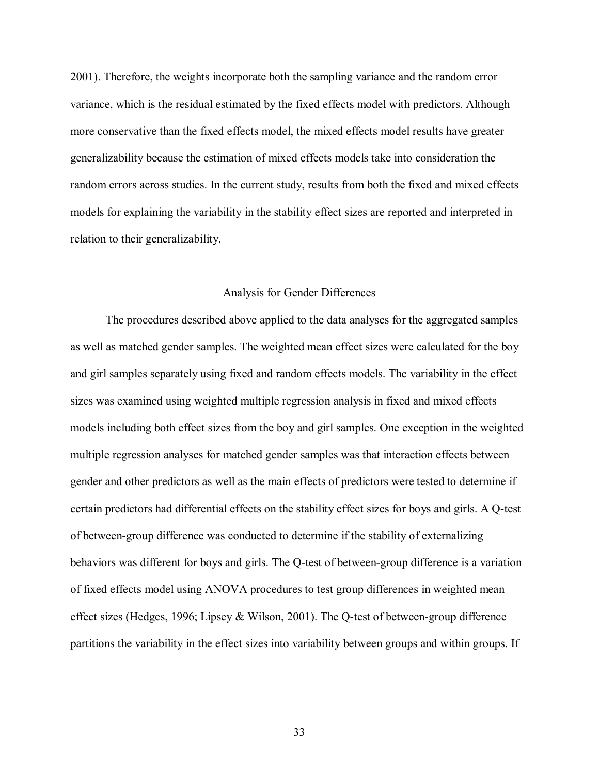2001). Therefore, the weights incorporate both the sampling variance and the random error variance, which is the residual estimated by the fixed effects model with predictors. Although more conservative than the fixed effects model, the mixed effects model results have greater generalizability because the estimation of mixed effects models take into consideration the random errors across studies. In the current study, results from both the fixed and mixed effects models for explaining the variability in the stability effect sizes are reported and interpreted in relation to their generalizability.

# Analysis for Gender Differences

 The procedures described above applied to the data analyses for the aggregated samples as well as matched gender samples. The weighted mean effect sizes were calculated for the boy and girl samples separately using fixed and random effects models. The variability in the effect sizes was examined using weighted multiple regression analysis in fixed and mixed effects models including both effect sizes from the boy and girl samples. One exception in the weighted multiple regression analyses for matched gender samples was that interaction effects between gender and other predictors as well as the main effects of predictors were tested to determine if certain predictors had differential effects on the stability effect sizes for boys and girls. A Q-test of between-group difference was conducted to determine if the stability of externalizing behaviors was different for boys and girls. The Q-test of between-group difference is a variation of fixed effects model using ANOVA procedures to test group differences in weighted mean effect sizes (Hedges, 1996; Lipsey & Wilson, 2001). The Q-test of between-group difference partitions the variability in the effect sizes into variability between groups and within groups. If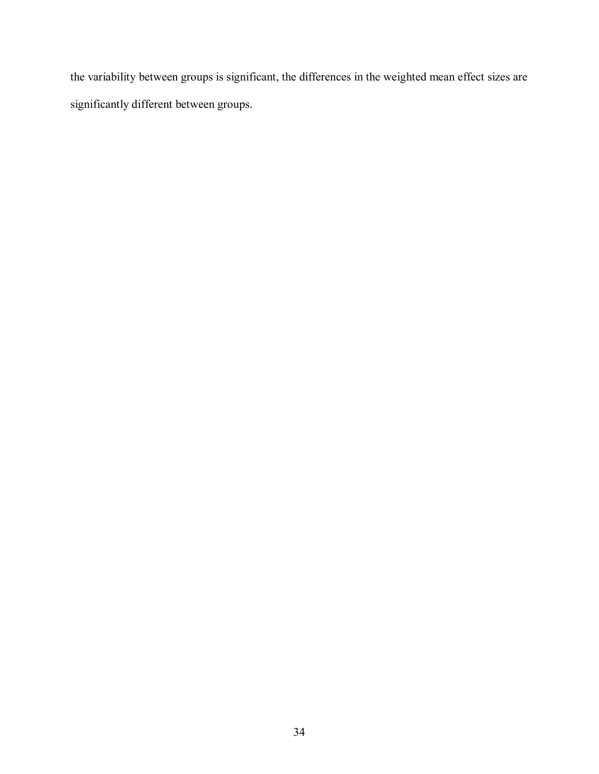the variability between groups is significant, the differences in the weighted mean effect sizes are significantly different between groups.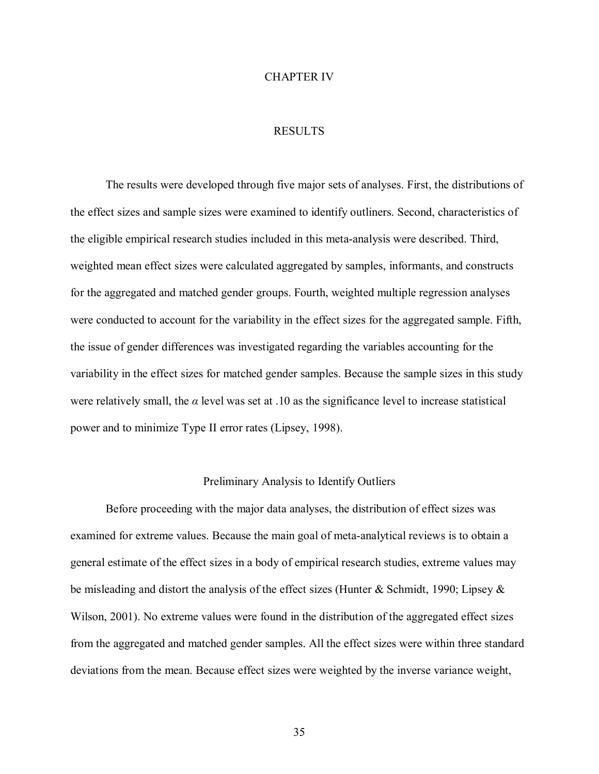### CHAPTER IV

# RESULTS

 The results were developed through five major sets of analyses. First, the distributions of the effect sizes and sample sizes were examined to identify outliners. Second, characteristics of the eligible empirical research studies included in this meta-analysis were described. Third, weighted mean effect sizes were calculated aggregated by samples, informants, and constructs for the aggregated and matched gender groups. Fourth, weighted multiple regression analyses were conducted to account for the variability in the effect sizes for the aggregated sample. Fifth, the issue of gender differences was investigated regarding the variables accounting for the variability in the effect sizes for matched gender samples. Because the sample sizes in this study were relatively small, the  $\alpha$  level was set at .10 as the significance level to increase statistical power and to minimize Type II error rates (Lipsey, 1998).

### Preliminary Analysis to Identify Outliers

 Before proceeding with the major data analyses, the distribution of effect sizes was examined for extreme values. Because the main goal of meta-analytical reviews is to obtain a general estimate of the effect sizes in a body of empirical research studies, extreme values may be misleading and distort the analysis of the effect sizes (Hunter & Schmidt, 1990; Lipsey & Wilson, 2001). No extreme values were found in the distribution of the aggregated effect sizes from the aggregated and matched gender samples. All the effect sizes were within three standard deviations from the mean. Because effect sizes were weighted by the inverse variance weight,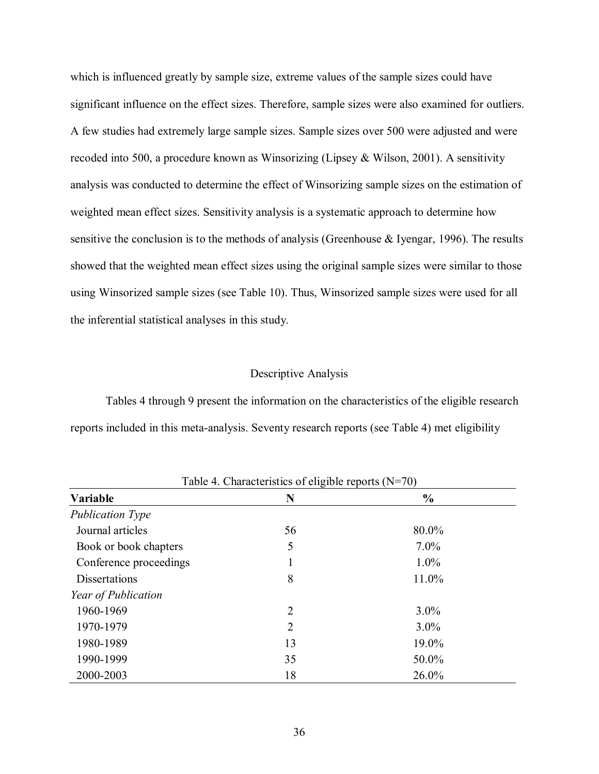which is influenced greatly by sample size, extreme values of the sample sizes could have significant influence on the effect sizes. Therefore, sample sizes were also examined for outliers. A few studies had extremely large sample sizes. Sample sizes over 500 were adjusted and were recoded into 500, a procedure known as Winsorizing (Lipsey & Wilson, 2001). A sensitivity analysis was conducted to determine the effect of Winsorizing sample sizes on the estimation of weighted mean effect sizes. Sensitivity analysis is a systematic approach to determine how sensitive the conclusion is to the methods of analysis (Greenhouse & Iyengar, 1996). The results showed that the weighted mean effect sizes using the original sample sizes were similar to those using Winsorized sample sizes (see Table 10). Thus, Winsorized sample sizes were used for all the inferential statistical analyses in this study.

# Descriptive Analysis

 Tables 4 through 9 present the information on the characteristics of the eligible research reports included in this meta-analysis. Seventy research reports (see Table 4) met eligibility

| Variable                | N  | $\frac{6}{9}$ |  |
|-------------------------|----|---------------|--|
| <b>Publication Type</b> |    |               |  |
| Journal articles        | 56 | 80.0%         |  |
| Book or book chapters   | 5  | $7.0\%$       |  |
| Conference proceedings  |    | $1.0\%$       |  |
| <b>Dissertations</b>    | 8  | 11.0%         |  |
| Year of Publication     |    |               |  |
| 1960-1969               | 2  | $3.0\%$       |  |
| 1970-1979               | 2  | $3.0\%$       |  |
| 1980-1989               | 13 | 19.0%         |  |
| 1990-1999               | 35 | 50.0%         |  |
| 2000-2003               | 18 | 26.0%         |  |

 $T<sub>ch</sub>1<sub>2</sub>$   $A$  Characteristics of eligible reports  $(N=70)$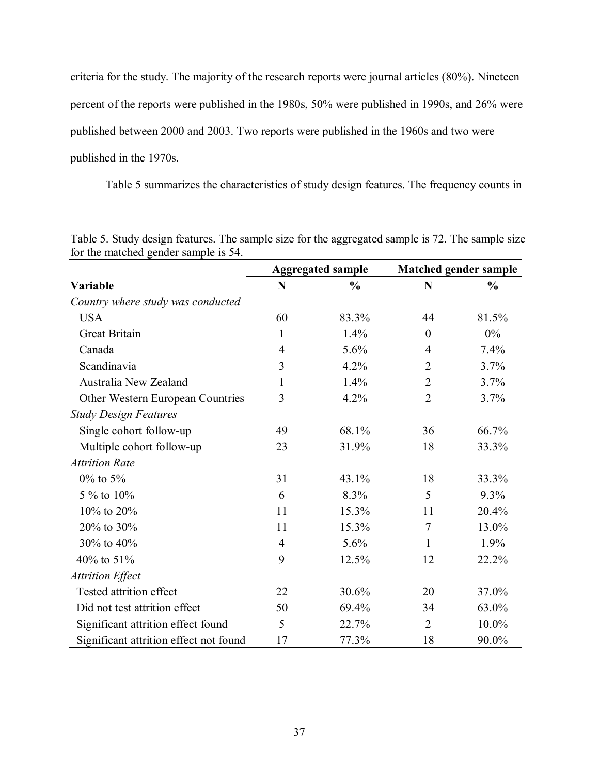criteria for the study. The majority of the research reports were journal articles (80%). Nineteen percent of the reports were published in the 1980s, 50% were published in 1990s, and 26% were published between 2000 and 2003. Two reports were published in the 1960s and two were published in the 1970s.

Table 5 summarizes the characteristics of study design features. The frequency counts in

|                                        |                | <b>Aggregated sample</b> | <b>Matched gender sample</b> |               |  |
|----------------------------------------|----------------|--------------------------|------------------------------|---------------|--|
| Variable                               | N              | $\frac{0}{0}$            | N                            | $\frac{0}{0}$ |  |
| Country where study was conducted      |                |                          |                              |               |  |
| <b>USA</b>                             | 60             | 83.3%                    | 44                           | 81.5%         |  |
| <b>Great Britain</b>                   | 1              | 1.4%                     | $\boldsymbol{0}$             | $0\%$         |  |
| Canada                                 | $\overline{4}$ | 5.6%                     | 4                            | 7.4%          |  |
| Scandinavia                            | 3              | 4.2%                     | $\overline{2}$               | 3.7%          |  |
| Australia New Zealand                  | 1              | 1.4%                     | $\overline{2}$               | 3.7%          |  |
| Other Western European Countries       | 3              | 4.2%                     | $\overline{2}$               | 3.7%          |  |
| <b>Study Design Features</b>           |                |                          |                              |               |  |
| Single cohort follow-up                | 49             | 68.1%                    | 36                           | 66.7%         |  |
| Multiple cohort follow-up              | 23             | 31.9%                    | 18                           | 33.3%         |  |
| <b>Attrition Rate</b>                  |                |                          |                              |               |  |
| $0\%$ to 5%                            | 31             | 43.1%                    | 18                           | 33.3%         |  |
| 5 % to 10%                             | 6              | 8.3%                     | 5                            | 9.3%          |  |
| 10% to 20%                             | 11             | 15.3%                    | 11                           | 20.4%         |  |
| 20% to 30%                             | 11             | 15.3%                    | $\tau$                       | 13.0%         |  |
| 30% to 40%                             | $\overline{4}$ | 5.6%                     | $\mathbf{1}$                 | 1.9%          |  |
| 40% to 51%                             | 9              | 12.5%                    | 12                           | 22.2%         |  |
| <b>Attrition Effect</b>                |                |                          |                              |               |  |
| Tested attrition effect                | 22             | 30.6%                    | 20                           | 37.0%         |  |
| Did not test attrition effect          | 50             | 69.4%                    | 34                           | 63.0%         |  |
| Significant attrition effect found     | 5              | 22.7%                    | $\overline{2}$               | $10.0\%$      |  |
| Significant attrition effect not found | 17             | 77.3%                    | 18                           | 90.0%         |  |

Table 5. Study design features. The sample size for the aggregated sample is 72. The sample size for the matched gender sample is 54.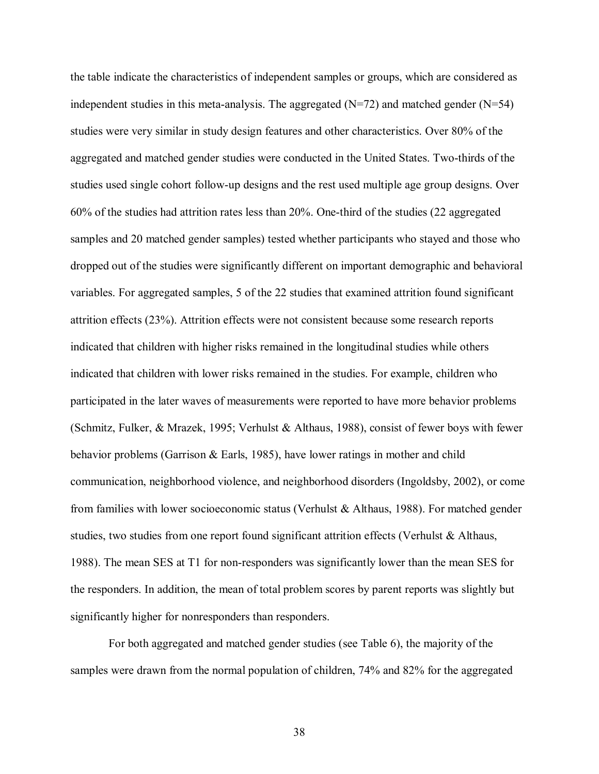the table indicate the characteristics of independent samples or groups, which are considered as independent studies in this meta-analysis. The aggregated  $(N=72)$  and matched gender  $(N=54)$ studies were very similar in study design features and other characteristics. Over 80% of the aggregated and matched gender studies were conducted in the United States. Two-thirds of the studies used single cohort follow-up designs and the rest used multiple age group designs. Over 60% of the studies had attrition rates less than 20%. One-third of the studies (22 aggregated samples and 20 matched gender samples) tested whether participants who stayed and those who dropped out of the studies were significantly different on important demographic and behavioral variables. For aggregated samples, 5 of the 22 studies that examined attrition found significant attrition effects (23%). Attrition effects were not consistent because some research reports indicated that children with higher risks remained in the longitudinal studies while others indicated that children with lower risks remained in the studies. For example, children who participated in the later waves of measurements were reported to have more behavior problems (Schmitz, Fulker, & Mrazek, 1995; Verhulst & Althaus, 1988), consist of fewer boys with fewer behavior problems (Garrison & Earls, 1985), have lower ratings in mother and child communication, neighborhood violence, and neighborhood disorders (Ingoldsby, 2002), or come from families with lower socioeconomic status (Verhulst & Althaus, 1988). For matched gender studies, two studies from one report found significant attrition effects (Verhulst & Althaus, 1988). The mean SES at T1 for non-responders was significantly lower than the mean SES for the responders. In addition, the mean of total problem scores by parent reports was slightly but significantly higher for nonresponders than responders.

 For both aggregated and matched gender studies (see Table 6), the majority of the samples were drawn from the normal population of children, 74% and 82% for the aggregated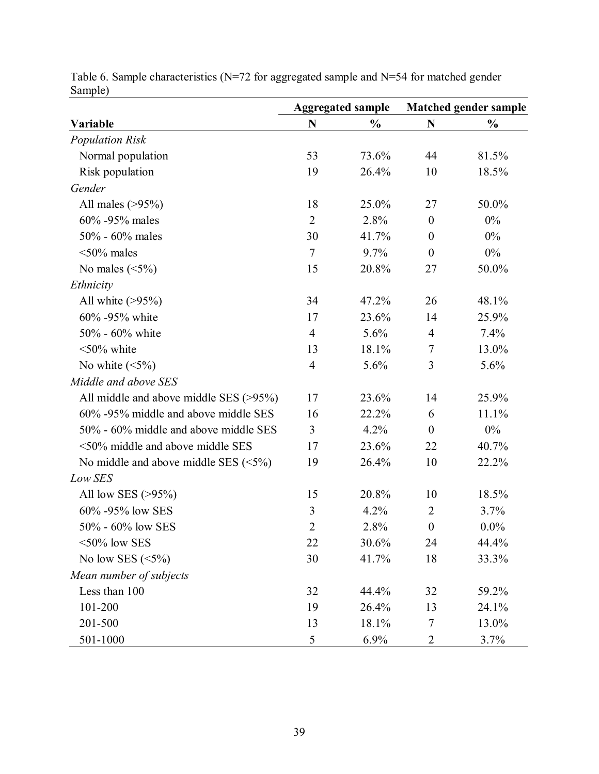|                                             |                | <b>Aggregated sample</b> | <b>Matched gender sample</b> |               |  |
|---------------------------------------------|----------------|--------------------------|------------------------------|---------------|--|
| Variable                                    | N              | $\frac{0}{0}$            | N                            | $\frac{0}{0}$ |  |
| <b>Population Risk</b>                      |                |                          |                              |               |  |
| Normal population                           | 53             | 73.6%                    | 44                           | 81.5%         |  |
| Risk population                             | 19             | 26.4%                    | 10                           | 18.5%         |  |
| Gender                                      |                |                          |                              |               |  |
| All males $(>95%)$                          | 18             | 25.0%                    | 27                           | 50.0%         |  |
| 60% -95% males                              | $\overline{2}$ | 2.8%                     | $\boldsymbol{0}$             | 0%            |  |
| 50% - 60% males                             | 30             | 41.7%                    | $\boldsymbol{0}$             | 0%            |  |
| $<50\%$ males                               | $\tau$         | 9.7%                     | $\theta$                     | $0\%$         |  |
| No males $(\leq 5\%)$                       | 15             | 20.8%                    | 27                           | 50.0%         |  |
| Ethnicity                                   |                |                          |                              |               |  |
| All white $(>\!\!95\%)$                     | 34             | 47.2%                    | 26                           | 48.1%         |  |
| 60% -95% white                              | 17             | 23.6%                    | 14                           | 25.9%         |  |
| 50% - 60% white                             | $\overline{4}$ | 5.6%                     | $\overline{4}$               | 7.4%          |  |
| $\leq 50\%$ white                           | 13             | 18.1%                    | $\tau$                       | 13.0%         |  |
| No white $(\leq 5\%)$                       | $\overline{4}$ | 5.6%                     | 3                            | 5.6%          |  |
| Middle and above SES                        |                |                          |                              |               |  |
| All middle and above middle SES $(>95%)$    | 17             | 23.6%                    | 14                           | 25.9%         |  |
| 60% -95% middle and above middle SES        | 16             | 22.2%                    | 6                            | 11.1%         |  |
| 50% - 60% middle and above middle SES       | 3              | 4.2%                     | $\overline{0}$               | $0\%$         |  |
| $\leq 50\%$ middle and above middle SES     | 17             | 23.6%                    | 22                           | 40.7%         |  |
| No middle and above middle SES $(\leq 5\%)$ | 19             | 26.4%                    | 10                           | 22.2%         |  |
| Low SES                                     |                |                          |                              |               |  |
| All low SES $(>95\%)$                       | 15             | 20.8%                    | 10                           | 18.5%         |  |
| 60% -95% low SES                            | 3              | 4.2%                     | $\overline{2}$               | 3.7%          |  |
| 50% - 60% low SES                           | $\overline{2}$ | 2.8%                     | $\boldsymbol{0}$             | $0.0\%$       |  |
| $<$ 50% low SES                             | 22             | 30.6%                    | 24                           | 44.4%         |  |
| No low SES $(\leq 5\%)$                     | 30             | 41.7%                    | 18                           | 33.3%         |  |
| Mean number of subjects                     |                |                          |                              |               |  |
| Less than 100                               | 32             | 44.4%                    | 32                           | 59.2%         |  |
| 101-200                                     | 19             | 26.4%                    | 13                           | 24.1%         |  |
| 201-500                                     | 13             | 18.1%                    | 7                            | 13.0%         |  |
| 501-1000                                    | 5              | 6.9%                     | 2                            | 3.7%          |  |

Table 6. Sample characteristics (N=72 for aggregated sample and N=54 for matched gender Sample)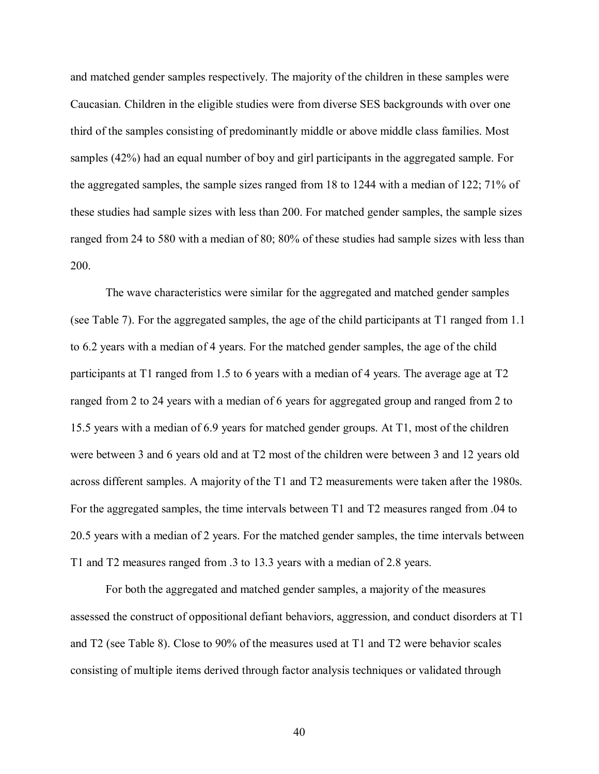and matched gender samples respectively. The majority of the children in these samples were Caucasian. Children in the eligible studies were from diverse SES backgrounds with over one third of the samples consisting of predominantly middle or above middle class families. Most samples (42%) had an equal number of boy and girl participants in the aggregated sample. For the aggregated samples, the sample sizes ranged from 18 to 1244 with a median of 122; 71% of these studies had sample sizes with less than 200. For matched gender samples, the sample sizes ranged from 24 to 580 with a median of 80; 80% of these studies had sample sizes with less than 200.

The wave characteristics were similar for the aggregated and matched gender samples (see Table 7). For the aggregated samples, the age of the child participants at T1 ranged from 1.1 to 6.2 years with a median of 4 years. For the matched gender samples, the age of the child participants at T1 ranged from 1.5 to 6 years with a median of 4 years. The average age at T2 ranged from 2 to 24 years with a median of 6 years for aggregated group and ranged from 2 to 15.5 years with a median of 6.9 years for matched gender groups. At T1, most of the children were between 3 and 6 years old and at T2 most of the children were between 3 and 12 years old across different samples. A majority of the T1 and T2 measurements were taken after the 1980s. For the aggregated samples, the time intervals between T1 and T2 measures ranged from .04 to 20.5 years with a median of 2 years. For the matched gender samples, the time intervals between T1 and T2 measures ranged from .3 to 13.3 years with a median of 2.8 years.

 For both the aggregated and matched gender samples, a majority of the measures assessed the construct of oppositional defiant behaviors, aggression, and conduct disorders at T1 and T2 (see Table 8). Close to 90% of the measures used at T1 and T2 were behavior scales consisting of multiple items derived through factor analysis techniques or validated through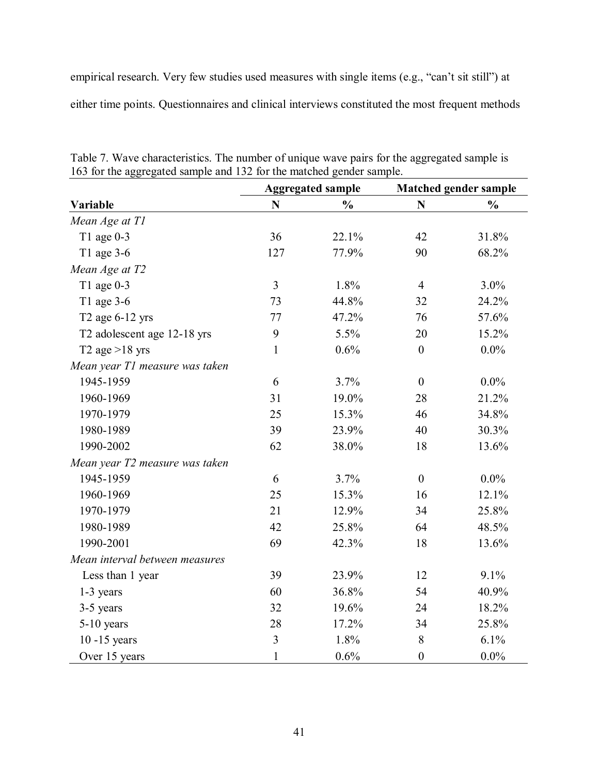empirical research. Very few studies used measures with single items (e.g., "can't sit still") at either time points. Questionnaires and clinical interviews constituted the most frequent methods

|                                |                | <b>Aggregated sample</b> | <b>Matched gender sample</b> |                |  |
|--------------------------------|----------------|--------------------------|------------------------------|----------------|--|
| Variable                       | N              | $\frac{0}{0}$            | $\mathbf N$                  | $\frac{0}{0}$  |  |
| Mean Age at T1                 |                |                          |                              |                |  |
| T1 age $0-3$                   | 36             | 22.1%                    | 42                           | 31.8%          |  |
| T1 age 3-6                     | 127            | 77.9%                    | 90                           | 68.2%          |  |
| Mean Age at T2                 |                |                          |                              |                |  |
| T1 age 0-3                     | $\overline{3}$ | 1.8%                     | $\overline{4}$               | 3.0%           |  |
| T1 age 3-6                     | 73             | 44.8%                    | 32                           | 24.2%          |  |
| T2 age 6-12 yrs                | 77             | 47.2%                    | 76                           | 57.6%          |  |
| T2 adolescent age 12-18 yrs    | 9              | 5.5%                     | 20                           | 15.2%          |  |
| T2 age $>18$ yrs               | $\mathbf{1}$   | 0.6%                     | $\boldsymbol{0}$             | $0.0\%$        |  |
| Mean year T1 measure was taken |                |                          |                              |                |  |
| 1945-1959                      | 6              | 3.7%                     | $\overline{0}$               | $0.0\%$        |  |
| 1960-1969                      | 31<br>25       | 19.0%<br>15.3%           | 28<br>46                     | 21.2%<br>34.8% |  |
| 1970-1979                      |                |                          |                              |                |  |
| 1980-1989                      | 39             | 23.9%                    | 40                           | 30.3%          |  |
| 1990-2002                      | 62             | 38.0%                    | 18                           | 13.6%          |  |
| Mean year T2 measure was taken |                |                          |                              |                |  |
| 1945-1959                      | 6              | 3.7%                     | $\boldsymbol{0}$             | $0.0\%$        |  |
| 1960-1969                      | 25             | 15.3%                    | 16                           | 12.1%          |  |
| 1970-1979                      | 21             | 12.9%                    | 34                           | 25.8%          |  |
| 1980-1989                      | 42             | 25.8%                    | 64                           | 48.5%          |  |
| 1990-2001                      | 69             | 42.3%                    | 18                           | 13.6%          |  |
| Mean interval between measures |                |                          |                              |                |  |
| Less than 1 year               | 39             | 23.9%                    | 12                           | 9.1%           |  |
| 1-3 years                      | 60             | 36.8%                    | 54                           | 40.9%          |  |
| 3-5 years                      | 32             | 19.6%                    | 24                           | 18.2%          |  |
| $5-10$ years                   | 28             | 17.2%                    | 34                           | 25.8%          |  |
| $10 - 15$ years                | $\overline{3}$ | 1.8%                     | 8                            | 6.1%           |  |
| Over 15 years                  | $\mathbf{1}$   | 0.6%                     | $\boldsymbol{0}$             | $0.0\%$        |  |

Table 7. Wave characteristics. The number of unique wave pairs for the aggregated sample is 163 for the aggregated sample and 132 for the matched gender sample.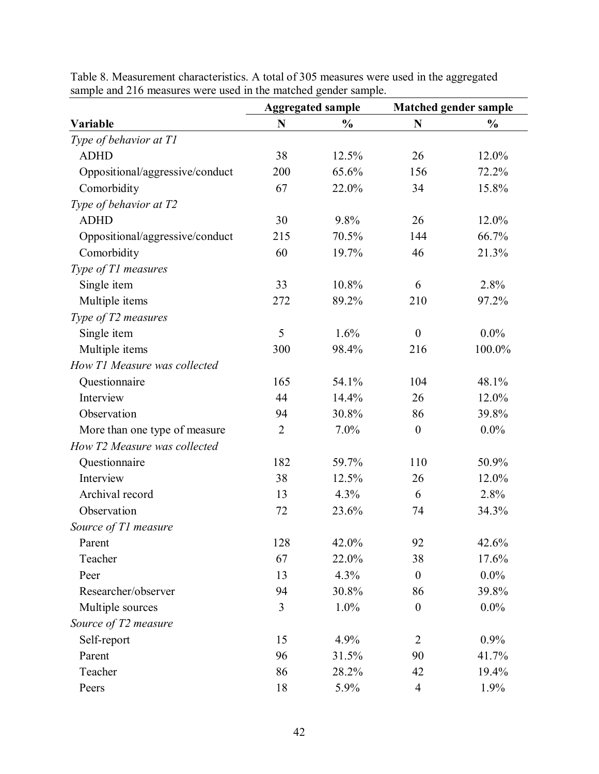|                                 | <b>Aggregated sample</b> |               | <b>Matched gender sample</b> |               |
|---------------------------------|--------------------------|---------------|------------------------------|---------------|
| Variable                        | N                        | $\frac{0}{0}$ | $\mathbf N$                  | $\frac{0}{0}$ |
| Type of behavior at T1          |                          |               |                              |               |
| <b>ADHD</b>                     | 38                       | 12.5%         | 26                           | 12.0%         |
| Oppositional/aggressive/conduct | 200                      | 65.6%         | 156                          | 72.2%         |
| Comorbidity                     | 67                       | 22.0%         | 34                           | 15.8%         |
| Type of behavior at T2          |                          |               |                              |               |
| <b>ADHD</b>                     | 30                       | 9.8%          | 26                           | 12.0%         |
| Oppositional/aggressive/conduct | 215                      | 70.5%         | 144                          | 66.7%         |
| Comorbidity                     | 60                       | 19.7%         | 46                           | 21.3%         |
| Type of T1 measures             |                          |               |                              |               |
| Single item                     | 33                       | 10.8%         | 6                            | 2.8%          |
| Multiple items                  | 272                      | 89.2%         | 210                          | 97.2%         |
| Type of T2 measures             |                          |               |                              |               |
| Single item                     | 5                        | 1.6%          | $\boldsymbol{0}$             | $0.0\%$       |
| Multiple items                  | 300                      | 98.4%         | 216                          | 100.0%        |
| How T1 Measure was collected    |                          |               |                              |               |
| Questionnaire                   | 165                      | 54.1%<br>104  |                              | 48.1%         |
| Interview                       | 44                       | 14.4%<br>26   |                              | 12.0%         |
| Observation                     | 94                       | 30.8%         | 86                           | 39.8%         |
| More than one type of measure   | $\overline{2}$           | 7.0%          | $\boldsymbol{0}$             | $0.0\%$       |
| How T2 Measure was collected    |                          |               |                              |               |
| Questionnaire                   | 182                      | 59.7%         | 110                          | 50.9%         |
| Interview                       | 38                       | 12.5%         | 26                           | 12.0%         |
| Archival record                 | 13                       | 4.3%          | 6                            | 2.8%          |
| Observation                     | 72                       | 23.6%         | 74                           | 34.3%         |
| Source of T1 measure            |                          |               |                              |               |
| Parent                          | 128                      | 42.0%         | 92                           | 42.6%         |
| Teacher                         | 67                       | 22.0%         | 38                           | 17.6%         |
| Peer                            | 13                       | 4.3%          | $\boldsymbol{0}$             | $0.0\%$       |
| Researcher/observer             | 94                       | 30.8%         | 86                           | 39.8%         |
| Multiple sources                | 3                        | 1.0%          | $\boldsymbol{0}$             | $0.0\%$       |
| Source of T2 measure            |                          |               |                              |               |
| Self-report                     | 15                       | 4.9%          | $\overline{2}$               | 0.9%          |
| Parent                          | 96                       | 31.5%         | 90                           | 41.7%         |
| Teacher                         | 86                       | 28.2%         | 42                           | 19.4%         |
| Peers                           | 18                       | 5.9%          | $\overline{4}$               | 1.9%          |

Table 8. Measurement characteristics. A total of 305 measures were used in the aggregated sample and 216 measures were used in the matched gender sample.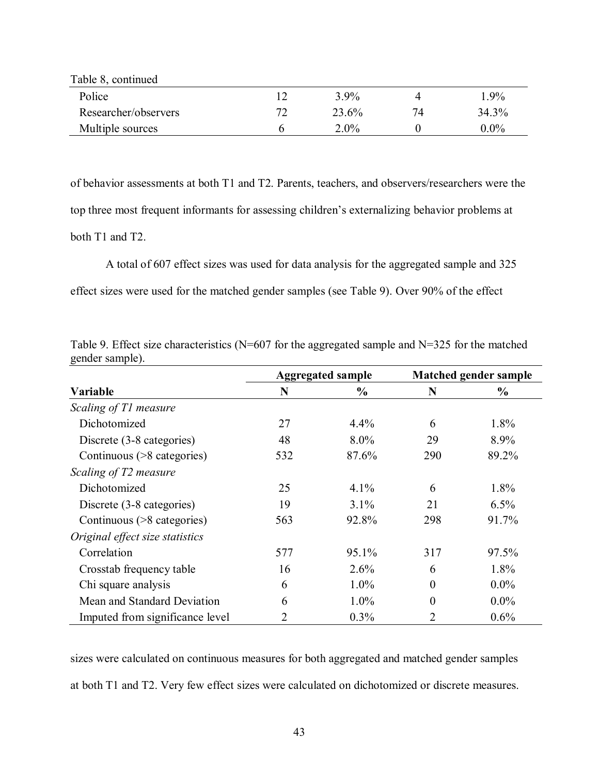| Table 8, continued   |    |         |    |         |
|----------------------|----|---------|----|---------|
| Police               |    | $3.9\%$ |    | 1.9%    |
| Researcher/observers | 72 | 23.6%   | 74 | 34.3%   |
| Multiple sources     | n  | $2.0\%$ |    | $0.0\%$ |

of behavior assessments at both T1 and T2. Parents, teachers, and observers/researchers were the top three most frequent informants for assessing children's externalizing behavior problems at both T1 and T2.

A total of 607 effect sizes was used for data analysis for the aggregated sample and 325 effect sizes were used for the matched gender samples (see Table 9). Over 90% of the effect

Table 9. Effect size characteristics ( $N=607$  for the aggregated sample and  $N=325$  for the matched gender sample).

|                                 |     | <b>Aggregated sample</b> |          | <b>Matched gender sample</b> |  |  |
|---------------------------------|-----|--------------------------|----------|------------------------------|--|--|
| Variable                        | N   | $\frac{0}{0}$            | N        | $\frac{0}{0}$                |  |  |
| Scaling of T1 measure           |     |                          |          |                              |  |  |
| Dichotomized                    | 27  | 4.4%                     | 6        | 1.8%                         |  |  |
| Discrete (3-8 categories)       | 48  | $8.0\%$                  | 29       | 8.9%                         |  |  |
| Continuous (>8 categories)      | 532 | 87.6%                    | 290      | 89.2%                        |  |  |
| Scaling of T2 measure           |     |                          |          |                              |  |  |
| Dichotomized                    | 25  | $4.1\%$                  | 6        | 1.8%                         |  |  |
| Discrete (3-8 categories)       | 19  | $3.1\%$                  | 21       | 6.5%                         |  |  |
| Continuous (>8 categories)      | 563 | 92.8%                    | 298      | 91.7%                        |  |  |
| Original effect size statistics |     |                          |          |                              |  |  |
| Correlation                     | 577 | 95.1%                    | 317      | 97.5%                        |  |  |
| Crosstab frequency table        | 16  | 2.6%                     | 6        | 1.8%                         |  |  |
| Chi square analysis             | 6   | $1.0\%$                  | $\theta$ | $0.0\%$                      |  |  |
| Mean and Standard Deviation     | 6   | $1.0\%$                  | $\theta$ | $0.0\%$                      |  |  |
| Imputed from significance level | 2   | 0.3%                     | 2        | 0.6%                         |  |  |

sizes were calculated on continuous measures for both aggregated and matched gender samples at both T1 and T2. Very few effect sizes were calculated on dichotomized or discrete measures.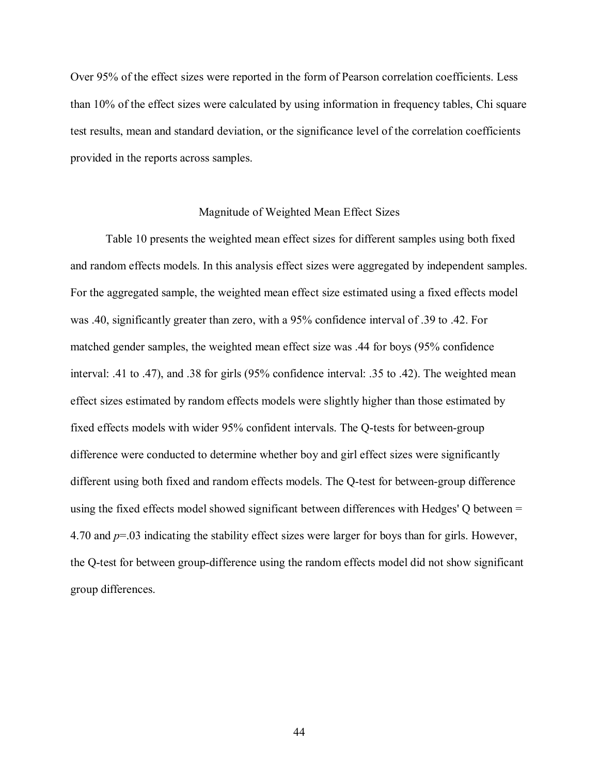Over 95% of the effect sizes were reported in the form of Pearson correlation coefficients. Less than 10% of the effect sizes were calculated by using information in frequency tables, Chi square test results, mean and standard deviation, or the significance level of the correlation coefficients provided in the reports across samples.

# Magnitude of Weighted Mean Effect Sizes

 Table 10 presents the weighted mean effect sizes for different samples using both fixed and random effects models. In this analysis effect sizes were aggregated by independent samples. For the aggregated sample, the weighted mean effect size estimated using a fixed effects model was .40, significantly greater than zero, with a 95% confidence interval of .39 to .42. For matched gender samples, the weighted mean effect size was .44 for boys (95% confidence interval: .41 to .47), and .38 for girls (95% confidence interval: .35 to .42). The weighted mean effect sizes estimated by random effects models were slightly higher than those estimated by fixed effects models with wider 95% confident intervals. The Q-tests for between-group difference were conducted to determine whether boy and girl effect sizes were significantly different using both fixed and random effects models. The Q-test for between-group difference using the fixed effects model showed significant between differences with Hedges' Q between = 4.70 and *p*=.03 indicating the stability effect sizes were larger for boys than for girls. However, the Q-test for between group-difference using the random effects model did not show significant group differences.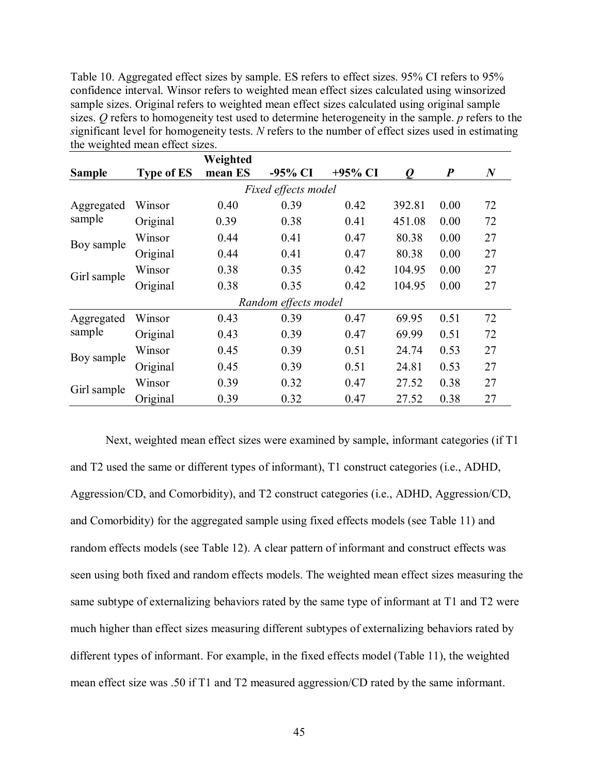Table 10. Aggregated effect sizes by sample. ES refers to effect sizes. 95% CI refers to 95% confidence interval. Winsor refers to weighted mean effect sizes calculated using winsorized sample sizes. Original refers to weighted mean effect sizes calculated using original sample sizes. *Q* refers to homogeneity test used to determine heterogeneity in the sample. *p* refers to the *s*ignificant level for homogeneity tests. *N* refers to the number of effect sizes used in estimating the weighted mean effect sizes.

|               |                   | Weighted |                      |            |        |                  |                  |
|---------------|-------------------|----------|----------------------|------------|--------|------------------|------------------|
| <b>Sample</b> | <b>Type of ES</b> | mean ES  | -95% CI              | $+95\%$ CI | 0      | $\boldsymbol{P}$ | $\boldsymbol{N}$ |
|               |                   |          | Fixed effects model  |            |        |                  |                  |
| Aggregated    | Winsor            | 0.40     | 0.39                 | 0.42       | 392.81 | 0.00             | 72               |
| sample        | Original          | 0.39     | 0.38                 | 0.41       | 451.08 | 0.00             | 72               |
| Boy sample    | Winsor            | 0.44     | 0.41                 | 0.47       | 80.38  | 0.00             | 27               |
|               | Original          | 0.44     | 0.41                 | 0.47       | 80.38  | 0.00             | 27               |
| Girl sample   | Winsor            | 0.38     | 0.35                 | 0.42       | 104.95 | 0.00             | 27               |
|               | Original          | 0.38     | 0.35                 | 0.42       | 104.95 | 0.00             | 27               |
|               |                   |          | Random effects model |            |        |                  |                  |
| Aggregated    | Winsor            | 0.43     | 0.39                 | 0.47       | 69.95  | 0.51             | 72               |
| sample        | Original          | 0.43     | 0.39                 | 0.47       | 69.99  | 0.51             | 72               |
|               | Winsor            | 0.45     | 0.39                 | 0.51       | 24.74  | 0.53             | 27               |
| Boy sample    | Original          | 0.45     | 0.39                 | 0.51       | 24.81  | 0.53             | 27               |
| Girl sample   | Winsor            | 0.39     | 0.32                 | 0.47       | 27.52  | 0.38             | 27               |
|               | Original          | 0.39     | 0.32                 | 0.47       | 27.52  | 0.38             | 27               |

Next, weighted mean effect sizes were examined by sample, informant categories (if T1 and T2 used the same or different types of informant), T1 construct categories (i.e., ADHD, Aggression/CD, and Comorbidity), and T2 construct categories (i.e., ADHD, Aggression/CD, and Comorbidity) for the aggregated sample using fixed effects models (see Table 11) and random effects models (see Table 12). A clear pattern of informant and construct effects was seen using both fixed and random effects models. The weighted mean effect sizes measuring the same subtype of externalizing behaviors rated by the same type of informant at T1 and T2 were much higher than effect sizes measuring different subtypes of externalizing behaviors rated by different types of informant. For example, in the fixed effects model (Table 11), the weighted mean effect size was .50 if T1 and T2 measured aggression/CD rated by the same informant.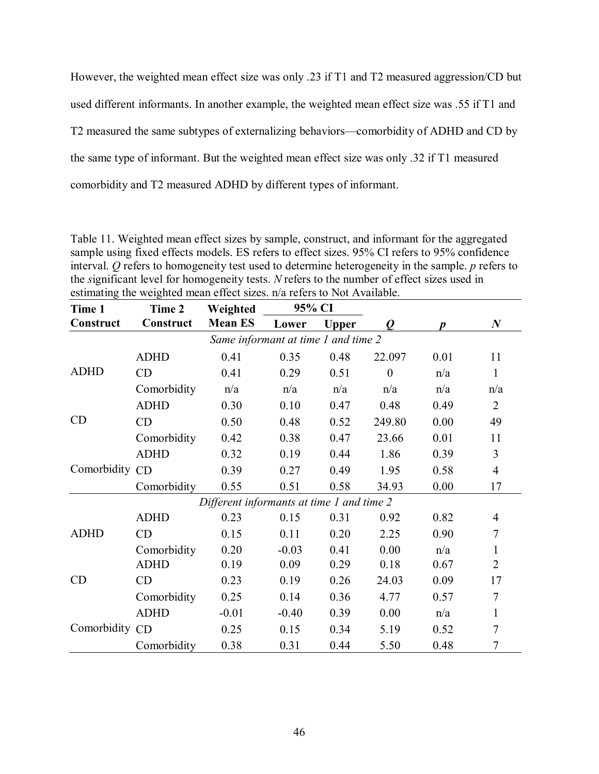However, the weighted mean effect size was only .23 if T1 and T2 measured aggression/CD but used different informants. In another example, the weighted mean effect size was .55 if T1 and T2 measured the same subtypes of externalizing behaviors—comorbidity of ADHD and CD by the same type of informant. But the weighted mean effect size was only .32 if T1 measured comorbidity and T2 measured ADHD by different types of informant.

Table 11. Weighted mean effect sizes by sample, construct, and informant for the aggregated sample using fixed effects models. ES refers to effect sizes. 95% CI refers to 95% confidence interval. *Q* refers to homogeneity test used to determine heterogeneity in the sample. *p* refers to the *s*ignificant level for homogeneity tests. *N* refers to the number of effect sizes used in estimating the weighted mean effect sizes. n/a refers to Not Available.

| Time 1         | 95% CI<br>Weighted<br>Time 2 |                                           |         |              |                  |      |                  |
|----------------|------------------------------|-------------------------------------------|---------|--------------|------------------|------|------------------|
| Construct      | Construct                    | <b>Mean ES</b>                            | Lower   | <b>Upper</b> | $\boldsymbol{Q}$ | D    | $\boldsymbol{N}$ |
|                |                              | Same informant at time 1 and time 2       |         |              |                  |      |                  |
|                | <b>ADHD</b>                  | 0.41                                      | 0.35    | 0.48         | 22.097           | 0.01 | 11               |
| <b>ADHD</b>    | CD                           | 0.41                                      | 0.29    | 0.51         | $\theta$         | n/a  | $\mathbf{1}$     |
|                | Comorbidity                  | n/a                                       | n/a     | n/a          | n/a              | n/a  | n/a              |
|                | <b>ADHD</b>                  | 0.30                                      | 0.10    | 0.47         | 0.48             | 0.49 | $\overline{2}$   |
| CD             | CD                           | 0.50                                      | 0.48    | 0.52         | 249.80           | 0.00 | 49               |
|                | Comorbidity                  | 0.42                                      | 0.38    | 0.47         | 23.66            | 0.01 | 11               |
|                | <b>ADHD</b>                  | 0.32                                      | 0.19    | 0.44         | 1.86             | 0.39 | 3                |
| Comorbidity CD |                              | 0.39                                      | 0.27    | 0.49         | 1.95             | 0.58 | $\overline{4}$   |
|                | Comorbidity                  | 0.55                                      | 0.51    | 0.58         | 34.93            | 0.00 | 17               |
|                |                              | Different informants at time 1 and time 2 |         |              |                  |      |                  |
|                | <b>ADHD</b>                  | 0.23                                      | 0.15    | 0.31         | 0.92             | 0.82 | 4                |
| <b>ADHD</b>    | CD                           | 0.15                                      | 0.11    | 0.20         | 2.25             | 0.90 | 7                |
|                | Comorbidity                  | 0.20                                      | $-0.03$ | 0.41         | 0.00             | n/a  | 1                |
|                | <b>ADHD</b>                  | 0.19                                      | 0.09    | 0.29         | 0.18             | 0.67 | $\overline{2}$   |
| CD             | CD                           | 0.23                                      | 0.19    | 0.26         | 24.03            | 0.09 | 17               |
|                | Comorbidity                  | 0.25                                      | 0.14    | 0.36         | 4.77             | 0.57 | $\tau$           |
|                | <b>ADHD</b>                  | $-0.01$                                   | $-0.40$ | 0.39         | 0.00             | n/a  | $\mathbf{1}$     |
| Comorbidity CD |                              | 0.25                                      | 0.15    | 0.34         | 5.19             | 0.52 | 7                |
|                | Comorbidity                  | 0.38                                      | 0.31    | 0.44         | 5.50             | 0.48 | 7                |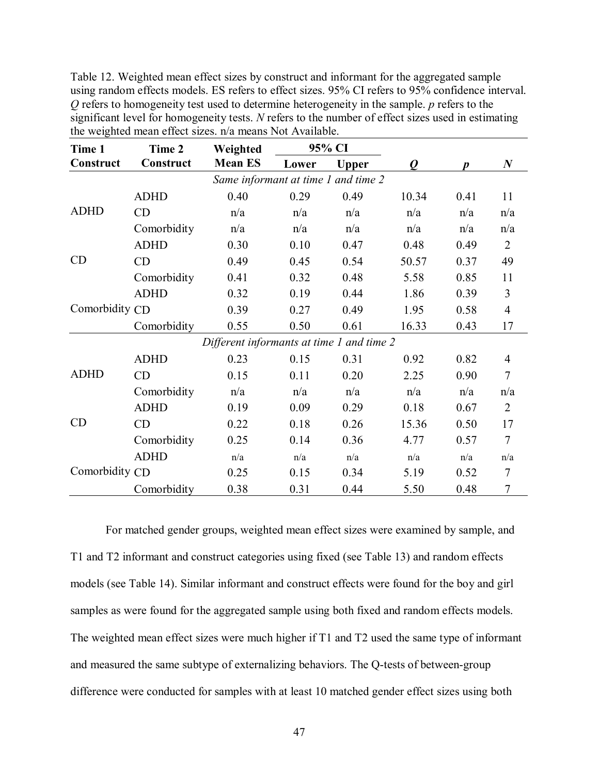Table 12. Weighted mean effect sizes by construct and informant for the aggregated sample using random effects models. ES refers to effect sizes. 95% CI refers to 95% confidence interval. *Q* refers to homogeneity test used to determine heterogeneity in the sample. *p* refers to the significant level for homogeneity tests. *N* refers to the number of effect sizes used in estimating the weighted mean effect sizes. n/a means Not Available.

| Time 1         | Time 2      | Weighted                                  |       | 95% CI       |       |                  |                  |
|----------------|-------------|-------------------------------------------|-------|--------------|-------|------------------|------------------|
| Construct      | Construct   | <b>Mean ES</b>                            | Lower | <b>Upper</b> | 0     | $\boldsymbol{p}$ | $\boldsymbol{N}$ |
|                |             | Same informant at time 1 and time 2       |       |              |       |                  |                  |
|                | <b>ADHD</b> | 0.40                                      | 0.29  | 0.49         | 10.34 | 0.41             | 11               |
| <b>ADHD</b>    | CD          | n/a                                       | n/a   | n/a          | n/a   | n/a              | n/a              |
|                | Comorbidity | n/a                                       | n/a   | n/a          | n/a   | n/a              | n/a              |
|                | <b>ADHD</b> | 0.30                                      | 0.10  | 0.47         | 0.48  | 0.49             | $\overline{2}$   |
| CD             | CD          | 0.49                                      | 0.45  | 0.54         | 50.57 | 0.37             | 49               |
|                | Comorbidity | 0.41                                      | 0.32  | 0.48         | 5.58  | 0.85             | 11               |
| Comorbidity CD | <b>ADHD</b> | 0.32                                      | 0.19  | 0.44         | 1.86  | 0.39             | 3                |
|                |             | 0.39                                      | 0.27  | 0.49         | 1.95  | 0.58             | $\overline{4}$   |
|                | Comorbidity | 0.55                                      | 0.50  | 0.61         | 16.33 | 0.43             | 17               |
|                |             | Different informants at time 1 and time 2 |       |              |       |                  |                  |
|                | <b>ADHD</b> | 0.23                                      | 0.15  | 0.31         | 0.92  | 0.82             | 4                |
| <b>ADHD</b>    | CD          | 0.15                                      | 0.11  | 0.20         | 2.25  | 0.90             | $\tau$           |
|                | Comorbidity | n/a                                       | n/a   | n/a          | n/a   | n/a              | n/a              |
|                | <b>ADHD</b> | 0.19                                      | 0.09  | 0.29         | 0.18  | 0.67             | $\overline{2}$   |
| CD             | CD          | 0.22                                      | 0.18  | 0.26         | 15.36 | 0.50             | 17               |
|                | Comorbidity | 0.25                                      | 0.14  | 0.36         | 4.77  | 0.57             | $\overline{7}$   |
|                | <b>ADHD</b> | n/a                                       | n/a   | n/a          | n/a   | n/a              | n/a              |
| Comorbidity CD |             | 0.25                                      | 0.15  | 0.34         | 5.19  | 0.52             | 7                |
|                | Comorbidity | 0.38                                      | 0.31  | 0.44         | 5.50  | 0.48             | 7                |

For matched gender groups, weighted mean effect sizes were examined by sample, and T1 and T2 informant and construct categories using fixed (see Table 13) and random effects models (see Table 14). Similar informant and construct effects were found for the boy and girl samples as were found for the aggregated sample using both fixed and random effects models. The weighted mean effect sizes were much higher if T1 and T2 used the same type of informant and measured the same subtype of externalizing behaviors. The Q-tests of between-group difference were conducted for samples with at least 10 matched gender effect sizes using both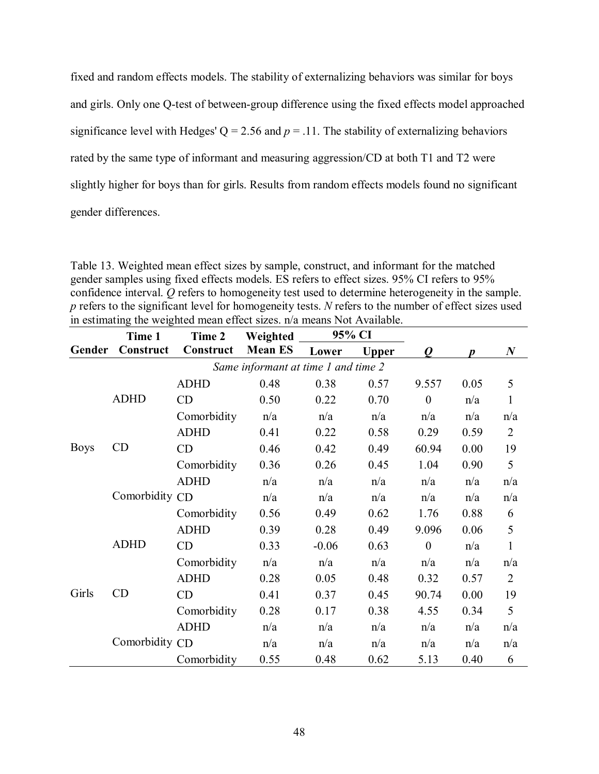fixed and random effects models. The stability of externalizing behaviors was similar for boys and girls. Only one Q-test of between-group difference using the fixed effects model approached significance level with Hedges'  $Q = 2.56$  and  $p = .11$ . The stability of externalizing behaviors rated by the same type of informant and measuring aggression/CD at both T1 and T2 were slightly higher for boys than for girls. Results from random effects models found no significant gender differences.

Table 13. Weighted mean effect sizes by sample, construct, and informant for the matched gender samples using fixed effects models. ES refers to effect sizes. 95% CI refers to 95% confidence interval. *Q* refers to homogeneity test used to determine heterogeneity in the sample. *p* refers to the significant level for homogeneity tests. *N* refers to the number of effect sizes used in estimating the weighted mean effect sizes. n/a means Not Available.

|             | Time 1         | Time 2      | Weighted                            |         | 95% CI       |                |      |                  |
|-------------|----------------|-------------|-------------------------------------|---------|--------------|----------------|------|------------------|
| Gender      | Construct      | Construct   | <b>Mean ES</b>                      | Lower   | <b>Upper</b> | 0              | D    | $\boldsymbol{N}$ |
|             |                |             | Same informant at time 1 and time 2 |         |              |                |      |                  |
|             |                | <b>ADHD</b> | 0.48                                | 0.38    | 0.57         | 9.557          | 0.05 | 5                |
|             | <b>ADHD</b>    | CD          | 0.50                                | 0.22    | 0.70         | $\overline{0}$ | n/a  | $\mathbf{1}$     |
|             |                | Comorbidity | n/a                                 | n/a     | n/a          | n/a            | n/a  | n/a              |
|             |                | <b>ADHD</b> | 0.41                                | 0.22    | 0.58         | 0.29           | 0.59 | $\overline{2}$   |
| <b>Boys</b> | CD             | CD          | 0.46                                | 0.42    | 0.49         | 60.94          | 0.00 | 19               |
|             |                | Comorbidity | 0.36                                | 0.26    | 0.45         | 1.04           | 0.90 | 5                |
|             | Comorbidity CD | <b>ADHD</b> | n/a                                 | n/a     | n/a          | n/a            | n/a  | n/a              |
|             |                |             | n/a                                 | n/a     | n/a          | n/a            | n/a  | n/a              |
|             |                | Comorbidity | 0.56                                | 0.49    | 0.62         | 1.76           | 0.88 | 6                |
|             |                | <b>ADHD</b> | 0.39                                | 0.28    | 0.49         | 9.096          | 0.06 | 5                |
|             | <b>ADHD</b>    | CD          | 0.33                                | $-0.06$ | 0.63         | $\theta$       | n/a  | $\mathbf{1}$     |
|             |                | Comorbidity | n/a                                 | n/a     | n/a          | n/a            | n/a  | n/a              |
|             |                | <b>ADHD</b> | 0.28                                | 0.05    | 0.48         | 0.32           | 0.57 | $\overline{2}$   |
| Girls       | CD             | CD          | 0.41                                | 0.37    | 0.45         | 90.74          | 0.00 | 19               |
|             |                | Comorbidity | 0.28                                | 0.17    | 0.38         | 4.55           | 0.34 | 5                |
|             |                | <b>ADHD</b> | n/a                                 | n/a     | n/a          | n/a            | n/a  | n/a              |
|             | Comorbidity CD |             | n/a                                 | n/a     | n/a          | n/a            | n/a  | n/a              |
|             |                | Comorbidity | 0.55                                | 0.48    | 0.62         | 5.13           | 0.40 | 6                |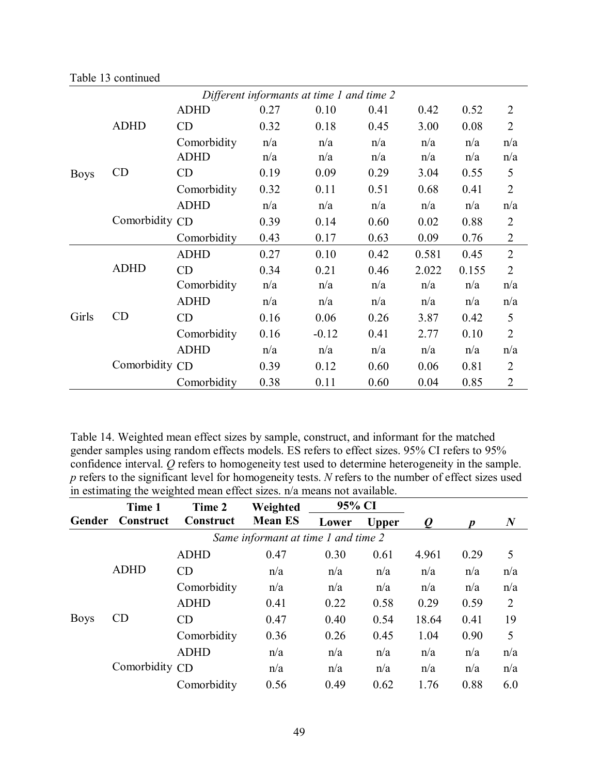|             | Different informants at time 1 and time 2 |             |      |         |      |       |       |                |
|-------------|-------------------------------------------|-------------|------|---------|------|-------|-------|----------------|
|             |                                           | <b>ADHD</b> | 0.27 | 0.10    | 0.41 | 0.42  | 0.52  | $\overline{2}$ |
|             | <b>ADHD</b>                               | CD          | 0.32 | 0.18    | 0.45 | 3.00  | 0.08  | $\overline{2}$ |
|             |                                           | Comorbidity | n/a  | n/a     | n/a  | n/a   | n/a   | n/a            |
|             |                                           | <b>ADHD</b> | n/a  | n/a     | n/a  | n/a   | n/a   | n/a            |
| <b>Boys</b> | CD                                        | CD          | 0.19 | 0.09    | 0.29 | 3.04  | 0.55  | 5              |
|             |                                           | Comorbidity | 0.32 | 0.11    | 0.51 | 0.68  | 0.41  | $\overline{2}$ |
|             |                                           | <b>ADHD</b> | n/a  | n/a     | n/a  | n/a   | n/a   | n/a            |
|             | Comorbidity CD                            |             | 0.39 | 0.14    | 0.60 | 0.02  | 0.88  | $\overline{2}$ |
|             |                                           | Comorbidity | 0.43 | 0.17    | 0.63 | 0.09  | 0.76  | $\overline{2}$ |
|             |                                           | <b>ADHD</b> | 0.27 | 0.10    | 0.42 | 0.581 | 0.45  | $\overline{2}$ |
|             | <b>ADHD</b>                               | CD          | 0.34 | 0.21    | 0.46 | 2.022 | 0.155 | $\overline{2}$ |
|             |                                           | Comorbidity | n/a  | n/a     | n/a  | n/a   | n/a   | n/a            |
|             |                                           | <b>ADHD</b> | n/a  | n/a     | n/a  | n/a   | n/a   | n/a            |
| Girls       | CD                                        | CD          | 0.16 | 0.06    | 0.26 | 3.87  | 0.42  | 5              |
|             |                                           | Comorbidity | 0.16 | $-0.12$ | 0.41 | 2.77  | 0.10  | $\overline{2}$ |
|             |                                           | <b>ADHD</b> | n/a  | n/a     | n/a  | n/a   | n/a   | n/a            |
|             | Comorbidity CD                            |             | 0.39 | 0.12    | 0.60 | 0.06  | 0.81  | $\overline{2}$ |
|             |                                           | Comorbidity | 0.38 | 0.11    | 0.60 | 0.04  | 0.85  | $\overline{2}$ |

Table 13 continued

Table 14. Weighted mean effect sizes by sample, construct, and informant for the matched gender samples using random effects models. ES refers to effect sizes. 95% CI refers to 95% confidence interval. *Q* refers to homogeneity test used to determine heterogeneity in the sample. *p* refers to the significant level for homogeneity tests. *N* refers to the number of effect sizes used in estimating the weighted mean effect sizes. n/a means not available.

|             | Time 1         | Time 2      | Weighted                            |       | 95% CI       |       |      |                  |
|-------------|----------------|-------------|-------------------------------------|-------|--------------|-------|------|------------------|
| Gender      | Construct      | Construct   | <b>Mean ES</b>                      | Lower | <b>Upper</b> |       |      | $\boldsymbol{N}$ |
|             |                |             | Same informant at time 1 and time 2 |       |              |       |      |                  |
|             |                | <b>ADHD</b> | 0.47                                | 0.30  | 0.61         | 4.961 | 0.29 | 5                |
|             | <b>ADHD</b>    | CD          | n/a                                 | n/a   | n/a          | n/a   | n/a  | n/a              |
|             |                | Comorbidity | n/a                                 | n/a   | n/a          | n/a   | n/a  | n/a              |
|             |                | <b>ADHD</b> | 0.41                                | 0.22  | 0.58         | 0.29  | 0.59 | 2                |
| <b>Boys</b> | CD             | CD          | 0.47                                | 0.40  | 0.54         | 18.64 | 0.41 | 19               |
|             |                | Comorbidity | 0.36                                | 0.26  | 0.45         | 1.04  | 0.90 | 5                |
|             |                | <b>ADHD</b> | n/a                                 | n/a   | n/a          | n/a   | n/a  | n/a              |
|             | Comorbidity CD |             | n/a                                 | n/a   | n/a          | n/a   | n/a  | n/a              |
|             |                | Comorbidity | 0.56                                | 0.49  | 0.62         | 1.76  | 0.88 | 6.0              |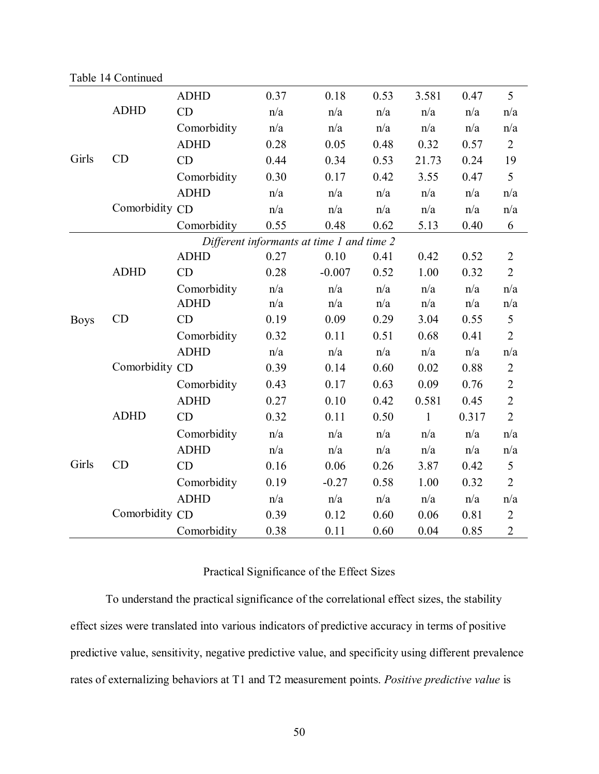|             |                   | <b>ADHD</b> | 0.37                                      | 0.18     | 0.53 | 3.581        | 0.47  | 5              |
|-------------|-------------------|-------------|-------------------------------------------|----------|------|--------------|-------|----------------|
|             | <b>ADHD</b>       | CD          | n/a                                       | n/a      | n/a  | n/a          | n/a   | n/a            |
|             |                   | Comorbidity | n/a                                       | n/a      | n/a  | n/a          | n/a   | n/a            |
|             |                   | <b>ADHD</b> | 0.28                                      | 0.05     | 0.48 | 0.32         | 0.57  | $\overline{2}$ |
| Girls       | CD                | CD          | 0.44                                      | 0.34     | 0.53 | 21.73        | 0.24  | 19             |
|             |                   | Comorbidity | 0.30                                      | 0.17     | 0.42 | 3.55         | 0.47  | 5              |
|             |                   | <b>ADHD</b> | n/a                                       | n/a      | n/a  | n/a          | n/a   | n/a            |
|             | Comorbidity CD    |             | n/a                                       | n/a      | n/a  | n/a          | n/a   | n/a            |
|             |                   | Comorbidity | 0.55                                      | 0.48     | 0.62 | 5.13         | 0.40  | 6              |
|             |                   |             | Different informants at time 1 and time 2 |          |      |              |       |                |
|             |                   | <b>ADHD</b> | 0.27                                      | 0.10     | 0.41 | 0.42         | 0.52  | $\overline{2}$ |
|             | <b>ADHD</b><br>CD | CD          | 0.28                                      | $-0.007$ | 0.52 | 1.00         | 0.32  | $\overline{2}$ |
|             |                   | Comorbidity | n/a                                       | n/a      | n/a  | n/a          | n/a   | n/a            |
|             |                   | <b>ADHD</b> | n/a                                       | n/a      | n/a  | n/a          | n/a   | n/a            |
| <b>Boys</b> |                   | CD          | 0.19                                      | 0.09     | 0.29 | 3.04         | 0.55  | 5              |
|             |                   | Comorbidity | 0.32                                      | 0.11     | 0.51 | 0.68         | 0.41  | $\overline{2}$ |
|             |                   | <b>ADHD</b> | n/a                                       | n/a      | n/a  | n/a          | n/a   | n/a            |
|             | Comorbidity CD    |             | 0.39                                      | 0.14     | 0.60 | 0.02         | 0.88  | $\overline{2}$ |
|             |                   | Comorbidity | 0.43                                      | 0.17     | 0.63 | 0.09         | 0.76  | $\overline{c}$ |
|             |                   | <b>ADHD</b> | 0.27                                      | 0.10     | 0.42 | 0.581        | 0.45  | $\overline{2}$ |
|             | <b>ADHD</b>       | CD          | 0.32                                      | 0.11     | 0.50 | $\mathbf{1}$ | 0.317 | $\overline{2}$ |
|             |                   | Comorbidity | n/a                                       | n/a      | n/a  | n/a          | n/a   | n/a            |
|             |                   | <b>ADHD</b> | n/a                                       | n/a      | n/a  | n/a          | n/a   | n/a            |
| Girls       | CD                | CD          | 0.16                                      | 0.06     | 0.26 | 3.87         | 0.42  | 5              |
|             |                   | Comorbidity | 0.19                                      | $-0.27$  | 0.58 | 1.00         | 0.32  | $\overline{2}$ |
|             |                   | <b>ADHD</b> | n/a                                       | n/a      | n/a  | n/a          | n/a   | n/a            |
|             | Comorbidity CD    |             | 0.39                                      | 0.12     | 0.60 | 0.06         | 0.81  | $\overline{2}$ |
|             |                   | Comorbidity | 0.38                                      | 0.11     | 0.60 | 0.04         | 0.85  | $\overline{2}$ |

# Table 14 Continued

# Practical Significance of the Effect Sizes

To understand the practical significance of the correlational effect sizes, the stability effect sizes were translated into various indicators of predictive accuracy in terms of positive predictive value, sensitivity, negative predictive value, and specificity using different prevalence rates of externalizing behaviors at T1 and T2 measurement points. *Positive predictive value* is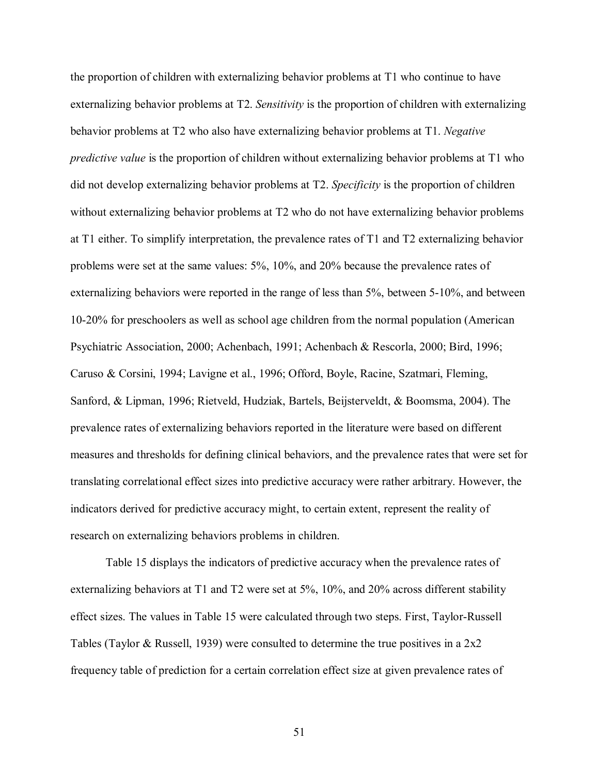the proportion of children with externalizing behavior problems at T1 who continue to have externalizing behavior problems at T2. *Sensitivity* is the proportion of children with externalizing behavior problems at T2 who also have externalizing behavior problems at T1. *Negative predictive value* is the proportion of children without externalizing behavior problems at T1 who did not develop externalizing behavior problems at T2. *Specificity* is the proportion of children without externalizing behavior problems at T2 who do not have externalizing behavior problems at T1 either. To simplify interpretation, the prevalence rates of T1 and T2 externalizing behavior problems were set at the same values: 5%, 10%, and 20% because the prevalence rates of externalizing behaviors were reported in the range of less than 5%, between 5-10%, and between 10-20% for preschoolers as well as school age children from the normal population (American Psychiatric Association, 2000; Achenbach, 1991; Achenbach & Rescorla, 2000; Bird, 1996; Caruso & Corsini, 1994; Lavigne et al., 1996; Offord, Boyle, Racine, Szatmari, Fleming, Sanford, & Lipman, 1996; Rietveld, Hudziak, Bartels, Beijsterveldt, & Boomsma, 2004). The prevalence rates of externalizing behaviors reported in the literature were based on different measures and thresholds for defining clinical behaviors, and the prevalence rates that were set for translating correlational effect sizes into predictive accuracy were rather arbitrary. However, the indicators derived for predictive accuracy might, to certain extent, represent the reality of research on externalizing behaviors problems in children.

Table 15 displays the indicators of predictive accuracy when the prevalence rates of externalizing behaviors at T1 and T2 were set at 5%, 10%, and 20% across different stability effect sizes. The values in Table 15 were calculated through two steps. First, Taylor-Russell Tables (Taylor & Russell, 1939) were consulted to determine the true positives in a 2x2 frequency table of prediction for a certain correlation effect size at given prevalence rates of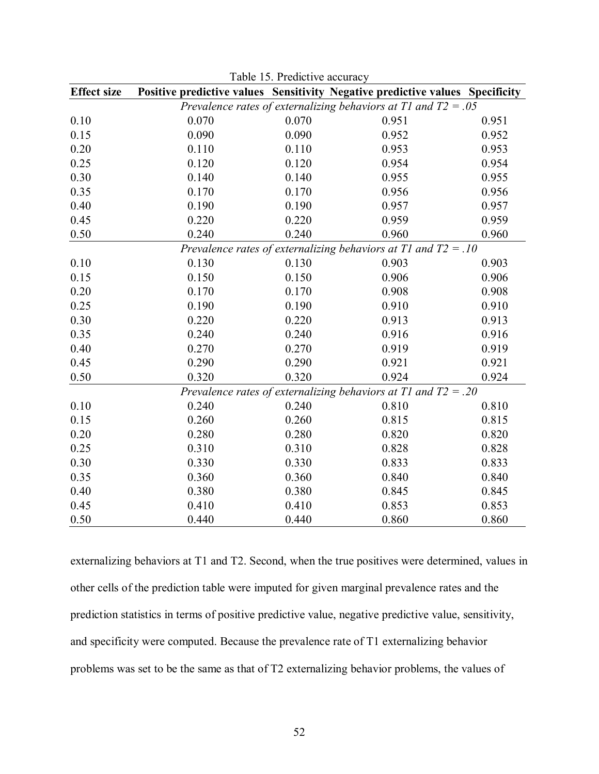| <b>Effect size</b> |       |       | Positive predictive values Sensitivity Negative predictive values Specificity |       |
|--------------------|-------|-------|-------------------------------------------------------------------------------|-------|
|                    |       |       | Prevalence rates of externalizing behaviors at T1 and $T2 = .05$              |       |
| 0.10               | 0.070 | 0.070 | 0.951                                                                         | 0.951 |
| 0.15               | 0.090 | 0.090 | 0.952                                                                         | 0.952 |
| 0.20               | 0.110 | 0.110 | 0.953                                                                         | 0.953 |
| 0.25               | 0.120 | 0.120 | 0.954                                                                         | 0.954 |
| 0.30               | 0.140 | 0.140 | 0.955                                                                         | 0.955 |
| 0.35               | 0.170 | 0.170 | 0.956                                                                         | 0.956 |
| 0.40               | 0.190 | 0.190 | 0.957                                                                         | 0.957 |
| 0.45               | 0.220 | 0.220 | 0.959                                                                         | 0.959 |
| 0.50               | 0.240 | 0.240 | 0.960                                                                         | 0.960 |
|                    |       |       | Prevalence rates of externalizing behaviors at T1 and $T2 = .10$              |       |
| 0.10               | 0.130 | 0.130 | 0.903                                                                         | 0.903 |
| 0.15               | 0.150 | 0.150 | 0.906                                                                         | 0.906 |
| 0.20               | 0.170 | 0.170 | 0.908                                                                         | 0.908 |
| 0.25               | 0.190 | 0.190 | 0.910                                                                         | 0.910 |
| 0.30               | 0.220 | 0.220 | 0.913                                                                         | 0.913 |
| 0.35               | 0.240 | 0.240 | 0.916                                                                         | 0.916 |
| 0.40               | 0.270 | 0.270 | 0.919                                                                         | 0.919 |
| 0.45               | 0.290 | 0.290 | 0.921                                                                         | 0.921 |
| 0.50               | 0.320 | 0.320 | 0.924                                                                         | 0.924 |
|                    |       |       | Prevalence rates of externalizing behaviors at T1 and $T2 = .20$              |       |
| 0.10               | 0.240 | 0.240 | 0.810                                                                         | 0.810 |
| 0.15               | 0.260 | 0.260 | 0.815                                                                         | 0.815 |
| 0.20               | 0.280 | 0.280 | 0.820                                                                         | 0.820 |
| 0.25               | 0.310 | 0.310 | 0.828                                                                         | 0.828 |
| 0.30               | 0.330 | 0.330 | 0.833                                                                         | 0.833 |
| 0.35               | 0.360 | 0.360 | 0.840                                                                         | 0.840 |
| 0.40               | 0.380 | 0.380 | 0.845                                                                         | 0.845 |
| 0.45               | 0.410 | 0.410 | 0.853                                                                         | 0.853 |
| 0.50               | 0.440 | 0.440 | 0.860                                                                         | 0.860 |

Table 15. Predictive accuracy

externalizing behaviors at T1 and T2. Second, when the true positives were determined, values in other cells of the prediction table were imputed for given marginal prevalence rates and the prediction statistics in terms of positive predictive value, negative predictive value, sensitivity, and specificity were computed. Because the prevalence rate of T1 externalizing behavior problems was set to be the same as that of T2 externalizing behavior problems, the values of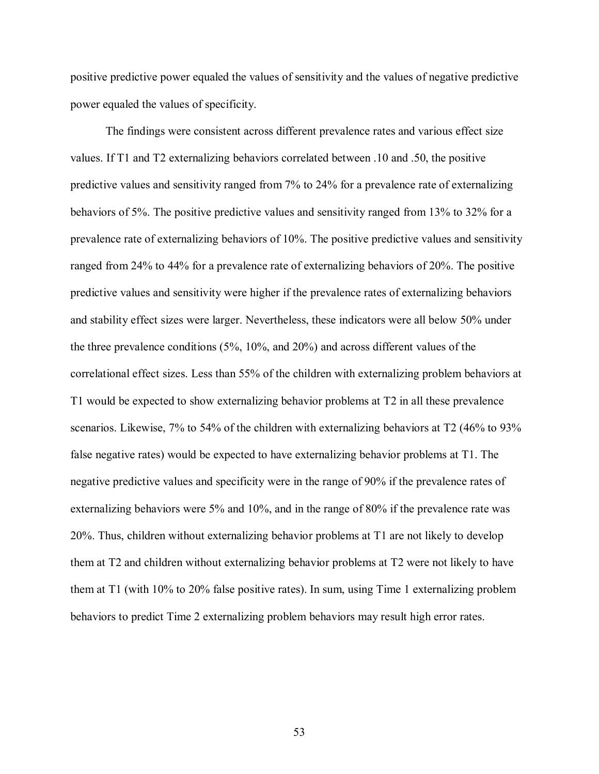positive predictive power equaled the values of sensitivity and the values of negative predictive power equaled the values of specificity.

The findings were consistent across different prevalence rates and various effect size values. If T1 and T2 externalizing behaviors correlated between .10 and .50, the positive predictive values and sensitivity ranged from 7% to 24% for a prevalence rate of externalizing behaviors of 5%. The positive predictive values and sensitivity ranged from 13% to 32% for a prevalence rate of externalizing behaviors of 10%. The positive predictive values and sensitivity ranged from 24% to 44% for a prevalence rate of externalizing behaviors of 20%. The positive predictive values and sensitivity were higher if the prevalence rates of externalizing behaviors and stability effect sizes were larger. Nevertheless, these indicators were all below 50% under the three prevalence conditions (5%, 10%, and 20%) and across different values of the correlational effect sizes. Less than 55% of the children with externalizing problem behaviors at T1 would be expected to show externalizing behavior problems at T2 in all these prevalence scenarios. Likewise, 7% to 54% of the children with externalizing behaviors at T2 (46% to 93% false negative rates) would be expected to have externalizing behavior problems at T1. The negative predictive values and specificity were in the range of 90% if the prevalence rates of externalizing behaviors were 5% and 10%, and in the range of 80% if the prevalence rate was 20%. Thus, children without externalizing behavior problems at T1 are not likely to develop them at T2 and children without externalizing behavior problems at T2 were not likely to have them at T1 (with 10% to 20% false positive rates). In sum, using Time 1 externalizing problem behaviors to predict Time 2 externalizing problem behaviors may result high error rates.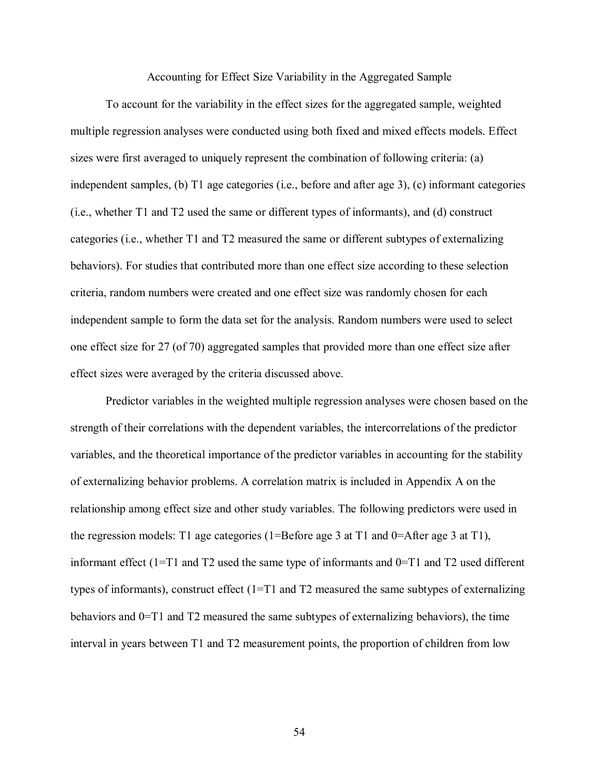Accounting for Effect Size Variability in the Aggregated Sample

 To account for the variability in the effect sizes for the aggregated sample, weighted multiple regression analyses were conducted using both fixed and mixed effects models. Effect sizes were first averaged to uniquely represent the combination of following criteria: (a) independent samples, (b) T1 age categories (i.e., before and after age 3), (c) informant categories (i.e., whether T1 and T2 used the same or different types of informants), and (d) construct categories (i.e., whether T1 and T2 measured the same or different subtypes of externalizing behaviors). For studies that contributed more than one effect size according to these selection criteria, random numbers were created and one effect size was randomly chosen for each independent sample to form the data set for the analysis. Random numbers were used to select one effect size for 27 (of 70) aggregated samples that provided more than one effect size after effect sizes were averaged by the criteria discussed above.

 Predictor variables in the weighted multiple regression analyses were chosen based on the strength of their correlations with the dependent variables, the intercorrelations of the predictor variables, and the theoretical importance of the predictor variables in accounting for the stability of externalizing behavior problems. A correlation matrix is included in Appendix A on the relationship among effect size and other study variables. The following predictors were used in the regression models: T1 age categories (1=Before age 3 at T1 and 0=After age 3 at T1), informant effect (1=T1 and T2 used the same type of informants and 0=T1 and T2 used different types of informants), construct effect  $(1=T1)$  and T2 measured the same subtypes of externalizing behaviors and 0=T1 and T2 measured the same subtypes of externalizing behaviors), the time interval in years between T1 and T2 measurement points, the proportion of children from low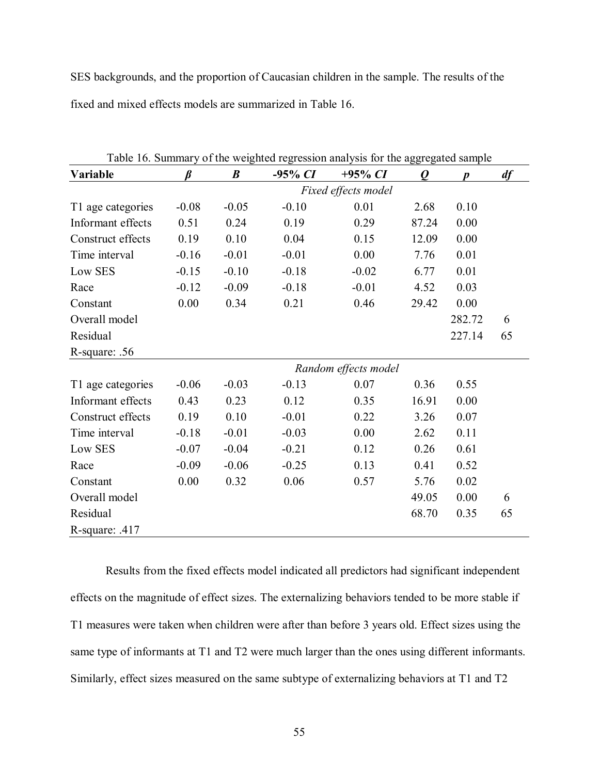SES backgrounds, and the proportion of Caucasian children in the sample. The results of the fixed and mixed effects models are summarized in Table 16.

| Table 16. Summary of the weighted regression analysis for the aggregated sample |         |                  |            |                      |                  |        |    |  |  |
|---------------------------------------------------------------------------------|---------|------------------|------------|----------------------|------------------|--------|----|--|--|
| Variable                                                                        | R       | $\boldsymbol{B}$ | $-95\% CI$ | $+95\% CI$           | $\boldsymbol{Q}$ | Ŋ      | df |  |  |
|                                                                                 |         |                  |            | Fixed effects model  |                  |        |    |  |  |
| T1 age categories                                                               | $-0.08$ | $-0.05$          | $-0.10$    | 0.01                 | 2.68             | 0.10   |    |  |  |
| Informant effects                                                               | 0.51    | 0.24             | 0.19       | 0.29                 | 87.24            | 0.00   |    |  |  |
| Construct effects                                                               | 0.19    | 0.10             | 0.04       | 0.15                 | 12.09            | 0.00   |    |  |  |
| Time interval                                                                   | $-0.16$ | $-0.01$          | $-0.01$    | 0.00                 | 7.76             | 0.01   |    |  |  |
| Low SES                                                                         | $-0.15$ | $-0.10$          | $-0.18$    | $-0.02$              | 6.77             | 0.01   |    |  |  |
| Race                                                                            | $-0.12$ | $-0.09$          | $-0.18$    | $-0.01$              | 4.52             | 0.03   |    |  |  |
| Constant                                                                        | 0.00    | 0.34             | 0.21       | 0.46                 | 29.42            | 0.00   |    |  |  |
| Overall model                                                                   |         |                  |            |                      |                  | 282.72 | 6  |  |  |
| Residual                                                                        |         |                  |            |                      |                  | 227.14 | 65 |  |  |
| R-square: .56                                                                   |         |                  |            |                      |                  |        |    |  |  |
|                                                                                 |         |                  |            | Random effects model |                  |        |    |  |  |
| T1 age categories                                                               | $-0.06$ | $-0.03$          | $-0.13$    | 0.07                 | 0.36             | 0.55   |    |  |  |
| Informant effects                                                               | 0.43    | 0.23             | 0.12       | 0.35                 | 16.91            | 0.00   |    |  |  |
| Construct effects                                                               | 0.19    | 0.10             | $-0.01$    | 0.22                 | 3.26             | 0.07   |    |  |  |
| Time interval                                                                   | $-0.18$ | $-0.01$          | $-0.03$    | 0.00                 | 2.62             | 0.11   |    |  |  |
| Low SES                                                                         | $-0.07$ | $-0.04$          | $-0.21$    | 0.12                 | 0.26             | 0.61   |    |  |  |
| Race                                                                            | $-0.09$ | $-0.06$          | $-0.25$    | 0.13                 | 0.41             | 0.52   |    |  |  |
| Constant                                                                        | 0.00    | 0.32             | 0.06       | 0.57                 | 5.76             | 0.02   |    |  |  |
| Overall model                                                                   |         |                  |            |                      | 49.05            | 0.00   | 6  |  |  |
| Residual                                                                        |         |                  |            |                      | 68.70            | 0.35   | 65 |  |  |
| R-square: .417                                                                  |         |                  |            |                      |                  |        |    |  |  |

 $T_{\rm{t}}$  11.  $T_{\rm{t}}$  summary of the aggregated regression and the aggregated samples for the aggregated samples of the aggregated samples of the aggregated samples of the aggregated samples of the aggregated samples of

Results from the fixed effects model indicated all predictors had significant independent effects on the magnitude of effect sizes. The externalizing behaviors tended to be more stable if T1 measures were taken when children were after than before 3 years old. Effect sizes using the same type of informants at T1 and T2 were much larger than the ones using different informants. Similarly, effect sizes measured on the same subtype of externalizing behaviors at T1 and T2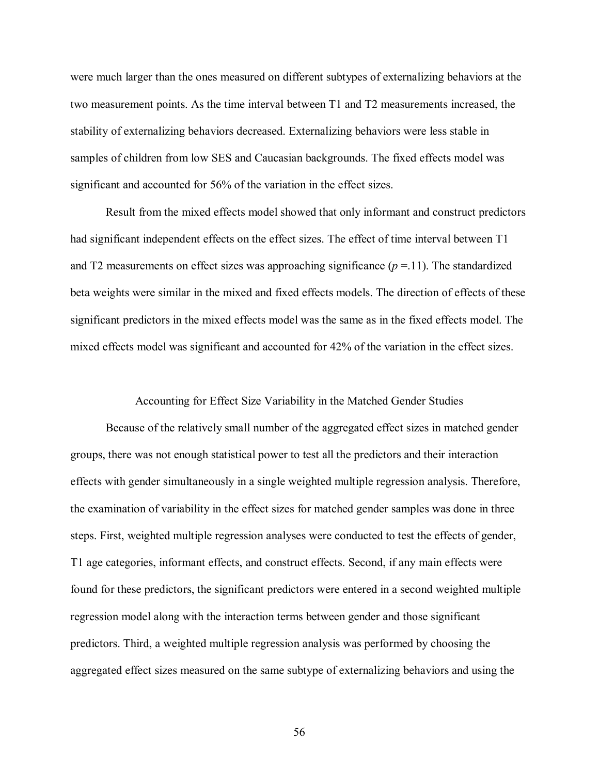were much larger than the ones measured on different subtypes of externalizing behaviors at the two measurement points. As the time interval between T1 and T2 measurements increased, the stability of externalizing behaviors decreased. Externalizing behaviors were less stable in samples of children from low SES and Caucasian backgrounds. The fixed effects model was significant and accounted for 56% of the variation in the effect sizes.

 Result from the mixed effects model showed that only informant and construct predictors had significant independent effects on the effect sizes. The effect of time interval between T1 and T2 measurements on effect sizes was approaching significance  $(p = 11)$ . The standardized beta weights were similar in the mixed and fixed effects models. The direction of effects of these significant predictors in the mixed effects model was the same as in the fixed effects model. The mixed effects model was significant and accounted for 42% of the variation in the effect sizes.

Accounting for Effect Size Variability in the Matched Gender Studies

Because of the relatively small number of the aggregated effect sizes in matched gender groups, there was not enough statistical power to test all the predictors and their interaction effects with gender simultaneously in a single weighted multiple regression analysis. Therefore, the examination of variability in the effect sizes for matched gender samples was done in three steps. First, weighted multiple regression analyses were conducted to test the effects of gender, T1 age categories, informant effects, and construct effects. Second, if any main effects were found for these predictors, the significant predictors were entered in a second weighted multiple regression model along with the interaction terms between gender and those significant predictors. Third, a weighted multiple regression analysis was performed by choosing the aggregated effect sizes measured on the same subtype of externalizing behaviors and using the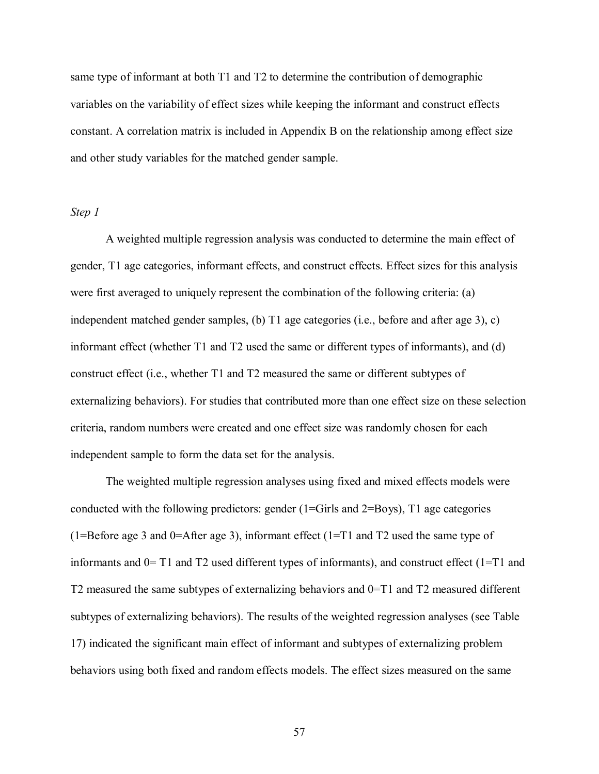same type of informant at both T1 and T2 to determine the contribution of demographic variables on the variability of effect sizes while keeping the informant and construct effects constant. A correlation matrix is included in Appendix B on the relationship among effect size and other study variables for the matched gender sample.

# *Step 1*

A weighted multiple regression analysis was conducted to determine the main effect of gender, T1 age categories, informant effects, and construct effects. Effect sizes for this analysis were first averaged to uniquely represent the combination of the following criteria: (a) independent matched gender samples, (b) T1 age categories (i.e., before and after age 3), c) informant effect (whether T1 and T2 used the same or different types of informants), and (d) construct effect (i.e., whether T1 and T2 measured the same or different subtypes of externalizing behaviors). For studies that contributed more than one effect size on these selection criteria, random numbers were created and one effect size was randomly chosen for each independent sample to form the data set for the analysis.

The weighted multiple regression analyses using fixed and mixed effects models were conducted with the following predictors: gender  $(1 = \text{Girls}$  and  $2 = \text{Boys})$ , T1 age categories (1=Before age 3 and 0=After age 3), informant effect (1=T1 and T2 used the same type of informants and 0= T1 and T2 used different types of informants), and construct effect (1=T1 and T2 measured the same subtypes of externalizing behaviors and 0=T1 and T2 measured different subtypes of externalizing behaviors). The results of the weighted regression analyses (see Table 17) indicated the significant main effect of informant and subtypes of externalizing problem behaviors using both fixed and random effects models. The effect sizes measured on the same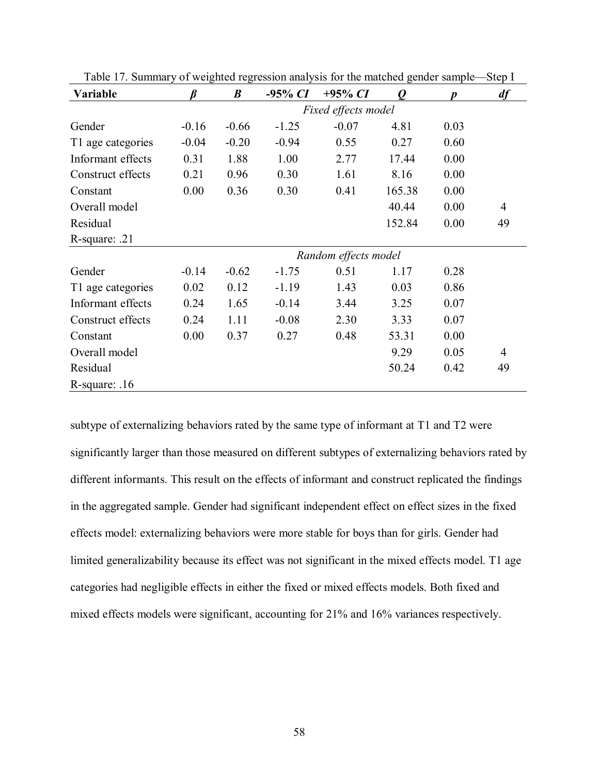| Variable          | ß                   | $\boldsymbol{B}$ | $-95\% CI$ | $+95\% CI$           | $\boldsymbol{Q}$ | Ŋ    | df             |  |  |  |
|-------------------|---------------------|------------------|------------|----------------------|------------------|------|----------------|--|--|--|
|                   | Fixed effects model |                  |            |                      |                  |      |                |  |  |  |
| Gender            | $-0.16$             | $-0.66$          | $-1.25$    | $-0.07$              | 4.81             | 0.03 |                |  |  |  |
| T1 age categories | $-0.04$             | $-0.20$          | $-0.94$    | 0.55                 | 0.27             | 0.60 |                |  |  |  |
| Informant effects | 0.31                | 1.88             | 1.00       | 2.77                 | 17.44            | 0.00 |                |  |  |  |
| Construct effects | 0.21                | 0.96             | 0.30       | 1.61                 | 8.16             | 0.00 |                |  |  |  |
| Constant          | 0.00                | 0.36             | 0.30       | 0.41                 | 165.38           | 0.00 |                |  |  |  |
| Overall model     |                     |                  |            |                      | 40.44            | 0.00 | 4              |  |  |  |
| Residual          |                     |                  |            |                      | 152.84           | 0.00 | 49             |  |  |  |
| R-square: .21     |                     |                  |            |                      |                  |      |                |  |  |  |
|                   |                     |                  |            | Random effects model |                  |      |                |  |  |  |
| Gender            | $-0.14$             | $-0.62$          | $-1.75$    | 0.51                 | 1.17             | 0.28 |                |  |  |  |
| T1 age categories | 0.02                | 0.12             | $-1.19$    | 1.43                 | 0.03             | 0.86 |                |  |  |  |
| Informant effects | 0.24                | 1.65             | $-0.14$    | 3.44                 | 3.25             | 0.07 |                |  |  |  |
| Construct effects | 0.24                | 1.11             | $-0.08$    | 2.30                 | 3.33             | 0.07 |                |  |  |  |
| Constant          | 0.00                | 0.37             | 0.27       | 0.48                 | 53.31            | 0.00 |                |  |  |  |
| Overall model     |                     |                  |            |                      | 9.29             | 0.05 | $\overline{4}$ |  |  |  |
| Residual          |                     |                  |            |                      | 50.24            | 0.42 | 49             |  |  |  |
| R-square: $.16$   |                     |                  |            |                      |                  |      |                |  |  |  |

Table 17. Summary of weighted regression analysis for the matched gender sample—Step I

subtype of externalizing behaviors rated by the same type of informant at T1 and T2 were significantly larger than those measured on different subtypes of externalizing behaviors rated by different informants. This result on the effects of informant and construct replicated the findings in the aggregated sample. Gender had significant independent effect on effect sizes in the fixed effects model: externalizing behaviors were more stable for boys than for girls. Gender had limited generalizability because its effect was not significant in the mixed effects model. T1 age categories had negligible effects in either the fixed or mixed effects models. Both fixed and mixed effects models were significant, accounting for 21% and 16% variances respectively.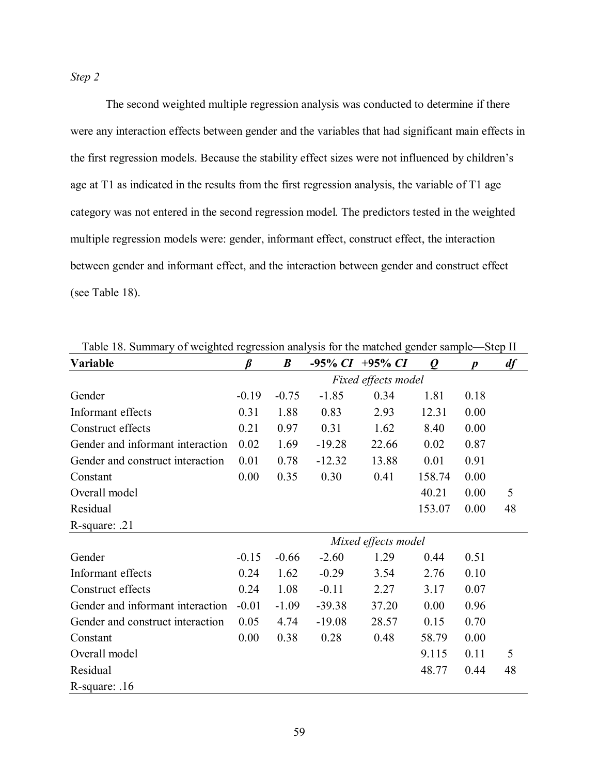*Step 2* 

 The second weighted multiple regression analysis was conducted to determine if there were any interaction effects between gender and the variables that had significant main effects in the first regression models. Because the stability effect sizes were not influenced by children's age at T1 as indicated in the results from the first regression analysis, the variable of T1 age category was not entered in the second regression model. The predictors tested in the weighted multiple regression models were: gender, informant effect, construct effect, the interaction between gender and informant effect, and the interaction between gender and construct effect (see Table 18).

| Variable                         | ß                   | $\boldsymbol{B}$ |          | $-95\% CI +95\% CI$ | $\boldsymbol{\varrho}$ |      | df |
|----------------------------------|---------------------|------------------|----------|---------------------|------------------------|------|----|
|                                  |                     |                  |          | Fixed effects model |                        |      |    |
| Gender                           | $-0.19$             | $-0.75$          | $-1.85$  | 0.34                | 1.81                   | 0.18 |    |
| Informant effects                | 0.31                | 1.88             | 0.83     | 2.93                | 12.31                  | 0.00 |    |
| Construct effects                | 0.21                | 0.97             | 0.31     | 1.62                | 8.40                   | 0.00 |    |
| Gender and informant interaction | 0.02                | 1.69             | $-19.28$ | 22.66               | 0.02                   | 0.87 |    |
| Gender and construct interaction | 0.01                | 0.78             | $-12.32$ | 13.88               | 0.01                   | 0.91 |    |
| Constant                         | 0.00                | 0.35             | 0.30     | 0.41                | 158.74                 | 0.00 |    |
| Overall model                    |                     |                  |          |                     | 40.21                  | 0.00 | 5  |
| Residual                         |                     |                  |          |                     | 153.07                 | 0.00 | 48 |
| $R$ -square: .21                 |                     |                  |          |                     |                        |      |    |
|                                  | Mixed effects model |                  |          |                     |                        |      |    |
| Gender                           | $-0.15$             | $-0.66$          | $-2.60$  | 1.29                | 0.44                   | 0.51 |    |
| Informant effects                | 0.24                | 1.62             | $-0.29$  | 3.54                | 2.76                   | 0.10 |    |
| Construct effects                | 0.24                | 1.08             | $-0.11$  | 2.27                | 3.17                   | 0.07 |    |
| Gender and informant interaction | $-0.01$             | $-1.09$          | $-39.38$ | 37.20               | 0.00                   | 0.96 |    |
| Gender and construct interaction | 0.05                | 4.74             | $-19.08$ | 28.57               | 0.15                   | 0.70 |    |
| Constant                         | 0.00                | 0.38             | 0.28     | 0.48                | 58.79                  | 0.00 |    |
| Overall model                    |                     |                  |          |                     | 9.115                  | 0.11 | 5  |
| Residual                         |                     |                  |          |                     | 48.77                  | 0.44 | 48 |
| R-square: $.16$                  |                     |                  |          |                     |                        |      |    |

Table 18. Summary of weighted regression analysis for the matched gender sample—Step II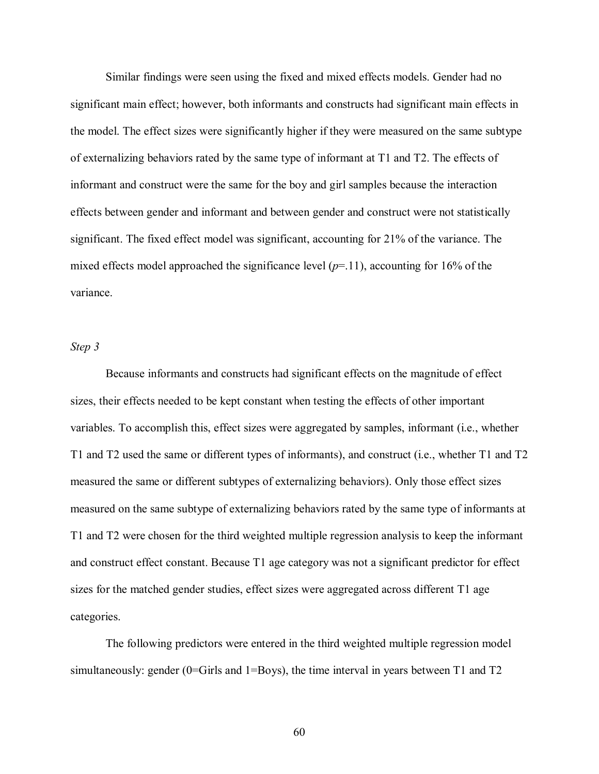Similar findings were seen using the fixed and mixed effects models. Gender had no significant main effect; however, both informants and constructs had significant main effects in the model. The effect sizes were significantly higher if they were measured on the same subtype of externalizing behaviors rated by the same type of informant at T1 and T2. The effects of informant and construct were the same for the boy and girl samples because the interaction effects between gender and informant and between gender and construct were not statistically significant. The fixed effect model was significant, accounting for 21% of the variance. The mixed effects model approached the significance level  $(p=11)$ , accounting for 16% of the variance.

### *Step 3*

 Because informants and constructs had significant effects on the magnitude of effect sizes, their effects needed to be kept constant when testing the effects of other important variables. To accomplish this, effect sizes were aggregated by samples, informant (i.e., whether T1 and T2 used the same or different types of informants), and construct (i.e., whether T1 and T2 measured the same or different subtypes of externalizing behaviors). Only those effect sizes measured on the same subtype of externalizing behaviors rated by the same type of informants at T1 and T2 were chosen for the third weighted multiple regression analysis to keep the informant and construct effect constant. Because T1 age category was not a significant predictor for effect sizes for the matched gender studies, effect sizes were aggregated across different T1 age categories.

 The following predictors were entered in the third weighted multiple regression model simultaneously: gender (0=Girls and 1=Boys), the time interval in years between T1 and T2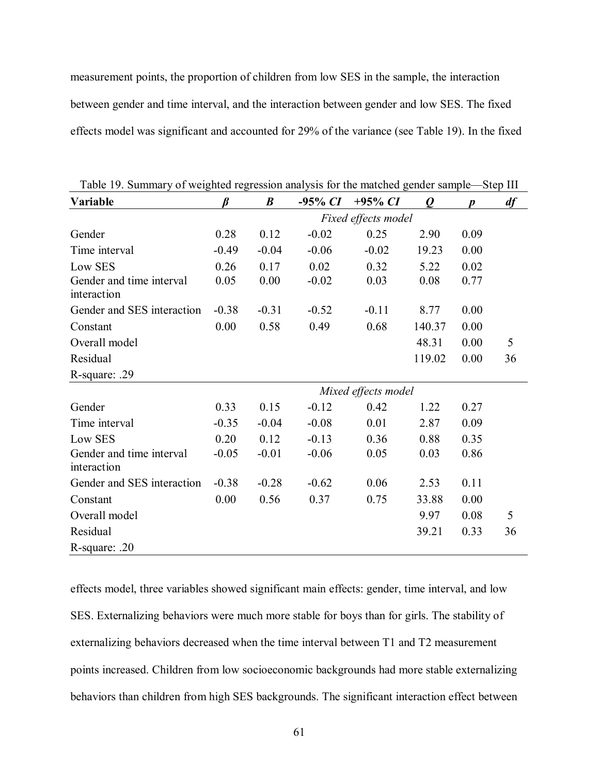measurement points, the proportion of children from low SES in the sample, the interaction between gender and time interval, and the interaction between gender and low SES. The fixed effects model was significant and accounted for 29% of the variance (see Table 19). In the fixed

| Table 19. Building you weighted regression analysis for the materied genuer sample<br>Variable |         | $\boldsymbol{B}$ | $-95\% CI$ | $+95\% CI$          | $\boldsymbol{Q}$ | D    | $\mathsf{D}\mathsf{L}\mathsf{L}\mathsf{P}$ III<br>df |
|------------------------------------------------------------------------------------------------|---------|------------------|------------|---------------------|------------------|------|------------------------------------------------------|
|                                                                                                |         |                  |            | Fixed effects model |                  |      |                                                      |
| Gender                                                                                         | 0.28    | 0.12             | $-0.02$    | 0.25                | 2.90             | 0.09 |                                                      |
| Time interval                                                                                  | $-0.49$ | $-0.04$          | $-0.06$    | $-0.02$             | 19.23            | 0.00 |                                                      |
| Low SES                                                                                        | 0.26    | 0.17             | 0.02       | 0.32                | 5.22             | 0.02 |                                                      |
| Gender and time interval<br>interaction                                                        | 0.05    | 0.00             | $-0.02$    | 0.03                | 0.08             | 0.77 |                                                      |
| Gender and SES interaction                                                                     | $-0.38$ | $-0.31$          | $-0.52$    | $-0.11$             | 8.77             | 0.00 |                                                      |
| Constant                                                                                       | 0.00    | 0.58             | 0.49       | 0.68                | 140.37           | 0.00 |                                                      |
| Overall model                                                                                  |         |                  |            |                     | 48.31            | 0.00 | 5                                                    |
| Residual                                                                                       |         |                  |            |                     | 119.02           | 0.00 | 36                                                   |
| R-square: .29                                                                                  |         |                  |            |                     |                  |      |                                                      |
|                                                                                                |         |                  |            | Mixed effects model |                  |      |                                                      |
| Gender                                                                                         | 0.33    | 0.15             | $-0.12$    | 0.42                | 1.22             | 0.27 |                                                      |
| Time interval                                                                                  | $-0.35$ | $-0.04$          | $-0.08$    | 0.01                | 2.87             | 0.09 |                                                      |
| Low SES                                                                                        | 0.20    | 0.12             | $-0.13$    | 0.36                | 0.88             | 0.35 |                                                      |
| Gender and time interval<br>interaction                                                        | $-0.05$ | $-0.01$          | $-0.06$    | 0.05                | 0.03             | 0.86 |                                                      |
| Gender and SES interaction                                                                     | $-0.38$ | $-0.28$          | $-0.62$    | 0.06                | 2.53             | 0.11 |                                                      |
| Constant                                                                                       | 0.00    | 0.56             | 0.37       | 0.75                | 33.88            | 0.00 |                                                      |
| Overall model                                                                                  |         |                  |            |                     | 9.97             | 0.08 | 5                                                    |
| Residual                                                                                       |         |                  |            |                     | 39.21            | 0.33 | 36                                                   |
| R-square: .20                                                                                  |         |                  |            |                     |                  |      |                                                      |

Table 19. Summary of weighted regression analysis for the matched gender sample—Step III

effects model, three variables showed significant main effects: gender, time interval, and low SES. Externalizing behaviors were much more stable for boys than for girls. The stability of externalizing behaviors decreased when the time interval between T1 and T2 measurement points increased. Children from low socioeconomic backgrounds had more stable externalizing behaviors than children from high SES backgrounds. The significant interaction effect between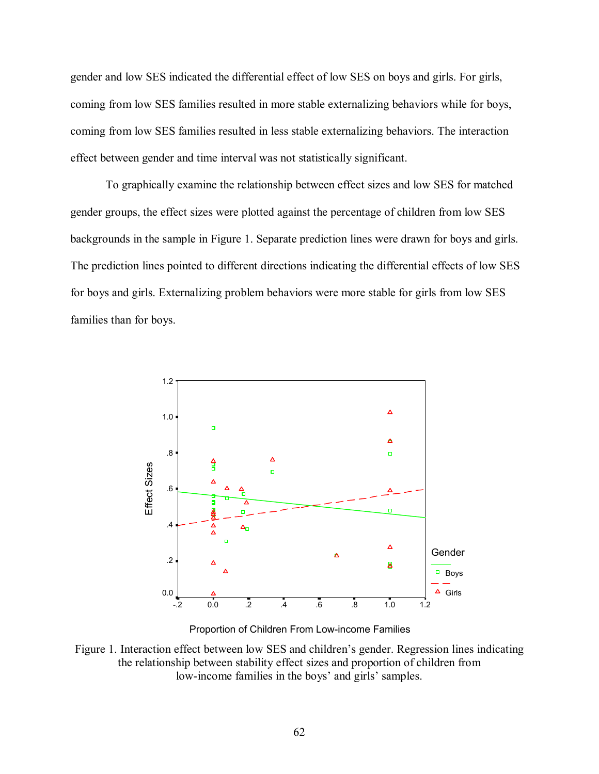gender and low SES indicated the differential effect of low SES on boys and girls. For girls, coming from low SES families resulted in more stable externalizing behaviors while for boys, coming from low SES families resulted in less stable externalizing behaviors. The interaction effect between gender and time interval was not statistically significant.

To graphically examine the relationship between effect sizes and low SES for matched gender groups, the effect sizes were plotted against the percentage of children from low SES backgrounds in the sample in Figure 1. Separate prediction lines were drawn for boys and girls. The prediction lines pointed to different directions indicating the differential effects of low SES for boys and girls. Externalizing problem behaviors were more stable for girls from low SES families than for boys.



Proportion of Children From Low-income Families

Figure 1. Interaction effect between low SES and children's gender. Regression lines indicating the relationship between stability effect sizes and proportion of children from low-income families in the boys' and girls' samples.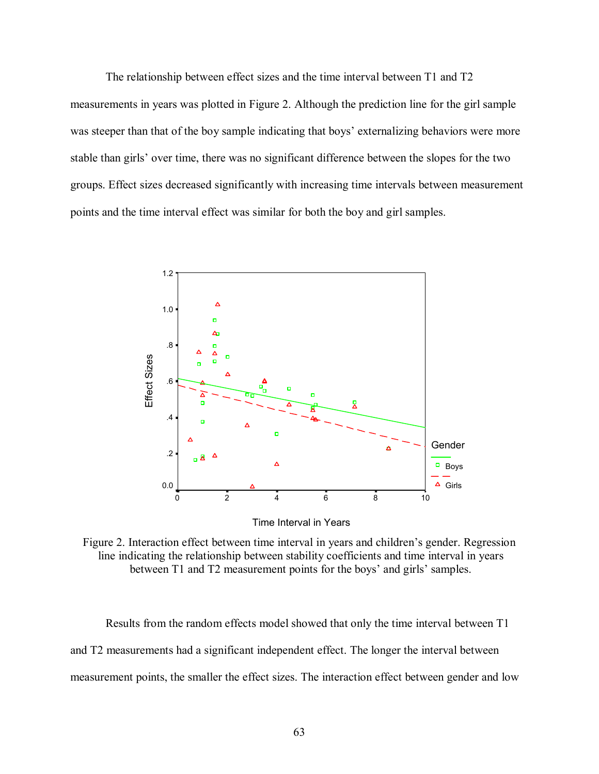The relationship between effect sizes and the time interval between T1 and T2 measurements in years was plotted in Figure 2. Although the prediction line for the girl sample was steeper than that of the boy sample indicating that boys' externalizing behaviors were more stable than girls' over time, there was no significant difference between the slopes for the two groups. Effect sizes decreased significantly with increasing time intervals between measurement points and the time interval effect was similar for both the boy and girl samples.



Figure 2. Interaction effect between time interval in years and children's gender. Regression line indicating the relationship between stability coefficients and time interval in years between T1 and T2 measurement points for the boys' and girls' samples.

Results from the random effects model showed that only the time interval between T1 and T2 measurements had a significant independent effect. The longer the interval between measurement points, the smaller the effect sizes. The interaction effect between gender and low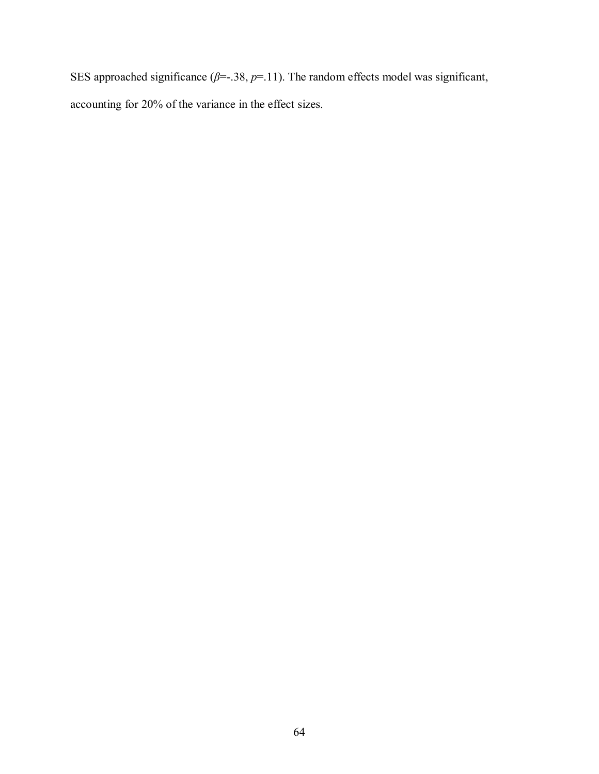SES approached significance  $(\beta = .38, p = .11)$ . The random effects model was significant, accounting for 20% of the variance in the effect sizes.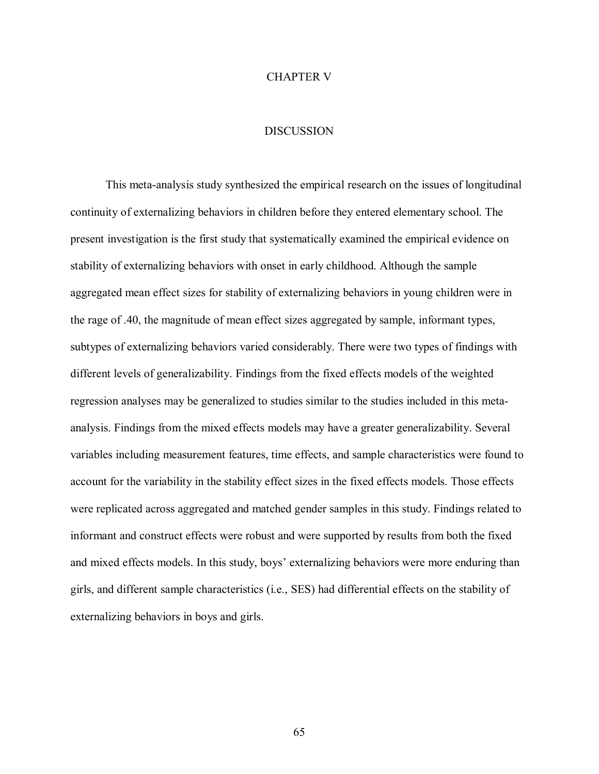# CHAPTER V

## **DISCUSSION**

This meta-analysis study synthesized the empirical research on the issues of longitudinal continuity of externalizing behaviors in children before they entered elementary school. The present investigation is the first study that systematically examined the empirical evidence on stability of externalizing behaviors with onset in early childhood. Although the sample aggregated mean effect sizes for stability of externalizing behaviors in young children were in the rage of .40, the magnitude of mean effect sizes aggregated by sample, informant types, subtypes of externalizing behaviors varied considerably. There were two types of findings with different levels of generalizability. Findings from the fixed effects models of the weighted regression analyses may be generalized to studies similar to the studies included in this metaanalysis. Findings from the mixed effects models may have a greater generalizability. Several variables including measurement features, time effects, and sample characteristics were found to account for the variability in the stability effect sizes in the fixed effects models. Those effects were replicated across aggregated and matched gender samples in this study. Findings related to informant and construct effects were robust and were supported by results from both the fixed and mixed effects models. In this study, boys' externalizing behaviors were more enduring than girls, and different sample characteristics (i.e., SES) had differential effects on the stability of externalizing behaviors in boys and girls.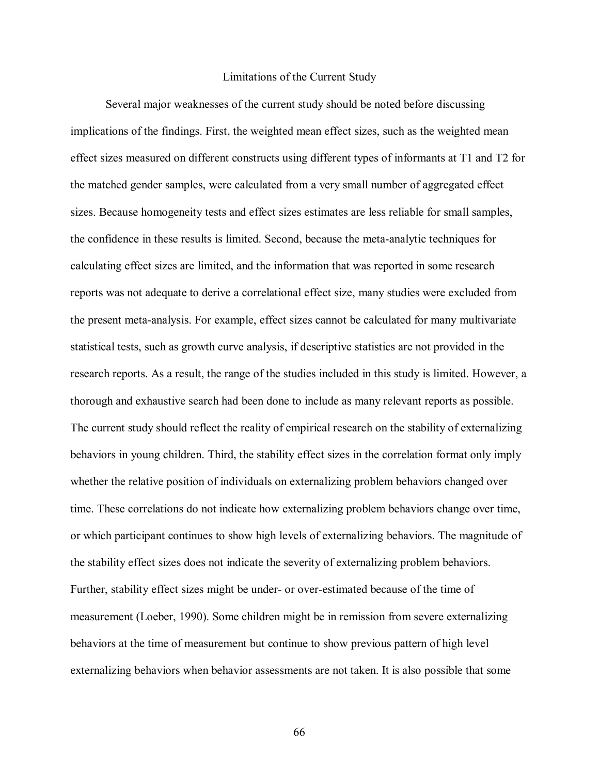#### Limitations of the Current Study

Several major weaknesses of the current study should be noted before discussing implications of the findings. First, the weighted mean effect sizes, such as the weighted mean effect sizes measured on different constructs using different types of informants at T1 and T2 for the matched gender samples, were calculated from a very small number of aggregated effect sizes. Because homogeneity tests and effect sizes estimates are less reliable for small samples, the confidence in these results is limited. Second, because the meta-analytic techniques for calculating effect sizes are limited, and the information that was reported in some research reports was not adequate to derive a correlational effect size, many studies were excluded from the present meta-analysis. For example, effect sizes cannot be calculated for many multivariate statistical tests, such as growth curve analysis, if descriptive statistics are not provided in the research reports. As a result, the range of the studies included in this study is limited. However, a thorough and exhaustive search had been done to include as many relevant reports as possible. The current study should reflect the reality of empirical research on the stability of externalizing behaviors in young children. Third, the stability effect sizes in the correlation format only imply whether the relative position of individuals on externalizing problem behaviors changed over time. These correlations do not indicate how externalizing problem behaviors change over time, or which participant continues to show high levels of externalizing behaviors. The magnitude of the stability effect sizes does not indicate the severity of externalizing problem behaviors. Further, stability effect sizes might be under- or over-estimated because of the time of measurement (Loeber, 1990). Some children might be in remission from severe externalizing behaviors at the time of measurement but continue to show previous pattern of high level externalizing behaviors when behavior assessments are not taken. It is also possible that some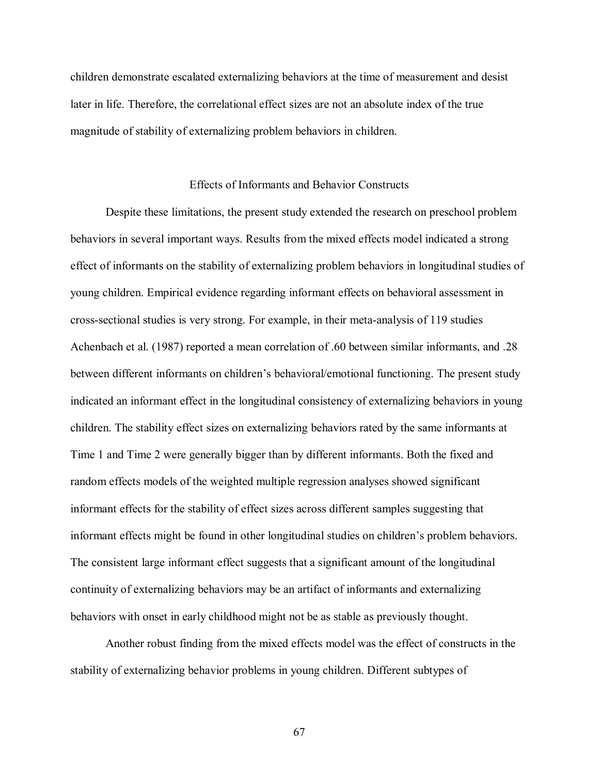children demonstrate escalated externalizing behaviors at the time of measurement and desist later in life. Therefore, the correlational effect sizes are not an absolute index of the true magnitude of stability of externalizing problem behaviors in children.

## Effects of Informants and Behavior Constructs

Despite these limitations, the present study extended the research on preschool problem behaviors in several important ways. Results from the mixed effects model indicated a strong effect of informants on the stability of externalizing problem behaviors in longitudinal studies of young children. Empirical evidence regarding informant effects on behavioral assessment in cross-sectional studies is very strong. For example, in their meta-analysis of 119 studies Achenbach et al. (1987) reported a mean correlation of .60 between similar informants, and .28 between different informants on children's behavioral/emotional functioning. The present study indicated an informant effect in the longitudinal consistency of externalizing behaviors in young children. The stability effect sizes on externalizing behaviors rated by the same informants at Time 1 and Time 2 were generally bigger than by different informants. Both the fixed and random effects models of the weighted multiple regression analyses showed significant informant effects for the stability of effect sizes across different samples suggesting that informant effects might be found in other longitudinal studies on children's problem behaviors. The consistent large informant effect suggests that a significant amount of the longitudinal continuity of externalizing behaviors may be an artifact of informants and externalizing behaviors with onset in early childhood might not be as stable as previously thought.

Another robust finding from the mixed effects model was the effect of constructs in the stability of externalizing behavior problems in young children. Different subtypes of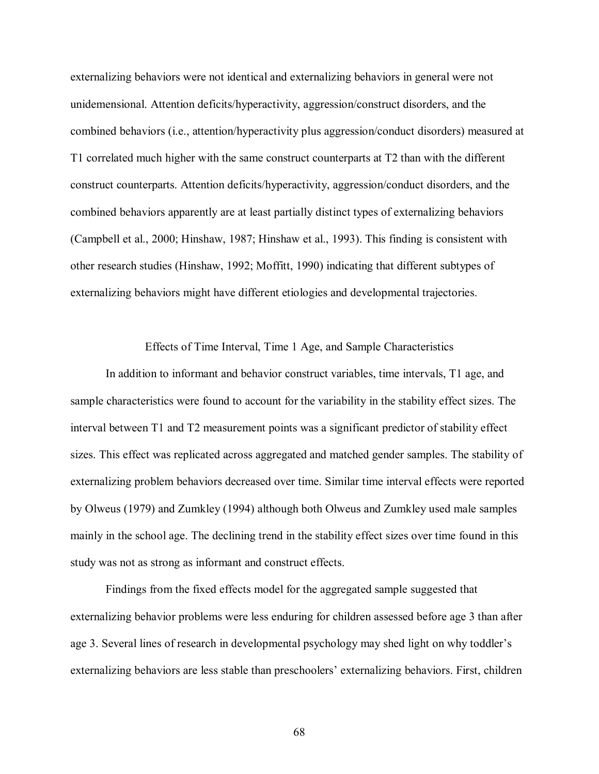externalizing behaviors were not identical and externalizing behaviors in general were not unidemensional. Attention deficits/hyperactivity, aggression/construct disorders, and the combined behaviors (i.e., attention/hyperactivity plus aggression/conduct disorders) measured at T1 correlated much higher with the same construct counterparts at T2 than with the different construct counterparts. Attention deficits/hyperactivity, aggression/conduct disorders, and the combined behaviors apparently are at least partially distinct types of externalizing behaviors (Campbell et al., 2000; Hinshaw, 1987; Hinshaw et al., 1993). This finding is consistent with other research studies (Hinshaw, 1992; Moffitt, 1990) indicating that different subtypes of externalizing behaviors might have different etiologies and developmental trajectories.

Effects of Time Interval, Time 1 Age, and Sample Characteristics

In addition to informant and behavior construct variables, time intervals, T1 age, and sample characteristics were found to account for the variability in the stability effect sizes. The interval between T1 and T2 measurement points was a significant predictor of stability effect sizes. This effect was replicated across aggregated and matched gender samples. The stability of externalizing problem behaviors decreased over time. Similar time interval effects were reported by Olweus (1979) and Zumkley (1994) although both Olweus and Zumkley used male samples mainly in the school age. The declining trend in the stability effect sizes over time found in this study was not as strong as informant and construct effects.

Findings from the fixed effects model for the aggregated sample suggested that externalizing behavior problems were less enduring for children assessed before age 3 than after age 3. Several lines of research in developmental psychology may shed light on why toddler's externalizing behaviors are less stable than preschoolers' externalizing behaviors. First, children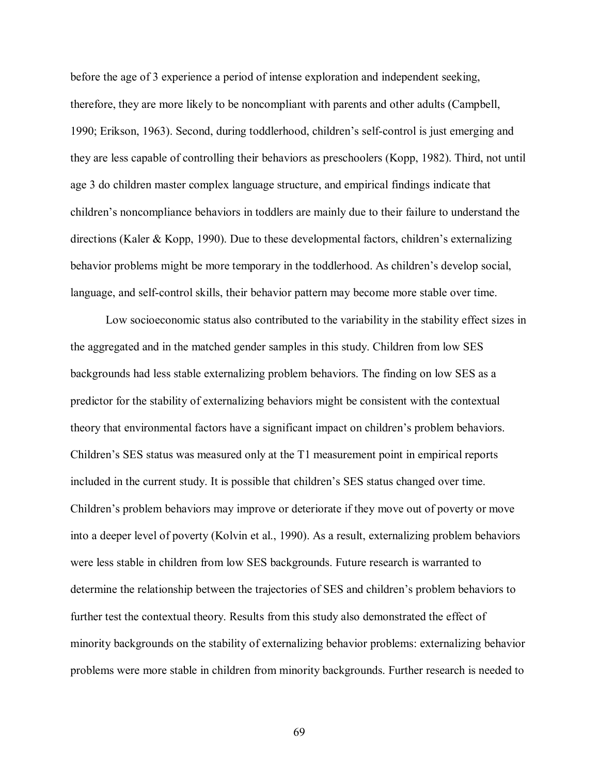before the age of 3 experience a period of intense exploration and independent seeking, therefore, they are more likely to be noncompliant with parents and other adults (Campbell, 1990; Erikson, 1963). Second, during toddlerhood, children's self-control is just emerging and they are less capable of controlling their behaviors as preschoolers (Kopp, 1982). Third, not until age 3 do children master complex language structure, and empirical findings indicate that children's noncompliance behaviors in toddlers are mainly due to their failure to understand the directions (Kaler & Kopp, 1990). Due to these developmental factors, children's externalizing behavior problems might be more temporary in the toddlerhood. As children's develop social, language, and self-control skills, their behavior pattern may become more stable over time.

Low socioeconomic status also contributed to the variability in the stability effect sizes in the aggregated and in the matched gender samples in this study. Children from low SES backgrounds had less stable externalizing problem behaviors. The finding on low SES as a predictor for the stability of externalizing behaviors might be consistent with the contextual theory that environmental factors have a significant impact on children's problem behaviors. Children's SES status was measured only at the T1 measurement point in empirical reports included in the current study. It is possible that children's SES status changed over time. Children's problem behaviors may improve or deteriorate if they move out of poverty or move into a deeper level of poverty (Kolvin et al., 1990). As a result, externalizing problem behaviors were less stable in children from low SES backgrounds. Future research is warranted to determine the relationship between the trajectories of SES and children's problem behaviors to further test the contextual theory. Results from this study also demonstrated the effect of minority backgrounds on the stability of externalizing behavior problems: externalizing behavior problems were more stable in children from minority backgrounds. Further research is needed to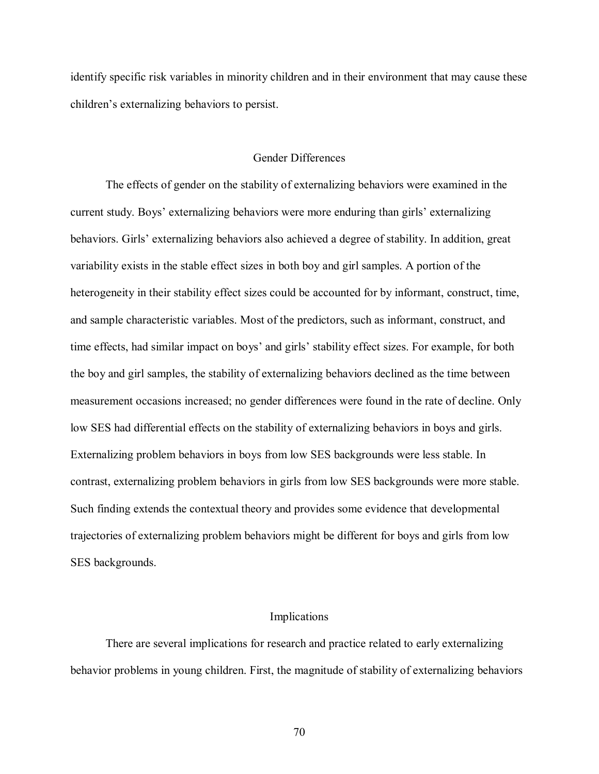identify specific risk variables in minority children and in their environment that may cause these children's externalizing behaviors to persist.

## Gender Differences

The effects of gender on the stability of externalizing behaviors were examined in the current study. Boys' externalizing behaviors were more enduring than girls' externalizing behaviors. Girls' externalizing behaviors also achieved a degree of stability. In addition, great variability exists in the stable effect sizes in both boy and girl samples. A portion of the heterogeneity in their stability effect sizes could be accounted for by informant, construct, time, and sample characteristic variables. Most of the predictors, such as informant, construct, and time effects, had similar impact on boys' and girls' stability effect sizes. For example, for both the boy and girl samples, the stability of externalizing behaviors declined as the time between measurement occasions increased; no gender differences were found in the rate of decline. Only low SES had differential effects on the stability of externalizing behaviors in boys and girls. Externalizing problem behaviors in boys from low SES backgrounds were less stable. In contrast, externalizing problem behaviors in girls from low SES backgrounds were more stable. Such finding extends the contextual theory and provides some evidence that developmental trajectories of externalizing problem behaviors might be different for boys and girls from low SES backgrounds.

#### Implications

There are several implications for research and practice related to early externalizing behavior problems in young children. First, the magnitude of stability of externalizing behaviors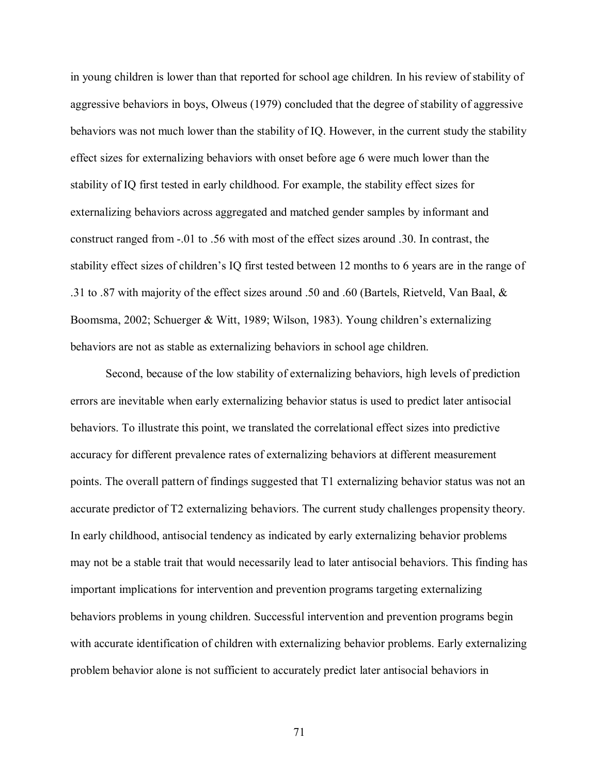in young children is lower than that reported for school age children. In his review of stability of aggressive behaviors in boys, Olweus (1979) concluded that the degree of stability of aggressive behaviors was not much lower than the stability of IQ. However, in the current study the stability effect sizes for externalizing behaviors with onset before age 6 were much lower than the stability of IQ first tested in early childhood. For example, the stability effect sizes for externalizing behaviors across aggregated and matched gender samples by informant and construct ranged from -.01 to .56 with most of the effect sizes around .30. In contrast, the stability effect sizes of children's IQ first tested between 12 months to 6 years are in the range of .31 to .87 with majority of the effect sizes around .50 and .60 (Bartels, Rietveld, Van Baal, & Boomsma, 2002; Schuerger & Witt, 1989; Wilson, 1983). Young children's externalizing behaviors are not as stable as externalizing behaviors in school age children.

Second, because of the low stability of externalizing behaviors, high levels of prediction errors are inevitable when early externalizing behavior status is used to predict later antisocial behaviors. To illustrate this point, we translated the correlational effect sizes into predictive accuracy for different prevalence rates of externalizing behaviors at different measurement points. The overall pattern of findings suggested that T1 externalizing behavior status was not an accurate predictor of T2 externalizing behaviors. The current study challenges propensity theory. In early childhood, antisocial tendency as indicated by early externalizing behavior problems may not be a stable trait that would necessarily lead to later antisocial behaviors. This finding has important implications for intervention and prevention programs targeting externalizing behaviors problems in young children. Successful intervention and prevention programs begin with accurate identification of children with externalizing behavior problems. Early externalizing problem behavior alone is not sufficient to accurately predict later antisocial behaviors in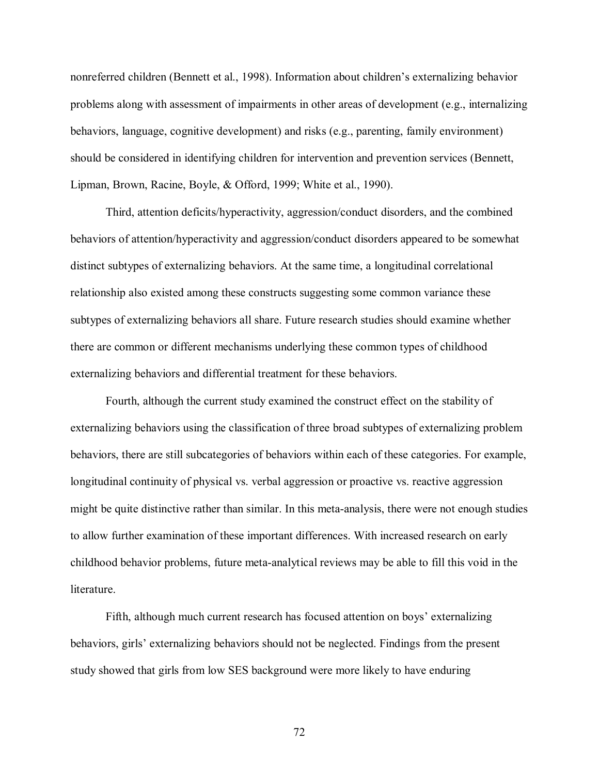nonreferred children (Bennett et al., 1998). Information about children's externalizing behavior problems along with assessment of impairments in other areas of development (e.g., internalizing behaviors, language, cognitive development) and risks (e.g., parenting, family environment) should be considered in identifying children for intervention and prevention services (Bennett, Lipman, Brown, Racine, Boyle, & Offord, 1999; White et al., 1990).

Third, attention deficits/hyperactivity, aggression/conduct disorders, and the combined behaviors of attention/hyperactivity and aggression/conduct disorders appeared to be somewhat distinct subtypes of externalizing behaviors. At the same time, a longitudinal correlational relationship also existed among these constructs suggesting some common variance these subtypes of externalizing behaviors all share. Future research studies should examine whether there are common or different mechanisms underlying these common types of childhood externalizing behaviors and differential treatment for these behaviors.

Fourth, although the current study examined the construct effect on the stability of externalizing behaviors using the classification of three broad subtypes of externalizing problem behaviors, there are still subcategories of behaviors within each of these categories. For example, longitudinal continuity of physical vs. verbal aggression or proactive vs. reactive aggression might be quite distinctive rather than similar. In this meta-analysis, there were not enough studies to allow further examination of these important differences. With increased research on early childhood behavior problems, future meta-analytical reviews may be able to fill this void in the literature.

Fifth, although much current research has focused attention on boys' externalizing behaviors, girls' externalizing behaviors should not be neglected. Findings from the present study showed that girls from low SES background were more likely to have enduring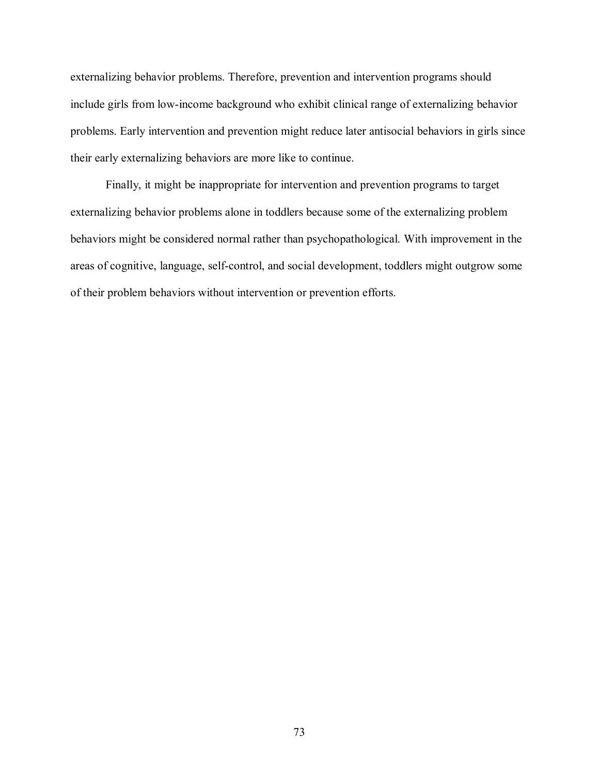externalizing behavior problems. Therefore, prevention and intervention programs should include girls from low-income background who exhibit clinical range of externalizing behavior problems. Early intervention and prevention might reduce later antisocial behaviors in girls since their early externalizing behaviors are more like to continue.

Finally, it might be inappropriate for intervention and prevention programs to target externalizing behavior problems alone in toddlers because some of the externalizing problem behaviors might be considered normal rather than psychopathological. With improvement in the areas of cognitive, language, self-control, and social development, toddlers might outgrow some of their problem behaviors without intervention or prevention efforts.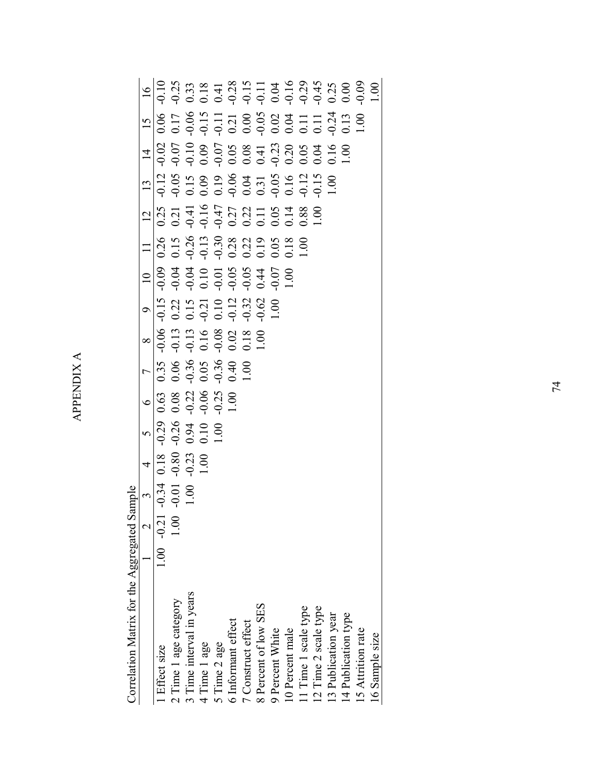APPENDIX A APPENDIX A

> Correlation Matrix for the Aggregated Sample Correlation Matrix for the Aggregated Sample

| 1 Effect size            | $1.00 - 0.21$   | $\frac{3}{10.34}$<br>0.01 |                                         |                                          |                                                   |                                                                                                               |                                                                                                                                                                                                                                                                                                                                                                                                                                      |  |                                                                                                                                                                                                                                                              |                                                                                                                                                                                                                                                                |  |  |
|--------------------------|-----------------|---------------------------|-----------------------------------------|------------------------------------------|---------------------------------------------------|---------------------------------------------------------------------------------------------------------------|--------------------------------------------------------------------------------------------------------------------------------------------------------------------------------------------------------------------------------------------------------------------------------------------------------------------------------------------------------------------------------------------------------------------------------------|--|--------------------------------------------------------------------------------------------------------------------------------------------------------------------------------------------------------------------------------------------------------------|----------------------------------------------------------------------------------------------------------------------------------------------------------------------------------------------------------------------------------------------------------------|--|--|
| 2 Time 1 age category    | $\overline{00}$ |                           |                                         |                                          |                                                   |                                                                                                               |                                                                                                                                                                                                                                                                                                                                                                                                                                      |  |                                                                                                                                                                                                                                                              |                                                                                                                                                                                                                                                                |  |  |
| 3 Time interval in years |                 |                           | $\frac{4}{0.18}$<br>$\frac{0.80}{0.23}$ | $\frac{5}{0.29}$<br>0.94<br>0.94<br>0.10 | $\frac{6}{0.63}$<br>0.08 322<br>0.09 9.25<br>0.01 | $\frac{7}{10}$<br>$\frac{35}{30}$<br>$\frac{36}{30}$<br>$\frac{36}{30}$<br>$\frac{36}{30}$<br>$\frac{40}{30}$ | $\begin{array}{r} \n 8 \\  \hline\n 964 \\  \hline\n 913 \\  \hline\n 913 \\  \hline\n 914 \\  \hline\n 914 \\  \hline\n 914 \\  \hline\n 914 \\  \hline\n 914 \\  \hline\n 914 \\  \hline\n 914 \\  \hline\n 914 \\  \hline\n 914 \\  \hline\n 914 \\  \hline\n 914 \\  \hline\n 914 \\  \hline\n 914 \\  \hline\n 914 \\  \hline\n 914 \\  \hline\n 914 \\  \hline\n 914 \\  \hline\n 914 \\  \hline\n 914 \\  \hline\n 914 \\  \$ |  | $\frac{1}{10}$ $\frac{1}{8}$ $\frac{8}{3}$ $\frac{8}{3}$ $\frac{3}{3}$ $\frac{8}{3}$ $\frac{8}{3}$ $\frac{8}{3}$ $\frac{1}{2}$ $\frac{9}{3}$ $\frac{5}{3}$ $\frac{8}{3}$ $\frac{8}{3}$ $\frac{1}{3}$ $\frac{9}{3}$ $\frac{5}{3}$ $\frac{8}{3}$ $\frac{8}{3}$ | $\frac{1}{10}$ $\frac{1}{10}$ $\frac{1}{10}$ $\frac{1}{10}$ $\frac{1}{10}$ $\frac{1}{10}$ $\frac{1}{10}$ $\frac{1}{10}$ $\frac{1}{10}$ $\frac{1}{10}$ $\frac{1}{10}$ $\frac{1}{10}$ $\frac{1}{10}$ $\frac{1}{10}$ $\frac{1}{10}$ $\frac{1}{10}$ $\frac{1}{10}$ |  |  |
| 4 Time 1 age             |                 |                           |                                         |                                          |                                                   |                                                                                                               |                                                                                                                                                                                                                                                                                                                                                                                                                                      |  |                                                                                                                                                                                                                                                              |                                                                                                                                                                                                                                                                |  |  |
| 5 Time 2 age             |                 |                           |                                         |                                          |                                                   |                                                                                                               |                                                                                                                                                                                                                                                                                                                                                                                                                                      |  |                                                                                                                                                                                                                                                              |                                                                                                                                                                                                                                                                |  |  |
| 6 Informant effect       |                 |                           |                                         |                                          |                                                   |                                                                                                               |                                                                                                                                                                                                                                                                                                                                                                                                                                      |  |                                                                                                                                                                                                                                                              |                                                                                                                                                                                                                                                                |  |  |
| 7 Construct effect       |                 |                           |                                         |                                          |                                                   |                                                                                                               |                                                                                                                                                                                                                                                                                                                                                                                                                                      |  |                                                                                                                                                                                                                                                              |                                                                                                                                                                                                                                                                |  |  |
| 8 Percent of low SES     |                 |                           |                                         |                                          |                                                   |                                                                                                               |                                                                                                                                                                                                                                                                                                                                                                                                                                      |  |                                                                                                                                                                                                                                                              |                                                                                                                                                                                                                                                                |  |  |
| 9 Percent White          |                 |                           |                                         |                                          |                                                   |                                                                                                               |                                                                                                                                                                                                                                                                                                                                                                                                                                      |  |                                                                                                                                                                                                                                                              |                                                                                                                                                                                                                                                                |  |  |
| 10 Percent male          |                 |                           |                                         |                                          |                                                   |                                                                                                               |                                                                                                                                                                                                                                                                                                                                                                                                                                      |  |                                                                                                                                                                                                                                                              |                                                                                                                                                                                                                                                                |  |  |
| 11 Time 1 scale type     |                 |                           |                                         |                                          |                                                   |                                                                                                               |                                                                                                                                                                                                                                                                                                                                                                                                                                      |  |                                                                                                                                                                                                                                                              |                                                                                                                                                                                                                                                                |  |  |
| 12 Time 2 scale type     |                 |                           |                                         |                                          |                                                   |                                                                                                               |                                                                                                                                                                                                                                                                                                                                                                                                                                      |  |                                                                                                                                                                                                                                                              |                                                                                                                                                                                                                                                                |  |  |
| 13 Publication year      |                 |                           |                                         |                                          |                                                   |                                                                                                               |                                                                                                                                                                                                                                                                                                                                                                                                                                      |  |                                                                                                                                                                                                                                                              |                                                                                                                                                                                                                                                                |  |  |
| 14 Publication type      |                 |                           |                                         |                                          |                                                   |                                                                                                               |                                                                                                                                                                                                                                                                                                                                                                                                                                      |  |                                                                                                                                                                                                                                                              |                                                                                                                                                                                                                                                                |  |  |
| 15 Attrition rate        |                 |                           |                                         |                                          |                                                   |                                                                                                               |                                                                                                                                                                                                                                                                                                                                                                                                                                      |  |                                                                                                                                                                                                                                                              |                                                                                                                                                                                                                                                                |  |  |
| 16 Sample size           |                 |                           |                                         |                                          |                                                   |                                                                                                               |                                                                                                                                                                                                                                                                                                                                                                                                                                      |  |                                                                                                                                                                                                                                                              |                                                                                                                                                                                                                                                                |  |  |
|                          |                 |                           |                                         |                                          |                                                   |                                                                                                               |                                                                                                                                                                                                                                                                                                                                                                                                                                      |  |                                                                                                                                                                                                                                                              |                                                                                                                                                                                                                                                                |  |  |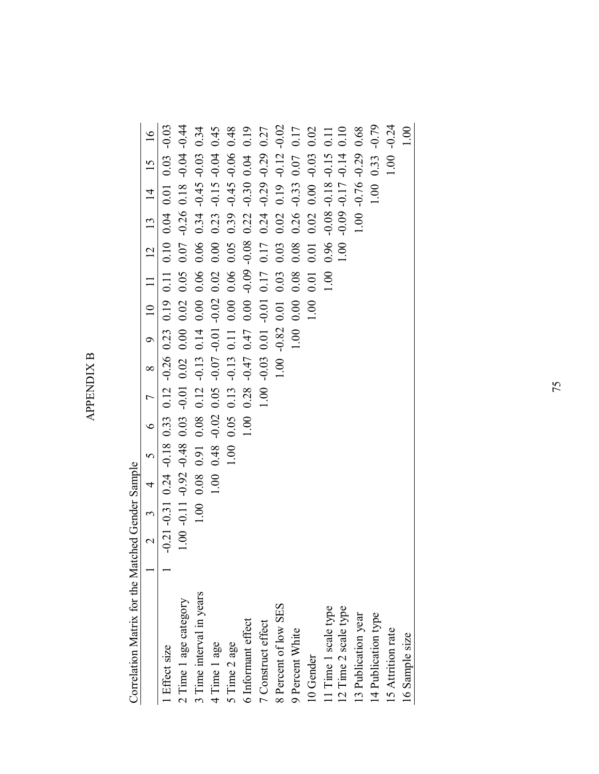**APPENDIX B** APPENDIX B

> Correlation Matrix for the Matched Gender Sample Correlation Matrix for the Matched Gender Sample

|                          | $\overline{\mathcal{L}}$ | $\tilde{\phantom{0}}$ | $\overline{4}$ | $\tilde{c}$ | $\circ$ | $\overline{a}$ | $\infty$ | $\circ$ | $\overline{a}$ | $\overline{1}$ | $\overline{c}$  | 13               | $\overline{4}$ | $\overline{15}$ | $\overline{16}$                                     |
|--------------------------|--------------------------|-----------------------|----------------|-------------|---------|----------------|----------|---------|----------------|----------------|-----------------|------------------|----------------|-----------------|-----------------------------------------------------|
| Effect size              | $-0.21$                  | $-0.31$               | 0.24           | $-0.18$     | 0.33    | 0.12           | $-0.26$  | 0.23    | 0.19           | 0.11           | 0.10            | 0.04             | 0.01           | 0.03            | $-0.03$                                             |
| 2 Time 1 age category    | 1.00                     | $-0.11$               | $-0.92$        | $-0.48$     | 0.03    | $-0.01$        | 0.02     | 0.00    | 0.02           | 0.05           | $0.07$          | $-0.26$          | 0.18           | $-0.04$         | $-0.44$                                             |
| 3 Time interval in years |                          | 1.00                  | 0.08           | 0.91        | 0.08    | 0.12           | $-0.13$  | 0.14    | 0.00           | 0.06           | 0.06            | 0.34             | $-0.45$        | $-0.03$         | 0.34                                                |
| 4 Time 1 age             |                          |                       | 1.00           | 0.48        | $-0.02$ | 0.05           | $-0.07$  | $-0.01$ | $-0.02$        | 0.02           | 0.00            | 0.23             | $-0.15$        | $-0.04$         | 0.45                                                |
| 5 Time 2 age             |                          |                       |                | 00.1        | 0.05    | 0.13           | $-0.13$  | 0.11    | 0.00           | 0.06           | 0.05            | 0.39             | $-0.45$        | $-0.06$         | 0.48                                                |
| 6 Informant effect       |                          |                       |                |             | 1.00    | 0.28           | $-0.47$  | 0.47    | $0.00\,$       | $-0.09$        | $-0.08$         | 0.22             | $-0.30$        | 0.04            | 0.19                                                |
| 7 Construct effect       |                          |                       |                |             |         | 1.00           | $-0.03$  | 0.01    | $-0.01$        | 0.17           | 0.17            |                  | $-0.29$        | $-0.29$         | 0.27                                                |
| 8 Percent of low SES     |                          |                       |                |             |         |                | 1.00     | 0.82    | 0.01           | 0.03           | 0.03            | $0.24$<br>$0.02$ | 0.19           | $-0.12$         | $-0.02$                                             |
| 9 Percent White          |                          |                       |                |             |         |                |          | 1.00    | 0.00           | 0.08           | 0.08            | 0.26             | $-0.33$        | $0.07\,$        | 0.17                                                |
| 10 Gender                |                          |                       |                |             |         |                |          |         | 1.00           | 0.01           | 0.01            | 0.02             | 0.00           | $-0.03$         |                                                     |
| 11 Time 1 scale type     |                          |                       |                |             |         |                |          |         |                | 1.00           | 0.96            | $-0.08$          | $-0.18$        | $-0.15$         | $\begin{array}{c} 0.02 \\ 0.11 \\ 0.10 \end{array}$ |
| 12 Time 2 scale type     |                          |                       |                |             |         |                |          |         |                |                | 00 <sub>1</sub> | $-0.09$          | $-0.17$        | $-0.14$         |                                                     |
| 13 Publication year      |                          |                       |                |             |         |                |          |         |                |                |                 | 1.00             | $-0.76$        | $-0.29$         | 0.68                                                |
| 14 Publication type      |                          |                       |                |             |         |                |          |         |                |                |                 |                  | 1.00           | 0.33            | $-0.79$                                             |
| 15 Attrition rate        |                          |                       |                |             |         |                |          |         |                |                |                 |                  |                | 1.00            | $-0.24$                                             |
| 16 Sample size           |                          |                       |                |             |         |                |          |         |                |                |                 |                  |                |                 | 00 <sub>1</sub>                                     |
|                          |                          |                       |                |             |         |                |          |         |                |                |                 |                  |                |                 |                                                     |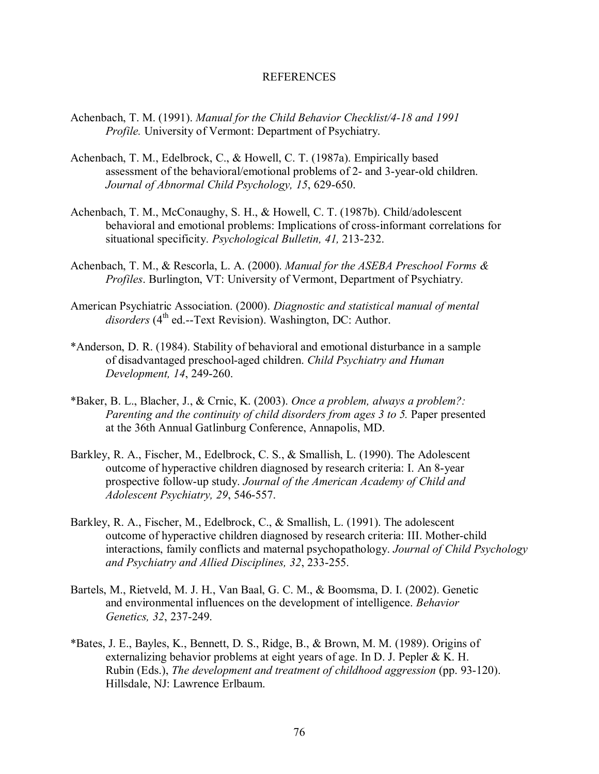### REFERENCES

- Achenbach, T. M. (1991). *Manual for the Child Behavior Checklist/4-18 and 1991 Profile.* University of Vermont: Department of Psychiatry.
- Achenbach, T. M., Edelbrock, C., & Howell, C. T. (1987a). Empirically based assessment of the behavioral/emotional problems of 2- and 3-year-old children. *Journal of Abnormal Child Psychology, 15*, 629-650.
- Achenbach, T. M., McConaughy, S. H., & Howell, C. T. (1987b). Child/adolescent behavioral and emotional problems: Implications of cross-informant correlations for situational specificity. *Psychological Bulletin, 41,* 213-232.
- Achenbach, T. M., & Rescorla, L. A. (2000). *Manual for the ASEBA Preschool Forms & Profiles*. Burlington, VT: University of Vermont, Department of Psychiatry.
- American Psychiatric Association. (2000). *Diagnostic and statistical manual of mental*  disorders (4<sup>th</sup> ed.--Text Revision). Washington, DC: Author.
- \*Anderson, D. R. (1984). Stability of behavioral and emotional disturbance in a sample of disadvantaged preschool-aged children. *Child Psychiatry and Human Development, 14*, 249-260.
- \*Baker, B. L., Blacher, J., & Crnic, K. (2003). *Once a problem, always a problem?: Parenting and the continuity of child disorders from ages 3 to 5.* Paper presented at the 36th Annual Gatlinburg Conference, Annapolis, MD.
- Barkley, R. A., Fischer, M., Edelbrock, C. S., & Smallish, L. (1990). The Adolescent outcome of hyperactive children diagnosed by research criteria: I. An 8-year prospective follow-up study. *Journal of the American Academy of Child and Adolescent Psychiatry, 29*, 546-557.
- Barkley, R. A., Fischer, M., Edelbrock, C., & Smallish, L. (1991). The adolescent outcome of hyperactive children diagnosed by research criteria: III. Mother-child interactions, family conflicts and maternal psychopathology. *Journal of Child Psychology and Psychiatry and Allied Disciplines, 32*, 233-255.
- Bartels, M., Rietveld, M. J. H., Van Baal, G. C. M., & Boomsma, D. I. (2002). Genetic and environmental influences on the development of intelligence. *Behavior Genetics, 32*, 237-249.
- \*Bates, J. E., Bayles, K., Bennett, D. S., Ridge, B., & Brown, M. M. (1989). Origins of externalizing behavior problems at eight years of age. In D. J. Pepler & K. H. Rubin (Eds.), *The development and treatment of childhood aggression* (pp. 93-120). Hillsdale, NJ: Lawrence Erlbaum.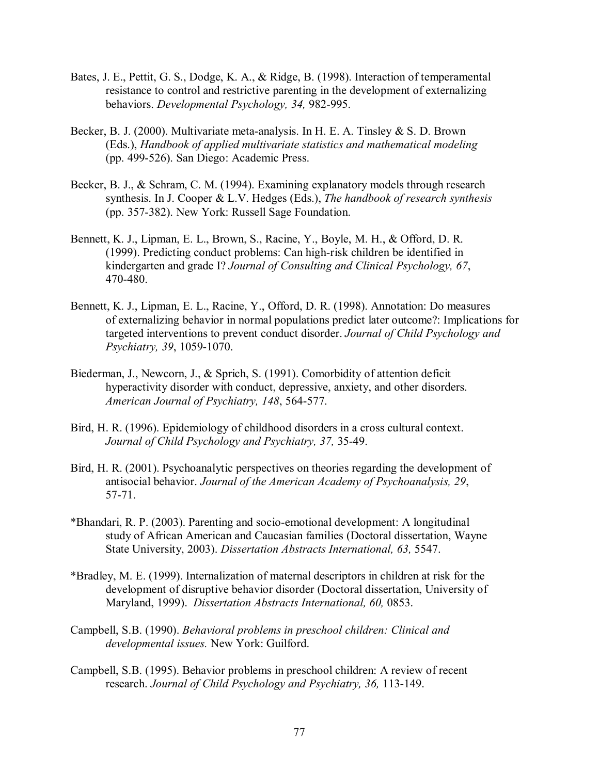- Bates, J. E., Pettit, G. S., Dodge, K. A., & Ridge, B. (1998). Interaction of temperamental resistance to control and restrictive parenting in the development of externalizing behaviors. *Developmental Psychology, 34,* 982-995.
- Becker, B. J. (2000). Multivariate meta-analysis. In H. E. A. Tinsley & S. D. Brown (Eds.), *Handbook of applied multivariate statistics and mathematical modeling*  (pp. 499-526). San Diego: Academic Press.
- Becker, B. J., & Schram, C. M. (1994). Examining explanatory models through research synthesis. In J. Cooper & L.V. Hedges (Eds.), *The handbook of research synthesis*  (pp. 357-382). New York: Russell Sage Foundation.
- Bennett, K. J., Lipman, E. L., Brown, S., Racine, Y., Boyle, M. H., & Offord, D. R. (1999). Predicting conduct problems: Can high-risk children be identified in kindergarten and grade I? *Journal of Consulting and Clinical Psychology, 67*, 470-480.
- Bennett, K. J., Lipman, E. L., Racine, Y., Offord, D. R. (1998). Annotation: Do measures of externalizing behavior in normal populations predict later outcome?: Implications for targeted interventions to prevent conduct disorder. *Journal of Child Psychology and Psychiatry, 39*, 1059-1070.
- Biederman, J., Newcorn, J., & Sprich, S. (1991). Comorbidity of attention deficit hyperactivity disorder with conduct, depressive, anxiety, and other disorders. *American Journal of Psychiatry, 148*, 564-577.
- Bird, H. R. (1996). Epidemiology of childhood disorders in a cross cultural context. *Journal of Child Psychology and Psychiatry, 37,* 35-49.
- Bird, H. R. (2001). Psychoanalytic perspectives on theories regarding the development of antisocial behavior. *Journal of the American Academy of Psychoanalysis, 29*, 57-71.
- \*Bhandari, R. P. (2003). Parenting and socio-emotional development: A longitudinal study of African American and Caucasian families (Doctoral dissertation, Wayne State University, 2003). *Dissertation Abstracts International, 63,* 5547.
- \*Bradley, M. E. (1999). Internalization of maternal descriptors in children at risk for the development of disruptive behavior disorder (Doctoral dissertation, University of Maryland, 1999). *Dissertation Abstracts International, 60,* 0853.
- Campbell, S.B. (1990). *Behavioral problems in preschool children: Clinical and developmental issues.* New York: Guilford.
- Campbell, S.B. (1995). Behavior problems in preschool children: A review of recent research. *Journal of Child Psychology and Psychiatry, 36,* 113-149.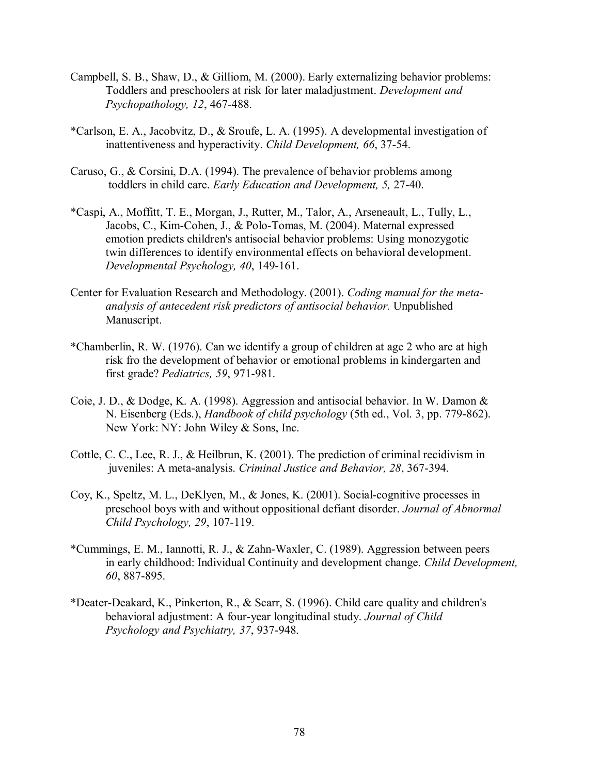- Campbell, S. B., Shaw, D., & Gilliom, M. (2000). Early externalizing behavior problems: Toddlers and preschoolers at risk for later maladjustment. *Development and Psychopathology, 12*, 467-488.
- \*Carlson, E. A., Jacobvitz, D., & Sroufe, L. A. (1995). A developmental investigation of inattentiveness and hyperactivity. *Child Development, 66*, 37-54.
- Caruso, G., & Corsini, D.A. (1994). The prevalence of behavior problems among toddlers in child care. *Early Education and Development, 5,* 27-40.
- \*Caspi, A., Moffitt, T. E., Morgan, J., Rutter, M., Talor, A., Arseneault, L., Tully, L., Jacobs, C., Kim-Cohen, J., & Polo-Tomas, M. (2004). Maternal expressed emotion predicts children's antisocial behavior problems: Using monozygotic twin differences to identify environmental effects on behavioral development. *Developmental Psychology, 40*, 149-161.
- Center for Evaluation Research and Methodology. (2001). *Coding manual for the meta analysis of antecedent risk predictors of antisocial behavior.* Unpublished Manuscript.
- \*Chamberlin, R. W. (1976). Can we identify a group of children at age 2 who are at high risk fro the development of behavior or emotional problems in kindergarten and first grade? *Pediatrics, 59*, 971-981.
- Coie, J. D., & Dodge, K. A. (1998). Aggression and antisocial behavior. In W. Damon & N. Eisenberg (Eds.), *Handbook of child psychology* (5th ed., Vol. 3, pp. 779-862). New York: NY: John Wiley & Sons, Inc.
- Cottle, C. C., Lee, R. J., & Heilbrun, K. (2001). The prediction of criminal recidivism in juveniles: A meta-analysis. *Criminal Justice and Behavior, 28*, 367-394.
- Coy, K., Speltz, M. L., DeKlyen, M., & Jones, K. (2001). Social-cognitive processes in preschool boys with and without oppositional defiant disorder. *Journal of Abnormal Child Psychology, 29*, 107-119.
- \*Cummings, E. M., Iannotti, R. J., & Zahn-Waxler, C. (1989). Aggression between peers in early childhood: Individual Continuity and development change. *Child Development, 60*, 887-895.
- \*Deater-Deakard, K., Pinkerton, R., & Scarr, S. (1996). Child care quality and children's behavioral adjustment: A four-year longitudinal study. *Journal of Child Psychology and Psychiatry, 37*, 937-948.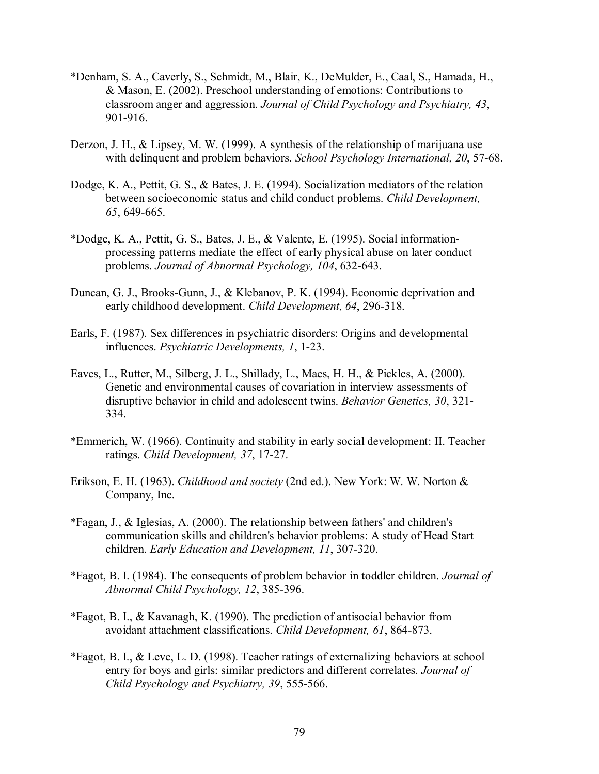- \*Denham, S. A., Caverly, S., Schmidt, M., Blair, K., DeMulder, E., Caal, S., Hamada, H., & Mason, E. (2002). Preschool understanding of emotions: Contributions to classroom anger and aggression. *Journal of Child Psychology and Psychiatry, 43*, 901-916.
- Derzon, J. H., & Lipsey, M. W. (1999). A synthesis of the relationship of marijuana use with delinquent and problem behaviors. *School Psychology International, 20*, 57-68.
- Dodge, K. A., Pettit, G. S., & Bates, J. E. (1994). Socialization mediators of the relation between socioeconomic status and child conduct problems. *Child Development, 65*, 649-665.
- \*Dodge, K. A., Pettit, G. S., Bates, J. E., & Valente, E. (1995). Social informationprocessing patterns mediate the effect of early physical abuse on later conduct problems. *Journal of Abnormal Psychology, 104*, 632-643.
- Duncan, G. J., Brooks-Gunn, J., & Klebanov, P. K. (1994). Economic deprivation and early childhood development. *Child Development, 64*, 296-318.
- Earls, F. (1987). Sex differences in psychiatric disorders: Origins and developmental influences. *Psychiatric Developments, 1*, 1-23.
- Eaves, L., Rutter, M., Silberg, J. L., Shillady, L., Maes, H. H., & Pickles, A. (2000). Genetic and environmental causes of covariation in interview assessments of disruptive behavior in child and adolescent twins. *Behavior Genetics, 30*, 321- 334.
- \*Emmerich, W. (1966). Continuity and stability in early social development: II. Teacher ratings. *Child Development, 37*, 17-27.
- Erikson, E. H. (1963). *Childhood and society* (2nd ed.). New York: W. W. Norton & Company, Inc.
- \*Fagan, J., & Iglesias, A. (2000). The relationship between fathers' and children's communication skills and children's behavior problems: A study of Head Start children. *Early Education and Development, 11*, 307-320.
- \*Fagot, B. I. (1984). The consequents of problem behavior in toddler children. *Journal of Abnormal Child Psychology, 12*, 385-396.
- \*Fagot, B. I., & Kavanagh, K. (1990). The prediction of antisocial behavior from avoidant attachment classifications. *Child Development, 61*, 864-873.
- \*Fagot, B. I., & Leve, L. D. (1998). Teacher ratings of externalizing behaviors at school entry for boys and girls: similar predictors and different correlates. *Journal of Child Psychology and Psychiatry, 39*, 555-566.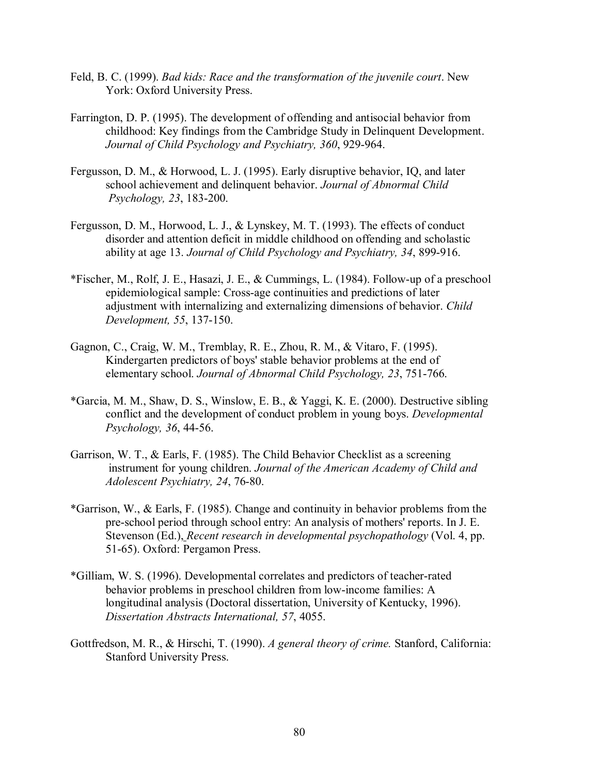- Feld, B. C. (1999). *Bad kids: Race and the transformation of the juvenile court*. New York: Oxford University Press.
- Farrington, D. P. (1995). The development of offending and antisocial behavior from childhood: Key findings from the Cambridge Study in Delinquent Development. *Journal of Child Psychology and Psychiatry, 360*, 929-964.
- Fergusson, D. M., & Horwood, L. J. (1995). Early disruptive behavior, IQ, and later school achievement and delinquent behavior. *Journal of Abnormal Child Psychology, 23*, 183-200.
- Fergusson, D. M., Horwood, L. J., & Lynskey, M. T. (1993). The effects of conduct disorder and attention deficit in middle childhood on offending and scholastic ability at age 13. *Journal of Child Psychology and Psychiatry, 34*, 899-916.
- \*Fischer, M., Rolf, J. E., Hasazi, J. E., & Cummings, L. (1984). Follow-up of a preschool epidemiological sample: Cross-age continuities and predictions of later adjustment with internalizing and externalizing dimensions of behavior. *Child Development, 55*, 137-150.
- Gagnon, C., Craig, W. M., Tremblay, R. E., Zhou, R. M., & Vitaro, F. (1995). Kindergarten predictors of boys' stable behavior problems at the end of elementary school. *Journal of Abnormal Child Psychology, 23*, 751-766.
- \*Garcia, M. M., Shaw, D. S., Winslow, E. B., & Yaggi, K. E. (2000). Destructive sibling conflict and the development of conduct problem in young boys. *Developmental Psychology, 36*, 44-56.
- Garrison, W. T., & Earls, F. (1985). The Child Behavior Checklist as a screening instrument for young children. *Journal of the American Academy of Child and Adolescent Psychiatry, 24*, 76-80.
- \*Garrison, W., & Earls, F. (1985). Change and continuity in behavior problems from the pre-school period through school entry: An analysis of mothers' reports. In J. E. Stevenson (Ed.), *Recent research in developmental psychopathology* (Vol. 4, pp. 51-65). Oxford: Pergamon Press.
- \*Gilliam, W. S. (1996). Developmental correlates and predictors of teacher-rated behavior problems in preschool children from low-income families: A longitudinal analysis (Doctoral dissertation, University of Kentucky, 1996). *Dissertation Abstracts International, 57*, 4055.
- Gottfredson, M. R., & Hirschi, T. (1990). *A general theory of crime.* Stanford, California: Stanford University Press.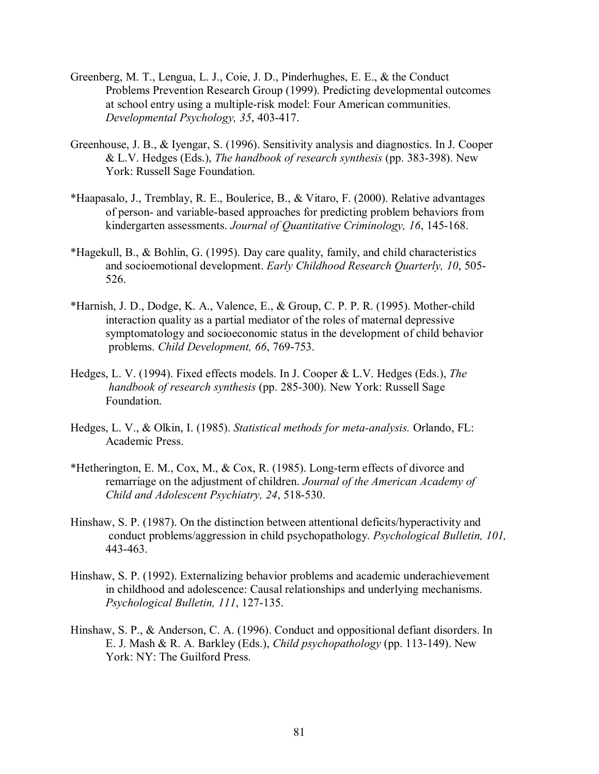- Greenberg, M. T., Lengua, L. J., Coie, J. D., Pinderhughes, E. E., & the Conduct Problems Prevention Research Group (1999). Predicting developmental outcomes at school entry using a multiple-risk model: Four American communities. *Developmental Psychology, 35*, 403-417.
- Greenhouse, J. B., & Iyengar, S. (1996). Sensitivity analysis and diagnostics. In J. Cooper & L.V. Hedges (Eds.), *The handbook of research synthesis* (pp. 383-398). New York: Russell Sage Foundation.
- \*Haapasalo, J., Tremblay, R. E., Boulerice, B., & Vitaro, F. (2000). Relative advantages of person- and variable-based approaches for predicting problem behaviors from kindergarten assessments. *Journal of Quantitative Criminology, 16*, 145-168.
- \*Hagekull, B., & Bohlin, G. (1995). Day care quality, family, and child characteristics and socioemotional development. *Early Childhood Research Quarterly, 10*, 505- 526.
- \*Harnish, J. D., Dodge, K. A., Valence, E., & Group, C. P. P. R. (1995). Mother-child interaction quality as a partial mediator of the roles of maternal depressive symptomatology and socioeconomic status in the development of child behavior problems. *Child Development, 66*, 769-753.
- Hedges, L. V. (1994). Fixed effects models. In J. Cooper & L.V. Hedges (Eds.), *The handbook of research synthesis* (pp. 285-300). New York: Russell Sage Foundation.
- Hedges, L. V., & Olkin, I. (1985). *Statistical methods for meta-analysis.* Orlando, FL: Academic Press.
- \*Hetherington, E. M., Cox, M., & Cox, R. (1985). Long-term effects of divorce and remarriage on the adjustment of children. *Journal of the American Academy of Child and Adolescent Psychiatry, 24*, 518-530.
- Hinshaw, S. P. (1987). On the distinction between attentional deficits/hyperactivity and conduct problems/aggression in child psychopathology. *Psychological Bulletin, 101,*  443-463.
- Hinshaw, S. P. (1992). Externalizing behavior problems and academic underachievement in childhood and adolescence: Causal relationships and underlying mechanisms. *Psychological Bulletin, 111*, 127-135.
- Hinshaw, S. P., & Anderson, C. A. (1996). Conduct and oppositional defiant disorders. In E. J. Mash & R. A. Barkley (Eds.), *Child psychopathology* (pp. 113-149). New York: NY: The Guilford Press.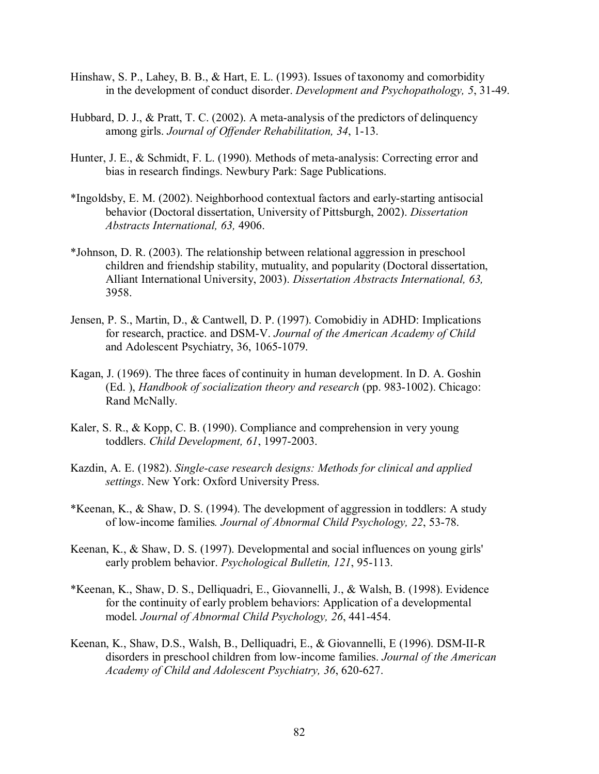- Hinshaw, S. P., Lahey, B. B., & Hart, E. L. (1993). Issues of taxonomy and comorbidity in the development of conduct disorder. *Development and Psychopathology, 5*, 31-49.
- Hubbard, D. J., & Pratt, T. C. (2002). A meta-analysis of the predictors of delinquency among girls. *Journal of Offender Rehabilitation, 34*, 1-13.
- Hunter, J. E., & Schmidt, F. L. (1990). Methods of meta-analysis: Correcting error and bias in research findings. Newbury Park: Sage Publications.
- \*Ingoldsby, E. M. (2002). Neighborhood contextual factors and early-starting antisocial behavior (Doctoral dissertation, University of Pittsburgh, 2002). *Dissertation Abstracts International, 63,* 4906.
- \*Johnson, D. R. (2003). The relationship between relational aggression in preschool children and friendship stability, mutuality, and popularity (Doctoral dissertation, Alliant International University, 2003). *Dissertation Abstracts International, 63,*  3958.
- Jensen, P. S., Martin, D., & Cantwell, D. P. (1997). Comobidiy in ADHD: Implications for research, practice. and DSM-V. *Journal of the American Academy of Child*  and Adolescent Psychiatry, 36, 1065-1079.
- Kagan, J. (1969). The three faces of continuity in human development. In D. A. Goshin (Ed. ), *Handbook of socialization theory and research* (pp. 983-1002). Chicago: Rand McNally.
- Kaler, S. R., & Kopp, C. B. (1990). Compliance and comprehension in very young toddlers. *Child Development, 61*, 1997-2003.
- Kazdin, A. E. (1982). *Single-case research designs: Methods for clinical and applied settings*. New York: Oxford University Press.
- \*Keenan, K., & Shaw, D. S. (1994). The development of aggression in toddlers: A study of low-income families*. Journal of Abnormal Child Psychology, 22*, 53-78.
- Keenan, K., & Shaw, D. S. (1997). Developmental and social influences on young girls' early problem behavior. *Psychological Bulletin, 121*, 95-113.
- \*Keenan, K., Shaw, D. S., Delliquadri, E., Giovannelli, J., & Walsh, B. (1998). Evidence for the continuity of early problem behaviors: Application of a developmental model. *Journal of Abnormal Child Psychology, 26*, 441-454.
- Keenan, K., Shaw, D.S., Walsh, B., Delliquadri, E., & Giovannelli, E (1996). DSM-II-R disorders in preschool children from low-income families. *Journal of the American Academy of Child and Adolescent Psychiatry, 36*, 620-627.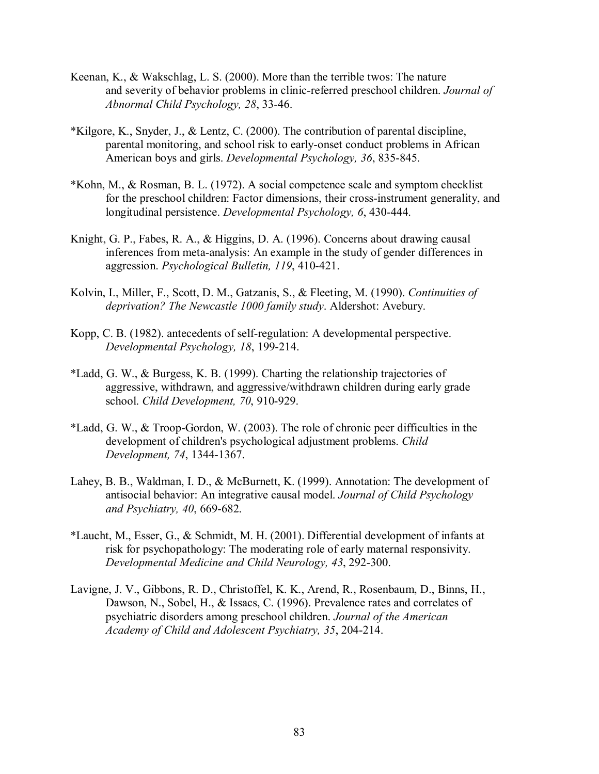- Keenan, K., & Wakschlag, L. S. (2000). More than the terrible twos: The nature and severity of behavior problems in clinic-referred preschool children. *Journal of Abnormal Child Psychology, 28*, 33-46.
- \*Kilgore, K., Snyder, J., & Lentz, C. (2000). The contribution of parental discipline, parental monitoring, and school risk to early-onset conduct problems in African American boys and girls. *Developmental Psychology, 36*, 835-845.
- \*Kohn, M., & Rosman, B. L. (1972). A social competence scale and symptom checklist for the preschool children: Factor dimensions, their cross-instrument generality, and longitudinal persistence. *Developmental Psychology, 6*, 430-444.
- Knight, G. P., Fabes, R. A., & Higgins, D. A. (1996). Concerns about drawing causal inferences from meta-analysis: An example in the study of gender differences in aggression. *Psychological Bulletin, 119*, 410-421.
- Kolvin, I., Miller, F., Scott, D. M., Gatzanis, S., & Fleeting, M. (1990). *Continuities of deprivation? The Newcastle 1000 family study*. Aldershot: Avebury.
- Kopp, C. B. (1982). antecedents of self-regulation: A developmental perspective. *Developmental Psychology, 18*, 199-214.
- \*Ladd, G. W., & Burgess, K. B. (1999). Charting the relationship trajectories of aggressive, withdrawn, and aggressive/withdrawn children during early grade school. *Child Development, 70*, 910-929.
- \*Ladd, G. W., & Troop-Gordon, W. (2003). The role of chronic peer difficulties in the development of children's psychological adjustment problems. *Child Development, 74*, 1344-1367.
- Lahey, B. B., Waldman, I. D., & McBurnett, K. (1999). Annotation: The development of antisocial behavior: An integrative causal model. *Journal of Child Psychology and Psychiatry, 40*, 669-682.
- \*Laucht, M., Esser, G., & Schmidt, M. H. (2001). Differential development of infants at risk for psychopathology: The moderating role of early maternal responsivity. *Developmental Medicine and Child Neurology, 43*, 292-300.
- Lavigne, J. V., Gibbons, R. D., Christoffel, K. K., Arend, R., Rosenbaum, D., Binns, H., Dawson, N., Sobel, H., & Issacs, C. (1996). Prevalence rates and correlates of psychiatric disorders among preschool children. *Journal of the American Academy of Child and Adolescent Psychiatry, 35*, 204-214.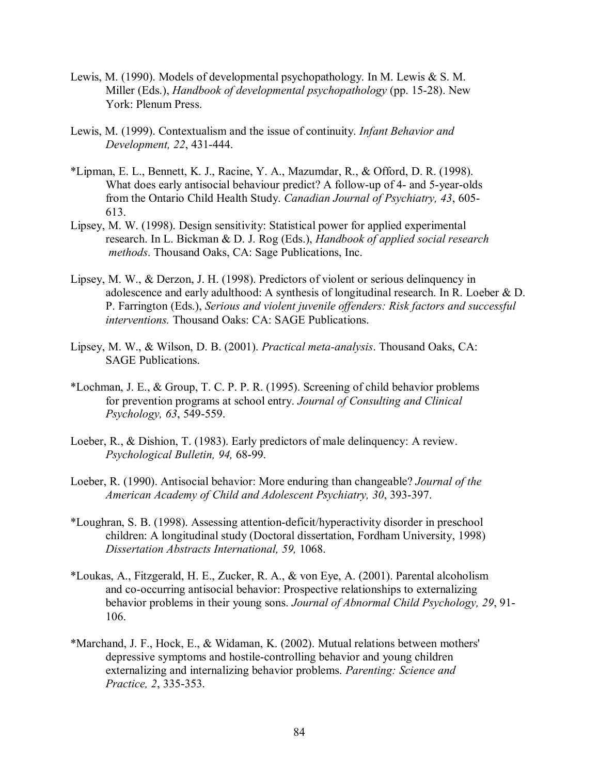- Lewis, M. (1990). Models of developmental psychopathology. In M. Lewis & S. M. Miller (Eds.), *Handbook of developmental psychopathology* (pp. 15-28). New York: Plenum Press.
- Lewis, M. (1999). Contextualism and the issue of continuity. *Infant Behavior and Development, 22*, 431-444.
- \*Lipman, E. L., Bennett, K. J., Racine, Y. A., Mazumdar, R., & Offord, D. R. (1998). What does early antisocial behaviour predict? A follow-up of 4- and 5-year-olds from the Ontario Child Health Study. *Canadian Journal of Psychiatry, 43*, 605- 613.
- Lipsey, M. W. (1998). Design sensitivity: Statistical power for applied experimental research. In L. Bickman & D. J. Rog (Eds.), *Handbook of applied social research methods*. Thousand Oaks, CA: Sage Publications, Inc.
- Lipsey, M. W., & Derzon, J. H. (1998). Predictors of violent or serious delinquency in adolescence and early adulthood: A synthesis of longitudinal research. In R. Loeber & D. P. Farrington (Eds.), *Serious and violent juvenile offenders: Risk factors and successful interventions.* Thousand Oaks: CA: SAGE Publications.
- Lipsey, M. W., & Wilson, D. B. (2001). *Practical meta-analysis*. Thousand Oaks, CA: SAGE Publications.
- \*Lochman, J. E., & Group, T. C. P. P. R. (1995). Screening of child behavior problems for prevention programs at school entry. *Journal of Consulting and Clinical Psychology, 63*, 549-559.
- Loeber, R., & Dishion, T. (1983). Early predictors of male delinquency: A review. *Psychological Bulletin, 94,* 68-99.
- Loeber, R. (1990). Antisocial behavior: More enduring than changeable? *Journal of the American Academy of Child and Adolescent Psychiatry, 30*, 393-397.
- \*Loughran, S. B. (1998). Assessing attention-deficit/hyperactivity disorder in preschool children: A longitudinal study (Doctoral dissertation, Fordham University, 1998) *Dissertation Abstracts International, 59,* 1068.
- \*Loukas, A., Fitzgerald, H. E., Zucker, R. A., & von Eye, A. (2001). Parental alcoholism and co-occurring antisocial behavior: Prospective relationships to externalizing behavior problems in their young sons. *Journal of Abnormal Child Psychology, 29*, 91- 106.
- \*Marchand, J. F., Hock, E., & Widaman, K. (2002). Mutual relations between mothers' depressive symptoms and hostile-controlling behavior and young children externalizing and internalizing behavior problems. *Parenting: Science and Practice, 2*, 335-353.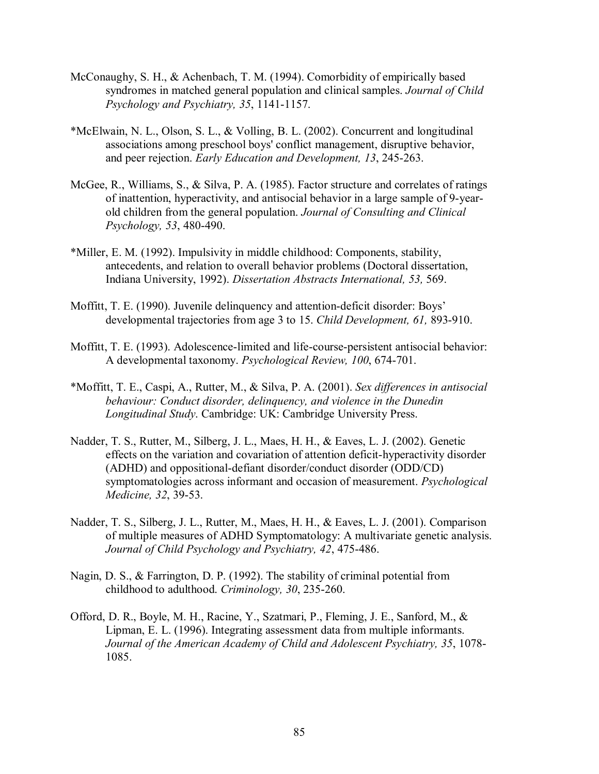- McConaughy, S. H., & Achenbach, T. M. (1994). Comorbidity of empirically based syndromes in matched general population and clinical samples. *Journal of Child Psychology and Psychiatry, 35*, 1141-1157.
- \*McElwain, N. L., Olson, S. L., & Volling, B. L. (2002). Concurrent and longitudinal associations among preschool boys' conflict management, disruptive behavior, and peer rejection. *Early Education and Development, 13*, 245-263.
- McGee, R., Williams, S., & Silva, P. A. (1985). Factor structure and correlates of ratings of inattention, hyperactivity, and antisocial behavior in a large sample of 9-yearold children from the general population. *Journal of Consulting and Clinical Psychology, 53*, 480-490.
- \*Miller, E. M. (1992). Impulsivity in middle childhood: Components, stability, antecedents, and relation to overall behavior problems (Doctoral dissertation, Indiana University, 1992). *Dissertation Abstracts International, 53,* 569.
- Moffitt, T. E. (1990). Juvenile delinquency and attention-deficit disorder: Boys' developmental trajectories from age 3 to 15. *Child Development, 61,* 893-910.
- Moffitt, T. E. (1993). Adolescence-limited and life-course-persistent antisocial behavior: A developmental taxonomy. *Psychological Review, 100*, 674-701.
- \*Moffitt, T. E., Caspi, A., Rutter, M., & Silva, P. A. (2001). *Sex differences in antisocial behaviour: Conduct disorder, delinquency, and violence in the Dunedin Longitudinal Study*. Cambridge: UK: Cambridge University Press.
- Nadder, T. S., Rutter, M., Silberg, J. L., Maes, H. H., & Eaves, L. J. (2002). Genetic effects on the variation and covariation of attention deficit-hyperactivity disorder (ADHD) and oppositional-defiant disorder/conduct disorder (ODD/CD) symptomatologies across informant and occasion of measurement. *Psychological Medicine, 32*, 39-53.
- Nadder, T. S., Silberg, J. L., Rutter, M., Maes, H. H., & Eaves, L. J. (2001). Comparison of multiple measures of ADHD Symptomatology: A multivariate genetic analysis. *Journal of Child Psychology and Psychiatry, 42*, 475-486.
- Nagin, D. S., & Farrington, D. P. (1992). The stability of criminal potential from childhood to adulthood. *Criminology, 30*, 235-260.
- Offord, D. R., Boyle, M. H., Racine, Y., Szatmari, P., Fleming, J. E., Sanford, M., & Lipman, E. L. (1996). Integrating assessment data from multiple informants. *Journal of the American Academy of Child and Adolescent Psychiatry, 35*, 1078- 1085.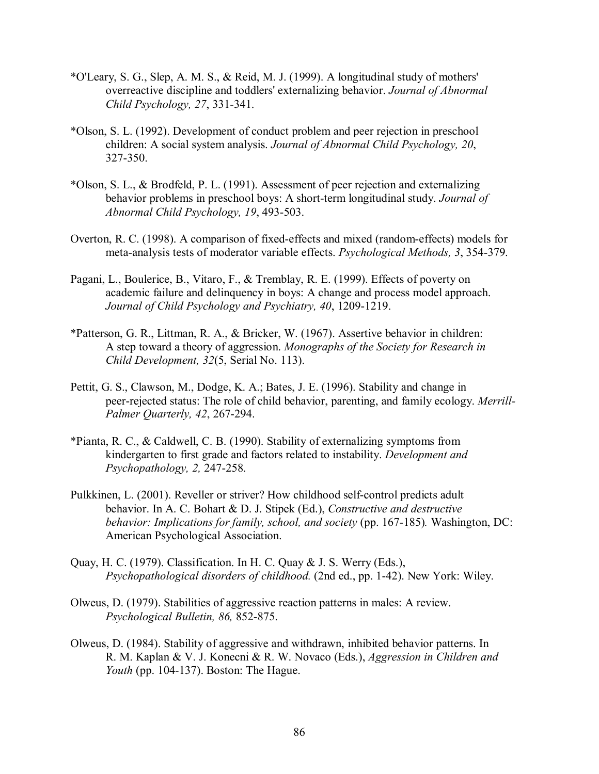- \*O'Leary, S. G., Slep, A. M. S., & Reid, M. J. (1999). A longitudinal study of mothers' overreactive discipline and toddlers' externalizing behavior. *Journal of Abnormal Child Psychology, 27*, 331-341.
- \*Olson, S. L. (1992). Development of conduct problem and peer rejection in preschool children: A social system analysis. *Journal of Abnormal Child Psychology, 20*, 327-350.
- \*Olson, S. L., & Brodfeld, P. L. (1991). Assessment of peer rejection and externalizing behavior problems in preschool boys: A short-term longitudinal study. *Journal of Abnormal Child Psychology, 19*, 493-503.
- Overton, R. C. (1998). A comparison of fixed-effects and mixed (random-effects) models for meta-analysis tests of moderator variable effects. *Psychological Methods, 3*, 354-379.
- Pagani, L., Boulerice, B., Vitaro, F., & Tremblay, R. E. (1999). Effects of poverty on academic failure and delinquency in boys: A change and process model approach. *Journal of Child Psychology and Psychiatry, 40*, 1209-1219.
- \*Patterson, G. R., Littman, R. A., & Bricker, W. (1967). Assertive behavior in children: A step toward a theory of aggression. *Monographs of the Society for Research in Child Development, 32*(5, Serial No. 113).
- Pettit, G. S., Clawson, M., Dodge, K. A.; Bates, J. E. (1996). Stability and change in peer-rejected status: The role of child behavior, parenting, and family ecology. *Merrill-Palmer Quarterly, 42*, 267-294.
- \*Pianta, R. C., & Caldwell, C. B. (1990). Stability of externalizing symptoms from kindergarten to first grade and factors related to instability. *Development and Psychopathology, 2,* 247-258.
- Pulkkinen, L. (2001). Reveller or striver? How childhood self-control predicts adult behavior. In A. C. Bohart & D. J. Stipek (Ed.), *Constructive and destructive behavior: Implications for family, school, and society* (pp. 167-185)*.* Washington, DC: American Psychological Association.
- Quay, H. C. (1979). Classification. In H. C. Quay & J. S. Werry (Eds.), *Psychopathological disorders of childhood.* (2nd ed., pp. 1-42). New York: Wiley.
- Olweus, D. (1979). Stabilities of aggressive reaction patterns in males: A review. *Psychological Bulletin, 86,* 852-875.
- Olweus, D. (1984). Stability of aggressive and withdrawn, inhibited behavior patterns. In R. M. Kaplan & V. J. Konecni & R. W. Novaco (Eds.), *Aggression in Children and Youth* (pp. 104-137). Boston: The Hague.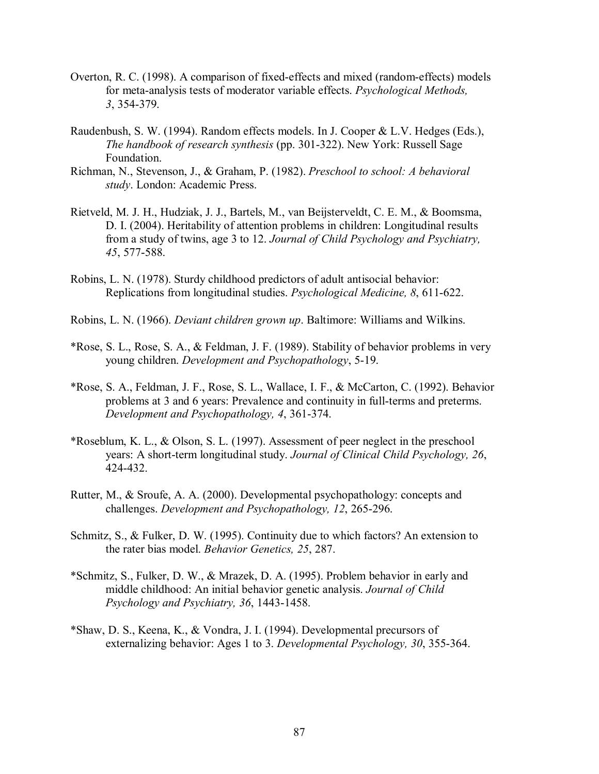- Overton, R. C. (1998). A comparison of fixed-effects and mixed (random-effects) models for meta-analysis tests of moderator variable effects. *Psychological Methods, 3*, 354-379.
- Raudenbush, S. W. (1994). Random effects models. In J. Cooper & L.V. Hedges (Eds.), *The handbook of research synthesis* (pp. 301-322). New York: Russell Sage Foundation.
- Richman, N., Stevenson, J., & Graham, P. (1982). *Preschool to school: A behavioral study*. London: Academic Press.
- Rietveld, M. J. H., Hudziak, J. J., Bartels, M., van Beijsterveldt, C. E. M., & Boomsma, D. I. (2004). Heritability of attention problems in children: Longitudinal results from a study of twins, age 3 to 12. *Journal of Child Psychology and Psychiatry, 45*, 577-588.
- Robins, L. N. (1978). Sturdy childhood predictors of adult antisocial behavior: Replications from longitudinal studies. *Psychological Medicine, 8*, 611-622.
- Robins, L. N. (1966). *Deviant children grown up*. Baltimore: Williams and Wilkins.
- \*Rose, S. L., Rose, S. A., & Feldman, J. F. (1989). Stability of behavior problems in very young children. *Development and Psychopathology*, 5-19.
- \*Rose, S. A., Feldman, J. F., Rose, S. L., Wallace, I. F., & McCarton, C. (1992). Behavior problems at 3 and 6 years: Prevalence and continuity in full-terms and preterms. *Development and Psychopathology, 4*, 361-374.
- \*Roseblum, K. L., & Olson, S. L. (1997). Assessment of peer neglect in the preschool years: A short-term longitudinal study. *Journal of Clinical Child Psychology, 26*, 424-432.
- Rutter, M., & Sroufe, A. A. (2000). Developmental psychopathology: concepts and challenges. *Development and Psychopathology, 12*, 265-296.
- Schmitz, S., & Fulker, D. W. (1995). Continuity due to which factors? An extension to the rater bias model. *Behavior Genetics, 25*, 287.
- \*Schmitz, S., Fulker, D. W., & Mrazek, D. A. (1995). Problem behavior in early and middle childhood: An initial behavior genetic analysis. *Journal of Child Psychology and Psychiatry, 36*, 1443-1458.
- \*Shaw, D. S., Keena, K., & Vondra, J. I. (1994). Developmental precursors of externalizing behavior: Ages 1 to 3. *Developmental Psychology, 30*, 355-364.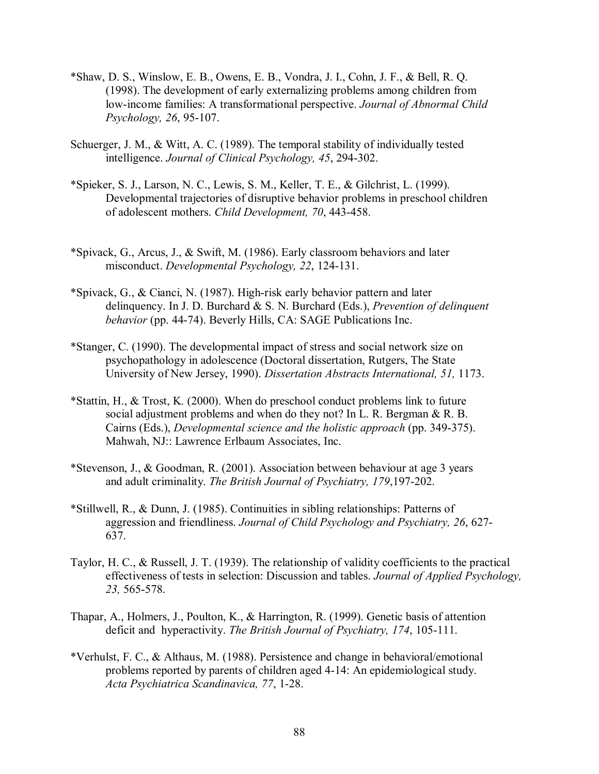- \*Shaw, D. S., Winslow, E. B., Owens, E. B., Vondra, J. I., Cohn, J. F., & Bell, R. Q. (1998). The development of early externalizing problems among children from low-income families: A transformational perspective. *Journal of Abnormal Child Psychology, 26*, 95-107.
- Schuerger, J. M., & Witt, A. C. (1989). The temporal stability of individually tested intelligence. *Journal of Clinical Psychology, 45*, 294-302.
- \*Spieker, S. J., Larson, N. C., Lewis, S. M., Keller, T. E., & Gilchrist, L. (1999). Developmental trajectories of disruptive behavior problems in preschool children of adolescent mothers. *Child Development, 70*, 443-458.
- \*Spivack, G., Arcus, J., & Swift, M. (1986). Early classroom behaviors and later misconduct. *Developmental Psychology, 22*, 124-131.
- \*Spivack, G., & Cianci, N. (1987). High-risk early behavior pattern and later delinquency. In J. D. Burchard & S. N. Burchard (Eds.), *Prevention of delinquent behavior* (pp. 44-74). Beverly Hills, CA: SAGE Publications Inc.
- \*Stanger, C. (1990). The developmental impact of stress and social network size on psychopathology in adolescence (Doctoral dissertation, Rutgers, The State University of New Jersey, 1990). *Dissertation Abstracts International, 51,* 1173.
- \*Stattin, H., & Trost, K. (2000). When do preschool conduct problems link to future social adjustment problems and when do they not? In L. R. Bergman & R. B. Cairns (Eds.), *Developmental science and the holistic approach* (pp. 349-375). Mahwah, NJ:: Lawrence Erlbaum Associates, Inc.
- \*Stevenson, J., & Goodman, R. (2001). Association between behaviour at age 3 years and adult criminality. *The British Journal of Psychiatry, 179*,197-202.
- \*Stillwell, R., & Dunn, J. (1985). Continuities in sibling relationships: Patterns of aggression and friendliness. *Journal of Child Psychology and Psychiatry, 26*, 627- 637.
- Taylor, H. C., & Russell, J. T. (1939). The relationship of validity coefficients to the practical effectiveness of tests in selection: Discussion and tables. *Journal of Applied Psychology, 23,* 565-578.
- Thapar, A., Holmers, J., Poulton, K., & Harrington, R. (1999). Genetic basis of attention deficit and hyperactivity. *The British Journal of Psychiatry, 174*, 105-111.
- \*Verhulst, F. C., & Althaus, M. (1988). Persistence and change in behavioral/emotional problems reported by parents of children aged 4-14: An epidemiological study. *Acta Psychiatrica Scandinavica, 77*, 1-28.